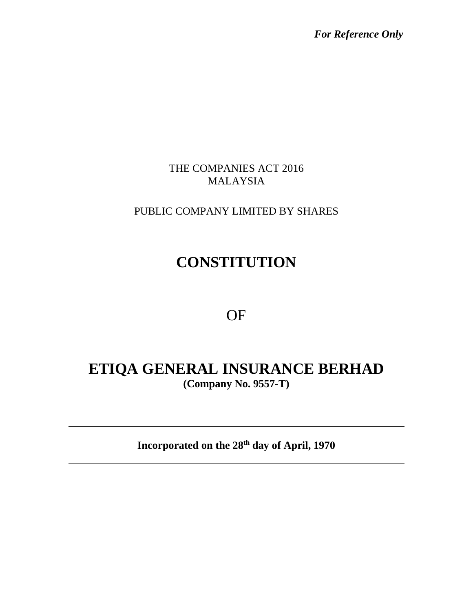*For Reference Only*

### THE COMPANIES ACT 2016 MALAYSIA

## PUBLIC COMPANY LIMITED BY SHARES

# **CONSTITUTION**

## OF

## **ETIQA GENERAL INSURANCE BERHAD (Company No. 9557-T)**

**Incorporated on the 28th day of April, 1970**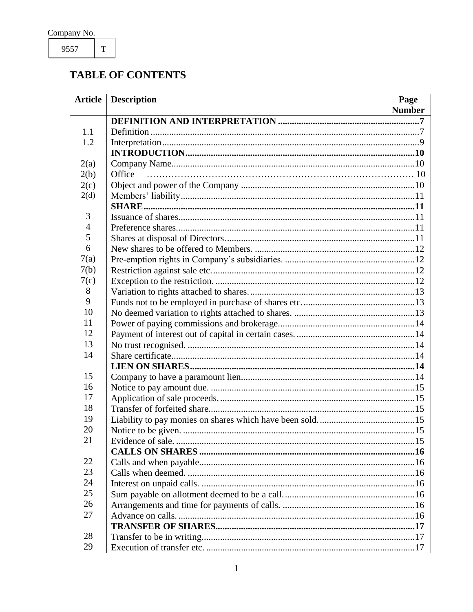9557

 $\mathbf T$ 

## **TABLE OF CONTENTS**

| <b>Article</b>      | <b>Description</b> | Page          |
|---------------------|--------------------|---------------|
|                     |                    | <b>Number</b> |
|                     |                    |               |
| 1.1                 |                    |               |
| 1.2                 |                    |               |
|                     |                    |               |
| 2(a)                |                    |               |
| 2(b)                | Office             |               |
| 2(c)                |                    |               |
| 2(d)                |                    |               |
|                     |                    |               |
| 3<br>$\overline{4}$ |                    |               |
| 5                   |                    |               |
| 6                   |                    |               |
|                     |                    |               |
| 7(a)                |                    |               |
| 7(b)<br>7(c)        |                    |               |
| 8                   |                    |               |
| 9                   |                    |               |
| 10                  |                    |               |
| 11                  |                    |               |
| 12                  |                    |               |
| 13                  |                    |               |
| 14                  |                    |               |
|                     |                    |               |
| 15                  |                    |               |
| 16                  |                    |               |
| 17                  |                    |               |
| 18                  |                    |               |
| 19                  |                    |               |
| 20                  |                    |               |
| 21                  |                    |               |
|                     |                    |               |
| 22                  |                    |               |
| 23                  |                    |               |
| 24                  |                    |               |
| 25                  |                    |               |
| 26                  |                    |               |
| 27                  |                    |               |
|                     |                    |               |
| 28                  |                    |               |
| 29                  |                    |               |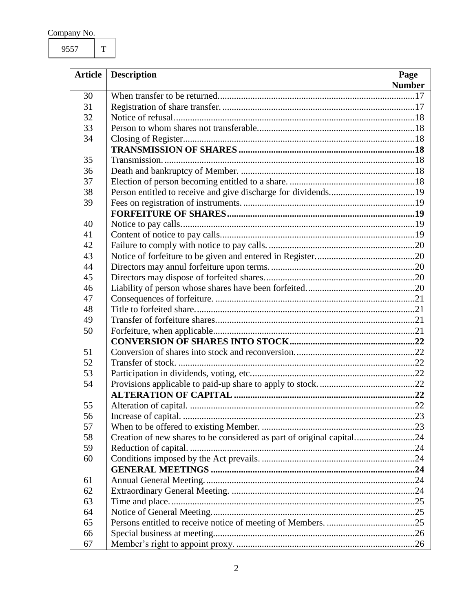9557

 $\overline{\mathrm{T}}$ 

| <b>Article</b> | <b>Description</b><br>Page                                            |               |
|----------------|-----------------------------------------------------------------------|---------------|
|                |                                                                       | <b>Number</b> |
| 30             |                                                                       |               |
| 31             |                                                                       |               |
| 32             |                                                                       |               |
| 33             |                                                                       |               |
| 34             |                                                                       |               |
|                |                                                                       |               |
| 35             |                                                                       |               |
| 36             |                                                                       |               |
| 37             |                                                                       |               |
| 38             |                                                                       |               |
| 39             |                                                                       |               |
|                |                                                                       |               |
| 40             |                                                                       |               |
| 41             |                                                                       |               |
| 42             |                                                                       |               |
| 43             |                                                                       |               |
| 44             |                                                                       |               |
| 45             |                                                                       |               |
| 46             |                                                                       |               |
| 47             |                                                                       |               |
| 48             |                                                                       |               |
| 49             |                                                                       |               |
| 50             |                                                                       |               |
|                |                                                                       |               |
| 51             |                                                                       |               |
| 52             |                                                                       |               |
| 53             |                                                                       |               |
| 54             |                                                                       |               |
|                |                                                                       |               |
| 55             |                                                                       |               |
| 56             |                                                                       |               |
| 57             |                                                                       |               |
| 58             | Creation of new shares to be considered as part of original capital24 |               |
| 59             | Reduction of capital.                                                 |               |
| 60             |                                                                       |               |
|                |                                                                       |               |
| 61             |                                                                       |               |
| 62             |                                                                       |               |
| 63             |                                                                       |               |
| 64             |                                                                       |               |
| 65             |                                                                       |               |
| 66             |                                                                       |               |
| 67             |                                                                       |               |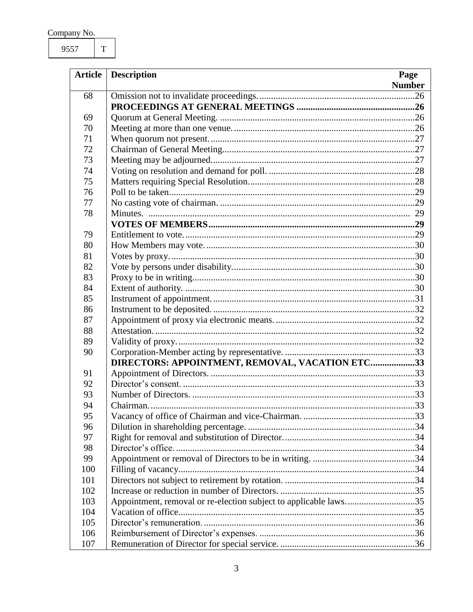9557  $\overline{\mathrm{T}}$ 

|     | <b>Article</b> Description                                       | Page          |
|-----|------------------------------------------------------------------|---------------|
|     |                                                                  | <b>Number</b> |
| 68  |                                                                  |               |
|     |                                                                  |               |
| 69  |                                                                  |               |
| 70  |                                                                  |               |
| 71  |                                                                  |               |
| 72  |                                                                  |               |
| 73  |                                                                  |               |
| 74  |                                                                  |               |
| 75  |                                                                  |               |
| 76  |                                                                  |               |
| 77  |                                                                  |               |
| 78  |                                                                  |               |
|     |                                                                  |               |
| 79  |                                                                  |               |
| 80  |                                                                  |               |
| 81  |                                                                  |               |
| 82  |                                                                  |               |
| 83  |                                                                  |               |
| 84  |                                                                  |               |
| 85  |                                                                  |               |
| 86  |                                                                  |               |
| 87  |                                                                  |               |
| 88  |                                                                  |               |
| 89  |                                                                  |               |
| 90  |                                                                  |               |
|     | DIRECTORS: APPOINTMENT, REMOVAL, VACATION ETC33                  |               |
| 91  |                                                                  |               |
| 92  |                                                                  |               |
| 93  |                                                                  |               |
| 94  |                                                                  |               |
| 95  |                                                                  |               |
| 96  |                                                                  |               |
| 97  |                                                                  |               |
| 98  |                                                                  |               |
| 99  |                                                                  |               |
| 100 |                                                                  |               |
| 101 |                                                                  |               |
| 102 |                                                                  |               |
| 103 | Appointment, removal or re-election subject to applicable laws35 |               |
| 104 |                                                                  |               |
| 105 |                                                                  |               |
| 106 |                                                                  |               |
| 107 |                                                                  |               |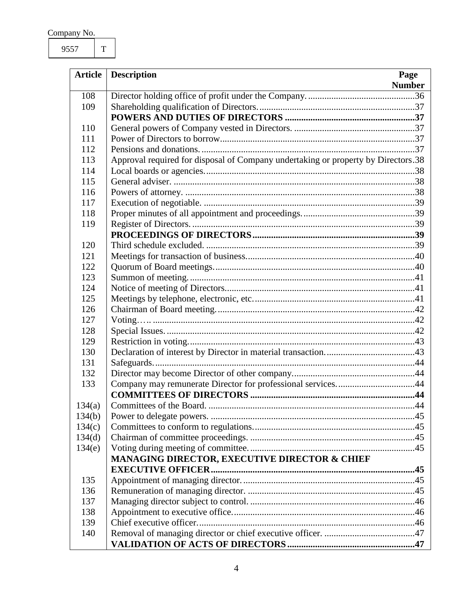9557 T

| <b>Article</b> | <b>Description</b><br>Page                                                        |  |
|----------------|-----------------------------------------------------------------------------------|--|
|                | <b>Number</b>                                                                     |  |
| 108            |                                                                                   |  |
| 109            |                                                                                   |  |
|                |                                                                                   |  |
| 110            |                                                                                   |  |
| 111            |                                                                                   |  |
| 112            |                                                                                   |  |
| 113            | Approval required for disposal of Company undertaking or property by Directors.38 |  |
| 114            |                                                                                   |  |
| 115            |                                                                                   |  |
| 116            |                                                                                   |  |
| 117            |                                                                                   |  |
| 118            |                                                                                   |  |
| 119            |                                                                                   |  |
|                |                                                                                   |  |
| 120            |                                                                                   |  |
| 121            |                                                                                   |  |
| 122            |                                                                                   |  |
| 123            |                                                                                   |  |
| 124            |                                                                                   |  |
| 125            |                                                                                   |  |
| 126            |                                                                                   |  |
| 127            |                                                                                   |  |
| 128            |                                                                                   |  |
| 129            |                                                                                   |  |
| 130            |                                                                                   |  |
| 131            |                                                                                   |  |
| 132            |                                                                                   |  |
| 133            | Company may remunerate Director for professional services44                       |  |
|                |                                                                                   |  |
| 134(a)         |                                                                                   |  |
| 134(b)         |                                                                                   |  |
| 134(c)         |                                                                                   |  |
| 134(d)         |                                                                                   |  |
| 134(e)         |                                                                                   |  |
|                | MANAGING DIRECTOR, EXECUTIVE DIRECTOR & CHIEF                                     |  |
|                |                                                                                   |  |
| 135            |                                                                                   |  |
| 136            |                                                                                   |  |
| 137            |                                                                                   |  |
| 138            |                                                                                   |  |
| 139            |                                                                                   |  |
| 140            |                                                                                   |  |
|                |                                                                                   |  |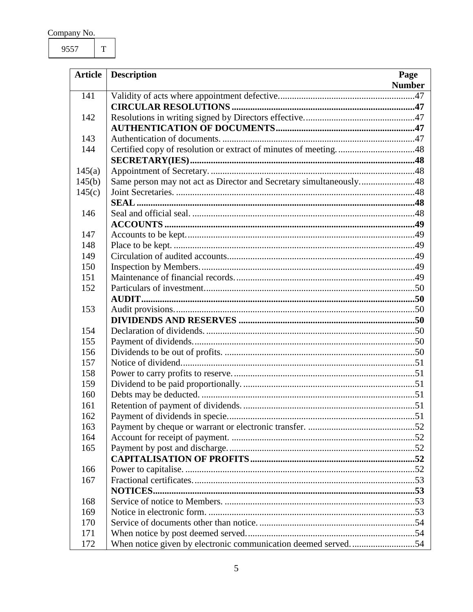9557  $\rm T$ 

| <b>Article</b> | <b>Description</b><br>Page                                         |               |
|----------------|--------------------------------------------------------------------|---------------|
|                |                                                                    | <b>Number</b> |
| 141            |                                                                    |               |
|                |                                                                    |               |
| 142            |                                                                    |               |
|                |                                                                    |               |
| 143            |                                                                    |               |
| 144            | Certified copy of resolution or extract of minutes of meeting48    |               |
|                |                                                                    |               |
| 145(a)         |                                                                    |               |
| 145(b)         | Same person may not act as Director and Secretary simultaneously48 |               |
| 145(c)         |                                                                    |               |
|                |                                                                    |               |
| 146            |                                                                    |               |
|                |                                                                    |               |
| 147            |                                                                    |               |
| 148            |                                                                    |               |
| 149            |                                                                    |               |
| 150            |                                                                    |               |
| 151            |                                                                    |               |
| 152            |                                                                    |               |
|                |                                                                    |               |
| 153            |                                                                    |               |
|                |                                                                    |               |
| 154            |                                                                    |               |
| 155            |                                                                    |               |
| 156            |                                                                    |               |
| 157            |                                                                    |               |
| 158            |                                                                    |               |
| 159            |                                                                    |               |
| 160            |                                                                    |               |
| 161            |                                                                    |               |
| 162            |                                                                    |               |
| 163            |                                                                    |               |
| 164            |                                                                    |               |
| 165            |                                                                    |               |
|                |                                                                    |               |
| 166            |                                                                    |               |
| 167            |                                                                    |               |
|                |                                                                    |               |
| 168            |                                                                    |               |
| 169            |                                                                    |               |
| 170            |                                                                    |               |
| 171            |                                                                    |               |
| 172            | When notice given by electronic communication deemed served54      |               |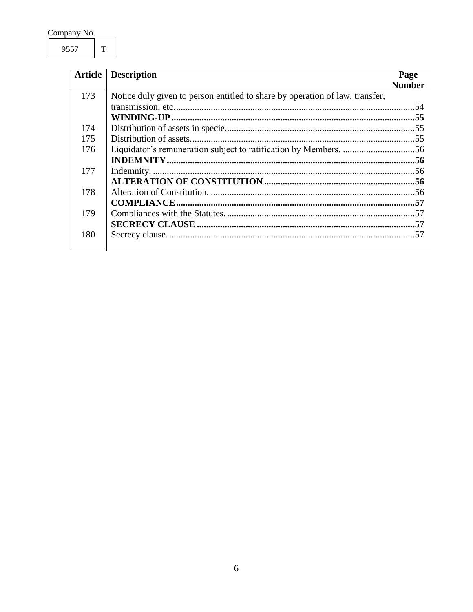9557  $\rm T$ 

| <b>Article</b> | <b>Description</b>                                                           | Page          |
|----------------|------------------------------------------------------------------------------|---------------|
|                |                                                                              | <b>Number</b> |
| 173            | Notice duly given to person entitled to share by operation of law, transfer, |               |
|                |                                                                              |               |
|                |                                                                              |               |
| 174            |                                                                              |               |
| 175            |                                                                              |               |
| 176            |                                                                              |               |
|                |                                                                              |               |
| 177            |                                                                              |               |
|                |                                                                              |               |
| 178            |                                                                              |               |
|                |                                                                              |               |
| 179            |                                                                              |               |
|                |                                                                              |               |
| 180            |                                                                              |               |
|                |                                                                              |               |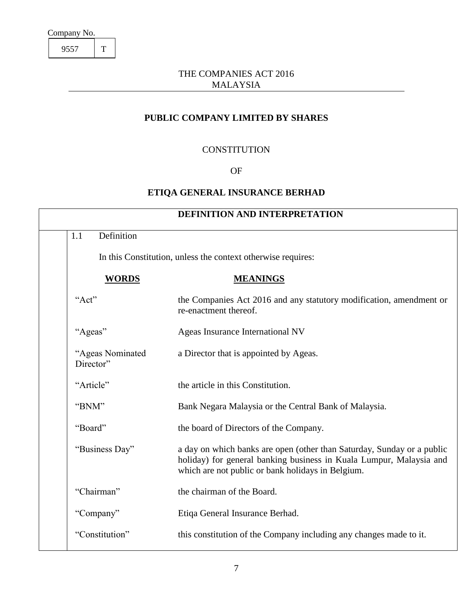9557 T

### THE COMPANIES ACT 2016 MALAYSIA

### **PUBLIC COMPANY LIMITED BY SHARES**

#### **CONSTITUTION**

#### OF

### **ETIQA GENERAL INSURANCE BERHAD**

<span id="page-7-1"></span><span id="page-7-0"></span>

| <b>DEFINITION AND INTERPRETATION</b> |                                                                                                                                                                                                    |  |  |
|--------------------------------------|----------------------------------------------------------------------------------------------------------------------------------------------------------------------------------------------------|--|--|
| Definition<br>1.1                    |                                                                                                                                                                                                    |  |  |
|                                      | In this Constitution, unless the context otherwise requires:                                                                                                                                       |  |  |
| <b>WORDS</b>                         | <b>MEANINGS</b>                                                                                                                                                                                    |  |  |
| "Act"                                | the Companies Act 2016 and any statutory modification, amendment or<br>re-enactment thereof.                                                                                                       |  |  |
| "Ageas"                              | Ageas Insurance International NV                                                                                                                                                                   |  |  |
| "Ageas Nominated<br>Director"        | a Director that is appointed by Ageas.                                                                                                                                                             |  |  |
| "Article"                            | the article in this Constitution.                                                                                                                                                                  |  |  |
| "BNM"                                | Bank Negara Malaysia or the Central Bank of Malaysia.                                                                                                                                              |  |  |
| "Board"                              | the board of Directors of the Company.                                                                                                                                                             |  |  |
| "Business Day"                       | a day on which banks are open (other than Saturday, Sunday or a public<br>holiday) for general banking business in Kuala Lumpur, Malaysia and<br>which are not public or bank holidays in Belgium. |  |  |
| "Chairman"                           | the chairman of the Board.                                                                                                                                                                         |  |  |
| "Company"                            | Etiqa General Insurance Berhad.                                                                                                                                                                    |  |  |
| "Constitution"                       | this constitution of the Company including any changes made to it.                                                                                                                                 |  |  |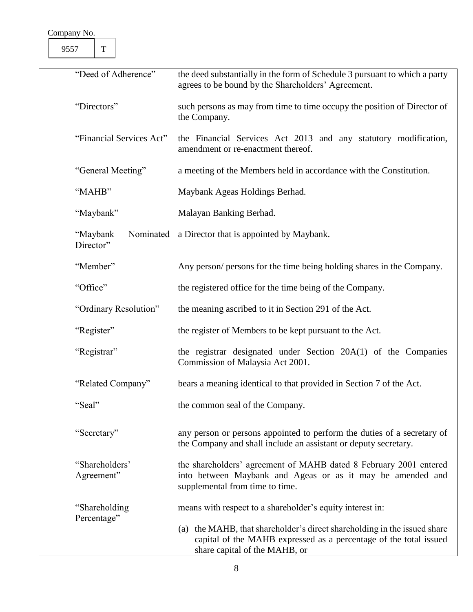9557 T

| "Deed of Adherence"                | the deed substantially in the form of Schedule 3 pursuant to which a party<br>agrees to be bound by the Shareholders' Agreement.                                               |  |  |
|------------------------------------|--------------------------------------------------------------------------------------------------------------------------------------------------------------------------------|--|--|
| "Directors"                        | such persons as may from time to time occupy the position of Director of<br>the Company.                                                                                       |  |  |
| "Financial Services Act"           | the Financial Services Act 2013 and any statutory modification,<br>amendment or re-enactment thereof.                                                                          |  |  |
| "General Meeting"                  | a meeting of the Members held in accordance with the Constitution.                                                                                                             |  |  |
| "MAHB"                             | Maybank Ageas Holdings Berhad.                                                                                                                                                 |  |  |
| "Maybank"                          | Malayan Banking Berhad.                                                                                                                                                        |  |  |
| "Maybank<br>Nominated<br>Director" | a Director that is appointed by Maybank.                                                                                                                                       |  |  |
| "Member"                           | Any person/ persons for the time being holding shares in the Company.                                                                                                          |  |  |
| "Office"                           | the registered office for the time being of the Company.                                                                                                                       |  |  |
| "Ordinary Resolution"              | the meaning ascribed to it in Section 291 of the Act.                                                                                                                          |  |  |
| "Register"                         | the register of Members to be kept pursuant to the Act.                                                                                                                        |  |  |
| "Registrar"                        | the registrar designated under Section 20A(1) of the Companies<br>Commission of Malaysia Act 2001.                                                                             |  |  |
| "Related Company"                  | bears a meaning identical to that provided in Section 7 of the Act.                                                                                                            |  |  |
| "Seal"                             | the common seal of the Company.                                                                                                                                                |  |  |
| "Secretary"                        | any person or persons appointed to perform the duties of a secretary of<br>the Company and shall include an assistant or deputy secretary.                                     |  |  |
| "Shareholders"<br>Agreement"       | the shareholders' agreement of MAHB dated 8 February 2001 entered<br>into between Maybank and Ageas or as it may be amended and<br>supplemental from time to time.             |  |  |
| "Shareholding<br>Percentage"       | means with respect to a shareholder's equity interest in:                                                                                                                      |  |  |
|                                    | (a) the MAHB, that shareholder's direct shareholding in the issued share<br>capital of the MAHB expressed as a percentage of the total issued<br>share capital of the MAHB, or |  |  |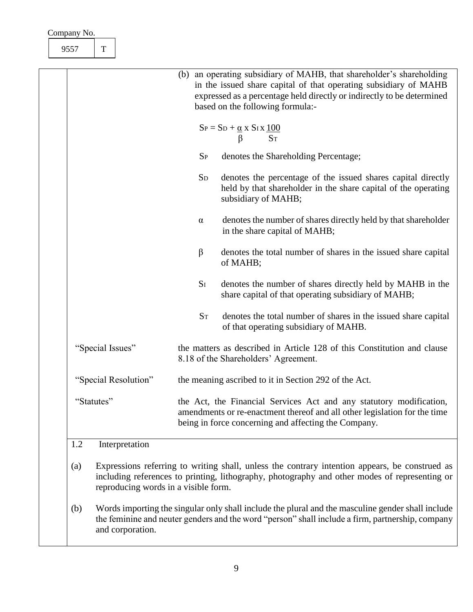| $\mathbf T$<br>9557   |                                                                                                                                                                                                                                                        |
|-----------------------|--------------------------------------------------------------------------------------------------------------------------------------------------------------------------------------------------------------------------------------------------------|
|                       | (b) an operating subsidiary of MAHB, that shareholder's shareholding<br>in the issued share capital of that operating subsidiary of MAHB<br>expressed as a percentage held directly or indirectly to be determined<br>based on the following formula:- |
|                       | $S_P = S_D + \frac{\alpha}{\beta} x S_I x \frac{100}{S_T}$                                                                                                                                                                                             |
|                       | denotes the Shareholding Percentage;<br>$S_{P}$                                                                                                                                                                                                        |
|                       | <b>SD</b><br>denotes the percentage of the issued shares capital directly<br>held by that shareholder in the share capital of the operating<br>subsidiary of MAHB;                                                                                     |
|                       | denotes the number of shares directly held by that shareholder<br>$\alpha$<br>in the share capital of MAHB;                                                                                                                                            |
|                       | $\beta$<br>denotes the total number of shares in the issued share capital<br>of MAHB;                                                                                                                                                                  |
|                       | $S_I$<br>denotes the number of shares directly held by MAHB in the<br>share capital of that operating subsidiary of MAHB;                                                                                                                              |
|                       | $S_T$<br>denotes the total number of shares in the issued share capital<br>of that operating subsidiary of MAHB.                                                                                                                                       |
| "Special Issues"      | the matters as described in Article 128 of this Constitution and clause<br>8.18 of the Shareholders' Agreement.                                                                                                                                        |
| "Special Resolution"  | the meaning ascribed to it in Section 292 of the Act.                                                                                                                                                                                                  |
| "Statutes"            | the Act, the Financial Services Act and any statutory modification,<br>amendments or re-enactment thereof and all other legislation for the time<br>being in force concerning and affecting the Company.                                               |
| Interpretation<br>1.2 |                                                                                                                                                                                                                                                        |

- <span id="page-9-0"></span>(a) Expressions referring to writing shall, unless the contrary intention appears, be construed as including references to printing, lithography, photography and other modes of representing or reproducing words in a visible form.
- (b) Words importing the singular only shall include the plural and the masculine gender shall include the feminine and neuter genders and the word "person" shall include a firm, partnership, company and corporation.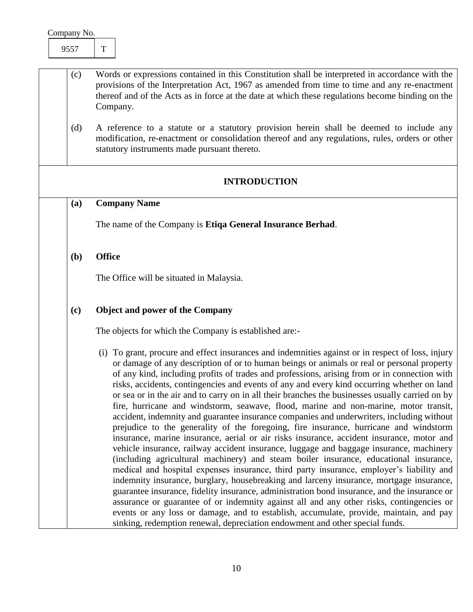- (c) Words or expressions contained in this Constitution shall be interpreted in accordance with the provisions of the Interpretation Act, 1967 as amended from time to time and any re-enactment thereof and of the Acts as in force at the date at which these regulations become binding on the Company.
	- (d) A reference to a statute or a statutory provision herein shall be deemed to include any modification, re-enactment or consolidation thereof and any regulations, rules, orders or other statutory instruments made pursuant thereto.

#### **INTRODUCTION**

#### <span id="page-10-1"></span><span id="page-10-0"></span>**(a) Company Name**

The name of the Company is **Etiqa General Insurance Berhad**.

#### <span id="page-10-2"></span>**(b) Office**

The Office will be situated in Malaysia.

#### <span id="page-10-3"></span>**(c) Object and power of the Company**

The objects for which the Company is established are:-

(i) To grant, procure and effect insurances and indemnities against or in respect of loss, injury or damage of any description of or to human beings or animals or real or personal property of any kind, including profits of trades and professions, arising from or in connection with risks, accidents, contingencies and events of any and every kind occurring whether on land or sea or in the air and to carry on in all their branches the businesses usually carried on by fire, hurricane and windstorm, seawave, flood, marine and non-marine, motor transit, accident, indemnity and guarantee insurance companies and underwriters, including without prejudice to the generality of the foregoing, fire insurance, hurricane and windstorm insurance, marine insurance, aerial or air risks insurance, accident insurance, motor and vehicle insurance, railway accident insurance, luggage and baggage insurance, machinery (including agricultural machinery) and steam boiler insurance, educational insurance, medical and hospital expenses insurance, third party insurance, employer's liability and indemnity insurance, burglary, housebreaking and larceny insurance, mortgage insurance, guarantee insurance, fidelity insurance, administration bond insurance, and the insurance or assurance or guarantee of or indemnity against all and any other risks, contingencies or events or any loss or damage, and to establish, accumulate, provide, maintain, and pay sinking, redemption renewal, depreciation endowment and other special funds.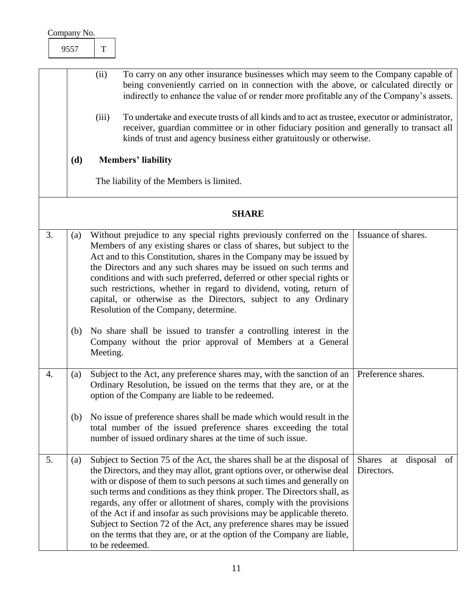| Company No. |               |                                                                                                                                                                                                                                                                                                                                                                             |
|-------------|---------------|-----------------------------------------------------------------------------------------------------------------------------------------------------------------------------------------------------------------------------------------------------------------------------------------------------------------------------------------------------------------------------|
| 9557        | T             |                                                                                                                                                                                                                                                                                                                                                                             |
|             | (ii)<br>(iii) | To carry on any other insurance businesses which may seem to the Company capable of<br>being conveniently carried on in connection with the above, or calculated directly or<br>indirectly to enhance the value of or render more profitable any of the Company's assets.<br>To undertake and execute trusts of all kinds and to act as trustee, executor or administrator, |
| (d)         |               | receiver, guardian committee or in other fiduciary position and generally to transact all<br>kinds of trust and agency business either gratuitously or otherwise.<br><b>Members' liability</b>                                                                                                                                                                              |
|             |               | The liability of the Members is limited.                                                                                                                                                                                                                                                                                                                                    |

<span id="page-11-4"></span><span id="page-11-3"></span><span id="page-11-2"></span><span id="page-11-1"></span><span id="page-11-0"></span>

|    | <b>SHARE</b> |                                                                                                                                                                                                                                                                                                                                                                                                                                                                                                                                                                                                                                      |                                                     |  |  |
|----|--------------|--------------------------------------------------------------------------------------------------------------------------------------------------------------------------------------------------------------------------------------------------------------------------------------------------------------------------------------------------------------------------------------------------------------------------------------------------------------------------------------------------------------------------------------------------------------------------------------------------------------------------------------|-----------------------------------------------------|--|--|
| 3. | (a)          | Without prejudice to any special rights previously conferred on the<br>Issuance of shares.<br>Members of any existing shares or class of shares, but subject to the<br>Act and to this Constitution, shares in the Company may be issued by<br>the Directors and any such shares may be issued on such terms and<br>conditions and with such preferred, deferred or other special rights or<br>such restrictions, whether in regard to dividend, voting, return of<br>capital, or otherwise as the Directors, subject to any Ordinary<br>Resolution of the Company, determine.                                                       |                                                     |  |  |
|    | (b)          | No share shall be issued to transfer a controlling interest in the<br>Company without the prior approval of Members at a General<br>Meeting.                                                                                                                                                                                                                                                                                                                                                                                                                                                                                         |                                                     |  |  |
| 4. | (a)          | Subject to the Act, any preference shares may, with the sanction of an<br>Ordinary Resolution, be issued on the terms that they are, or at the<br>option of the Company are liable to be redeemed.                                                                                                                                                                                                                                                                                                                                                                                                                                   | Preference shares.                                  |  |  |
|    | (b)          | No issue of preference shares shall be made which would result in the<br>total number of the issued preference shares exceeding the total<br>number of issued ordinary shares at the time of such issue.                                                                                                                                                                                                                                                                                                                                                                                                                             |                                                     |  |  |
| 5. | (a)          | Subject to Section 75 of the Act, the shares shall be at the disposal of<br>the Directors, and they may allot, grant options over, or otherwise deal<br>with or dispose of them to such persons at such times and generally on<br>such terms and conditions as they think proper. The Directors shall, as<br>regards, any offer or allotment of shares, comply with the provisions<br>of the Act if and insofar as such provisions may be applicable thereto.<br>Subject to Section 72 of the Act, any preference shares may be issued<br>on the terms that they are, or at the option of the Company are liable,<br>to be redeemed. | <b>Shares</b><br>disposal<br>of<br>at<br>Directors. |  |  |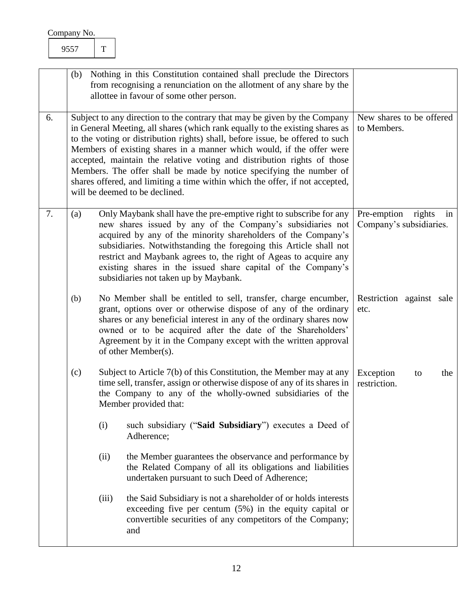<span id="page-12-3"></span><span id="page-12-2"></span><span id="page-12-1"></span><span id="page-12-0"></span>

|    | Nothing in this Constitution contained shall preclude the Directors<br>(b)<br>from recognising a renunciation on the allotment of any share by the<br>allottee in favour of some other person.                                                                                                                                                                                                                                                                                                                                                                                          |       |                                                                                                                                                                                                                                                                                                                                                                                                                                                       |                                                     |
|----|-----------------------------------------------------------------------------------------------------------------------------------------------------------------------------------------------------------------------------------------------------------------------------------------------------------------------------------------------------------------------------------------------------------------------------------------------------------------------------------------------------------------------------------------------------------------------------------------|-------|-------------------------------------------------------------------------------------------------------------------------------------------------------------------------------------------------------------------------------------------------------------------------------------------------------------------------------------------------------------------------------------------------------------------------------------------------------|-----------------------------------------------------|
| 6. | Subject to any direction to the contrary that may be given by the Company<br>in General Meeting, all shares (which rank equally to the existing shares as<br>to the voting or distribution rights) shall, before issue, be offered to such<br>Members of existing shares in a manner which would, if the offer were<br>accepted, maintain the relative voting and distribution rights of those<br>Members. The offer shall be made by notice specifying the number of<br>shares offered, and limiting a time within which the offer, if not accepted,<br>will be deemed to be declined. |       |                                                                                                                                                                                                                                                                                                                                                                                                                                                       | New shares to be offered<br>to Members.             |
| 7. | (a)                                                                                                                                                                                                                                                                                                                                                                                                                                                                                                                                                                                     |       | Only Maybank shall have the pre-emptive right to subscribe for any<br>new shares issued by any of the Company's subsidiaries not<br>acquired by any of the minority shareholders of the Company's<br>subsidiaries. Notwithstanding the foregoing this Article shall not<br>restrict and Maybank agrees to, the right of Ageas to acquire any<br>existing shares in the issued share capital of the Company's<br>subsidiaries not taken up by Maybank. | Pre-emption rights<br>in<br>Company's subsidiaries. |
|    | (b)                                                                                                                                                                                                                                                                                                                                                                                                                                                                                                                                                                                     |       | No Member shall be entitled to sell, transfer, charge encumber,<br>grant, options over or otherwise dispose of any of the ordinary<br>shares or any beneficial interest in any of the ordinary shares now<br>owned or to be acquired after the date of the Shareholders'<br>Agreement by it in the Company except with the written approval<br>of other Member(s).                                                                                    | Restriction against sale<br>etc.                    |
|    | (c)                                                                                                                                                                                                                                                                                                                                                                                                                                                                                                                                                                                     |       | Subject to Article 7(b) of this Constitution, the Member may at any<br>time sell, transfer, assign or otherwise dispose of any of its shares in<br>the Company to any of the wholly-owned subsidiaries of the<br>Member provided that:                                                                                                                                                                                                                | Exception<br>the<br>to<br>restriction.              |
|    |                                                                                                                                                                                                                                                                                                                                                                                                                                                                                                                                                                                         | (i)   | such subsidiary ("Said Subsidiary") executes a Deed of<br>Adherence;                                                                                                                                                                                                                                                                                                                                                                                  |                                                     |
|    |                                                                                                                                                                                                                                                                                                                                                                                                                                                                                                                                                                                         | (ii)  | the Member guarantees the observance and performance by<br>the Related Company of all its obligations and liabilities<br>undertaken pursuant to such Deed of Adherence;                                                                                                                                                                                                                                                                               |                                                     |
|    |                                                                                                                                                                                                                                                                                                                                                                                                                                                                                                                                                                                         | (iii) | the Said Subsidiary is not a shareholder of or holds interests<br>exceeding five per centum $(5%)$ in the equity capital or<br>convertible securities of any competitors of the Company;<br>and                                                                                                                                                                                                                                                       |                                                     |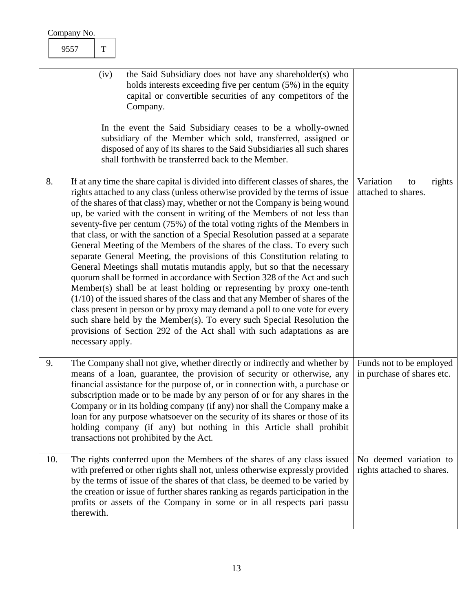<span id="page-13-2"></span><span id="page-13-1"></span><span id="page-13-0"></span>

|    | Company No. |                  |             |                                                                                                                                                                                                                                                                                                                                                                                                                                                                                                                                                                                                                                                                                                                                                                                                                                                                                                                                                                                                                                                                                                                                                                                                                  |                                                      |
|----|-------------|------------------|-------------|------------------------------------------------------------------------------------------------------------------------------------------------------------------------------------------------------------------------------------------------------------------------------------------------------------------------------------------------------------------------------------------------------------------------------------------------------------------------------------------------------------------------------------------------------------------------------------------------------------------------------------------------------------------------------------------------------------------------------------------------------------------------------------------------------------------------------------------------------------------------------------------------------------------------------------------------------------------------------------------------------------------------------------------------------------------------------------------------------------------------------------------------------------------------------------------------------------------|------------------------------------------------------|
|    |             | 9557             | $\mathbf T$ |                                                                                                                                                                                                                                                                                                                                                                                                                                                                                                                                                                                                                                                                                                                                                                                                                                                                                                                                                                                                                                                                                                                                                                                                                  |                                                      |
|    |             |                  | (iv)        | the Said Subsidiary does not have any shareholder(s) who<br>holds interests exceeding five per centum (5%) in the equity<br>capital or convertible securities of any competitors of the<br>Company.<br>In the event the Said Subsidiary ceases to be a wholly-owned<br>subsidiary of the Member which sold, transferred, assigned or<br>disposed of any of its shares to the Said Subsidiaries all such shares<br>shall forthwith be transferred back to the Member.                                                                                                                                                                                                                                                                                                                                                                                                                                                                                                                                                                                                                                                                                                                                             |                                                      |
| 8. |             | necessary apply. |             | If at any time the share capital is divided into different classes of shares, the<br>rights attached to any class (unless otherwise provided by the terms of issue<br>of the shares of that class) may, whether or not the Company is being wound<br>up, be varied with the consent in writing of the Members of not less than<br>seventy-five per centum (75%) of the total voting rights of the Members in<br>that class, or with the sanction of a Special Resolution passed at a separate<br>General Meeting of the Members of the shares of the class. To every such<br>separate General Meeting, the provisions of this Constitution relating to<br>General Meetings shall mutatis mutandis apply, but so that the necessary<br>quorum shall be formed in accordance with Section 328 of the Act and such<br>Member(s) shall be at least holding or representing by proxy one-tenth<br>$(1/10)$ of the issued shares of the class and that any Member of shares of the<br>class present in person or by proxy may demand a poll to one vote for every<br>such share held by the Member(s). To every such Special Resolution the<br>provisions of Section 292 of the Act shall with such adaptations as are | Variation<br>rights<br>to<br>attached to shares.     |
| 9. |             |                  |             | The Company shall not give, whether directly or indirectly and whether by Funds not to be employed<br>means of a loan, guarantee, the provision of security or otherwise, any in purchase of shares etc.<br>financial assistance for the purpose of, or in connection with, a purchase or<br>subscription made or to be made by any person of or for any shares in the<br>Company or in its holding company (if any) nor shall the Company make a<br>loan for any purpose whatsoever on the security of its shares or those of its<br>holding company (if any) but nothing in this Article shall prohibit<br>transactions not prohibited by the Act.                                                                                                                                                                                                                                                                                                                                                                                                                                                                                                                                                             |                                                      |
|    | 10.         | therewith.       |             | The rights conferred upon the Members of the shares of any class issued<br>with preferred or other rights shall not, unless otherwise expressly provided<br>by the terms of issue of the shares of that class, be deemed to be varied by<br>the creation or issue of further shares ranking as regards participation in the<br>profits or assets of the Company in some or in all respects pari passu                                                                                                                                                                                                                                                                                                                                                                                                                                                                                                                                                                                                                                                                                                                                                                                                            | No deemed variation to<br>rights attached to shares. |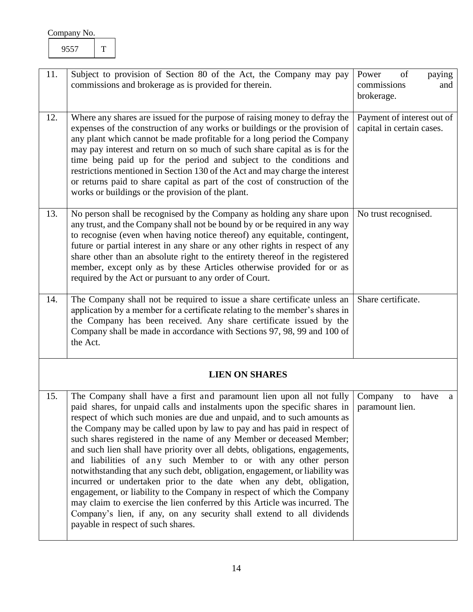<span id="page-14-5"></span><span id="page-14-4"></span><span id="page-14-3"></span><span id="page-14-2"></span><span id="page-14-1"></span><span id="page-14-0"></span>

| 11. | Subject to provision of Section 80 of the Act, the Company may pay<br>commissions and brokerage as is provided for therein.                                                                                                                                                                                                                                                                                                                                                                                                                                                                                                                                                                                                                                                                                                                                                                                                                                     | of<br>paying<br>Power<br>commissions<br>and<br>brokerage. |
|-----|-----------------------------------------------------------------------------------------------------------------------------------------------------------------------------------------------------------------------------------------------------------------------------------------------------------------------------------------------------------------------------------------------------------------------------------------------------------------------------------------------------------------------------------------------------------------------------------------------------------------------------------------------------------------------------------------------------------------------------------------------------------------------------------------------------------------------------------------------------------------------------------------------------------------------------------------------------------------|-----------------------------------------------------------|
| 12. | Where any shares are issued for the purpose of raising money to defray the<br>expenses of the construction of any works or buildings or the provision of<br>any plant which cannot be made profitable for a long period the Company<br>may pay interest and return on so much of such share capital as is for the<br>time being paid up for the period and subject to the conditions and<br>restrictions mentioned in Section 130 of the Act and may charge the interest<br>or returns paid to share capital as part of the cost of construction of the<br>works or buildings or the provision of the plant.                                                                                                                                                                                                                                                                                                                                                    | Payment of interest out of<br>capital in certain cases.   |
| 13. | No person shall be recognised by the Company as holding any share upon<br>any trust, and the Company shall not be bound by or be required in any way<br>to recognise (even when having notice thereof) any equitable, contingent,<br>future or partial interest in any share or any other rights in respect of any<br>share other than an absolute right to the entirety thereof in the registered<br>member, except only as by these Articles otherwise provided for or as<br>required by the Act or pursuant to any order of Court.                                                                                                                                                                                                                                                                                                                                                                                                                           | No trust recognised.                                      |
| 14. | The Company shall not be required to issue a share certificate unless an<br>application by a member for a certificate relating to the member's shares in<br>the Company has been received. Any share certificate issued by the<br>Company shall be made in accordance with Sections 97, 98, 99 and 100 of<br>the Act.                                                                                                                                                                                                                                                                                                                                                                                                                                                                                                                                                                                                                                           | Share certificate.                                        |
|     | <b>LIEN ON SHARES</b>                                                                                                                                                                                                                                                                                                                                                                                                                                                                                                                                                                                                                                                                                                                                                                                                                                                                                                                                           |                                                           |
| 15. | The Company shall have a first and paramount lien upon all not fully<br>paid shares, for unpaid calls and instalments upon the specific shares in<br>respect of which such monies are due and unpaid, and to such amounts as<br>the Company may be called upon by law to pay and has paid in respect of<br>such shares registered in the name of any Member or deceased Member;<br>and such lien shall have priority over all debts, obligations, engagements,<br>and liabilities of any such Member to or with any other person<br>notwithstanding that any such debt, obligation, engagement, or liability was<br>incurred or undertaken prior to the date when any debt, obligation,<br>engagement, or liability to the Company in respect of which the Company<br>may claim to exercise the lien conferred by this Article was incurred. The<br>Company's lien, if any, on any security shall extend to all dividends<br>payable in respect of such shares. | Company<br>have<br>to<br>a<br>paramount lien.             |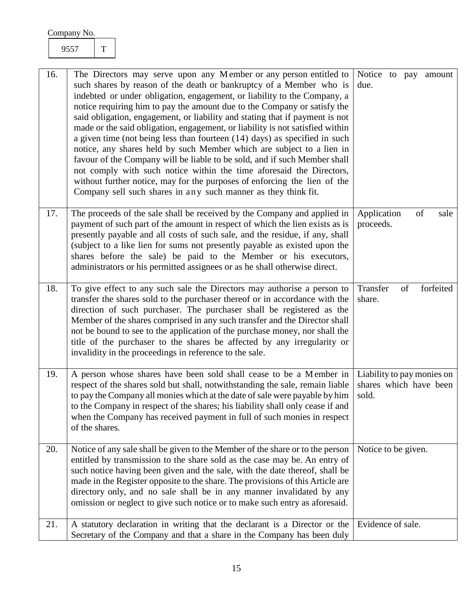<span id="page-15-5"></span><span id="page-15-4"></span><span id="page-15-3"></span><span id="page-15-2"></span><span id="page-15-1"></span><span id="page-15-0"></span>

| 16. | The Directors may serve upon any Member or any person entitled to<br>such shares by reason of the death or bankruptcy of a Member who is<br>indebted or under obligation, engagement, or liability to the Company, a<br>notice requiring him to pay the amount due to the Company or satisfy the<br>said obligation, engagement, or liability and stating that if payment is not<br>made or the said obligation, engagement, or liability is not satisfied within<br>a given time (not being less than fourteen (14) days) as specified in such<br>notice, any shares held by such Member which are subject to a lien in<br>favour of the Company will be liable to be sold, and if such Member shall<br>not comply with such notice within the time aforesaid the Directors,<br>without further notice, may for the purposes of enforcing the lien of the<br>Company sell such shares in any such manner as they think fit. | Notice to pay amount<br>due.                                  |
|-----|------------------------------------------------------------------------------------------------------------------------------------------------------------------------------------------------------------------------------------------------------------------------------------------------------------------------------------------------------------------------------------------------------------------------------------------------------------------------------------------------------------------------------------------------------------------------------------------------------------------------------------------------------------------------------------------------------------------------------------------------------------------------------------------------------------------------------------------------------------------------------------------------------------------------------|---------------------------------------------------------------|
| 17. | The proceeds of the sale shall be received by the Company and applied in<br>payment of such part of the amount in respect of which the lien exists as is<br>presently payable and all costs of such sale, and the residue, if any, shall<br>(subject to a like lien for sums not presently payable as existed upon the<br>shares before the sale) be paid to the Member or his executors,<br>administrators or his permitted assignees or as he shall otherwise direct.                                                                                                                                                                                                                                                                                                                                                                                                                                                      | Application<br>of<br>sale<br>proceeds.                        |
| 18. | To give effect to any such sale the Directors may authorise a person to<br>transfer the shares sold to the purchaser thereof or in accordance with the<br>direction of such purchaser. The purchaser shall be registered as the<br>Member of the shares comprised in any such transfer and the Director shall<br>not be bound to see to the application of the purchase money, nor shall the<br>title of the purchaser to the shares be affected by any irregularity or<br>invalidity in the proceedings in reference to the sale.                                                                                                                                                                                                                                                                                                                                                                                           | forfeited<br>Transfer<br>of<br>share.                         |
| 19. | A person whose shares have been sold shall cease to be a Member in<br>respect of the shares sold but shall, notwithstanding the sale, remain liable<br>to pay the Company all monies which at the date of sale were payable by him<br>to the Company in respect of the shares; his liability shall only cease if and<br>when the Company has received payment in full of such monies in respect<br>of the shares.                                                                                                                                                                                                                                                                                                                                                                                                                                                                                                            | Liability to pay monies on<br>shares which have been<br>sold. |
| 20. | Notice of any sale shall be given to the Member of the share or to the person<br>entitled by transmission to the share sold as the case may be. An entry of<br>such notice having been given and the sale, with the date thereof, shall be<br>made in the Register opposite to the share. The provisions of this Article are<br>directory only, and no sale shall be in any manner invalidated by any<br>omission or neglect to give such notice or to make such entry as aforesaid.                                                                                                                                                                                                                                                                                                                                                                                                                                         | Notice to be given.                                           |
| 21. | A statutory declaration in writing that the declarant is a Director or the<br>Secretary of the Company and that a share in the Company has been duly                                                                                                                                                                                                                                                                                                                                                                                                                                                                                                                                                                                                                                                                                                                                                                         | Evidence of sale.                                             |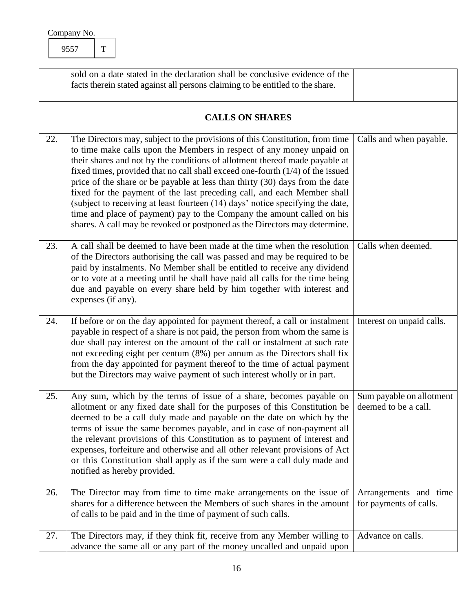<span id="page-16-6"></span><span id="page-16-5"></span><span id="page-16-4"></span><span id="page-16-3"></span><span id="page-16-2"></span><span id="page-16-1"></span><span id="page-16-0"></span>

|     | sold on a date stated in the declaration shall be conclusive evidence of the<br>facts therein stated against all persons claiming to be entitled to the share.                                                                                                                                                                                                                                                                                                                                                                                                                                                                                                                                                                |                                                  |
|-----|-------------------------------------------------------------------------------------------------------------------------------------------------------------------------------------------------------------------------------------------------------------------------------------------------------------------------------------------------------------------------------------------------------------------------------------------------------------------------------------------------------------------------------------------------------------------------------------------------------------------------------------------------------------------------------------------------------------------------------|--------------------------------------------------|
|     | <b>CALLS ON SHARES</b>                                                                                                                                                                                                                                                                                                                                                                                                                                                                                                                                                                                                                                                                                                        |                                                  |
| 22. | The Directors may, subject to the provisions of this Constitution, from time<br>to time make calls upon the Members in respect of any money unpaid on<br>their shares and not by the conditions of allotment thereof made payable at<br>fixed times, provided that no call shall exceed one-fourth $(1/4)$ of the issued<br>price of the share or be payable at less than thirty (30) days from the date<br>fixed for the payment of the last preceding call, and each Member shall<br>(subject to receiving at least fourteen (14) days' notice specifying the date,<br>time and place of payment) pay to the Company the amount called on his<br>shares. A call may be revoked or postponed as the Directors may determine. | Calls and when payable.                          |
| 23. | A call shall be deemed to have been made at the time when the resolution<br>of the Directors authorising the call was passed and may be required to be<br>paid by instalments. No Member shall be entitled to receive any dividend<br>or to vote at a meeting until he shall have paid all calls for the time being<br>due and payable on every share held by him together with interest and<br>expenses (if any).                                                                                                                                                                                                                                                                                                            | Calls when deemed.                               |
| 24. | If before or on the day appointed for payment thereof, a call or instalment<br>payable in respect of a share is not paid, the person from whom the same is<br>due shall pay interest on the amount of the call or instalment at such rate<br>not exceeding eight per centum (8%) per annum as the Directors shall fix<br>from the day appointed for payment thereof to the time of actual payment<br>but the Directors may waive payment of such interest wholly or in part.                                                                                                                                                                                                                                                  | Interest on unpaid calls.                        |
| 25. | Any sum, which by the terms of issue of a share, becomes payable on<br>allotment or any fixed date shall for the purposes of this Constitution be<br>deemed to be a call duly made and payable on the date on which by the<br>terms of issue the same becomes payable, and in case of non-payment all<br>the relevant provisions of this Constitution as to payment of interest and<br>expenses, forfeiture and otherwise and all other relevant provisions of Act<br>or this Constitution shall apply as if the sum were a call duly made and<br>notified as hereby provided.                                                                                                                                                | Sum payable on allotment<br>deemed to be a call. |
| 26. | The Director may from time to time make arrangements on the issue of<br>shares for a difference between the Members of such shares in the amount<br>of calls to be paid and in the time of payment of such calls.                                                                                                                                                                                                                                                                                                                                                                                                                                                                                                             | Arrangements and time<br>for payments of calls.  |
| 27. | The Directors may, if they think fit, receive from any Member willing to<br>advance the same all or any part of the money uncalled and unpaid upon                                                                                                                                                                                                                                                                                                                                                                                                                                                                                                                                                                            | Advance on calls.                                |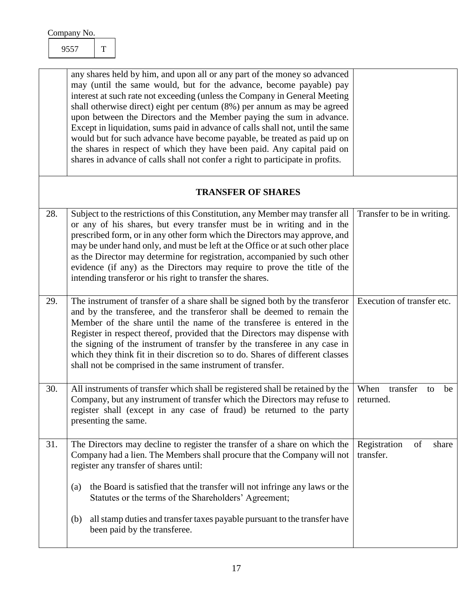<span id="page-17-4"></span><span id="page-17-3"></span><span id="page-17-2"></span><span id="page-17-1"></span><span id="page-17-0"></span>

|     | any shares held by him, and upon all or any part of the money so advanced<br>may (until the same would, but for the advance, become payable) pay<br>interest at such rate not exceeding (unless the Company in General Meeting<br>shall otherwise direct) eight per centum (8%) per annum as may be agreed<br>upon between the Directors and the Member paying the sum in advance.<br>Except in liquidation, sums paid in advance of calls shall not, until the same<br>would but for such advance have become payable, be treated as paid up on<br>the shares in respect of which they have been paid. Any capital paid on<br>shares in advance of calls shall not confer a right to participate in profits. |                                           |
|-----|---------------------------------------------------------------------------------------------------------------------------------------------------------------------------------------------------------------------------------------------------------------------------------------------------------------------------------------------------------------------------------------------------------------------------------------------------------------------------------------------------------------------------------------------------------------------------------------------------------------------------------------------------------------------------------------------------------------|-------------------------------------------|
|     | <b>TRANSFER OF SHARES</b>                                                                                                                                                                                                                                                                                                                                                                                                                                                                                                                                                                                                                                                                                     |                                           |
| 28. | Subject to the restrictions of this Constitution, any Member may transfer all<br>or any of his shares, but every transfer must be in writing and in the<br>prescribed form, or in any other form which the Directors may approve, and<br>may be under hand only, and must be left at the Office or at such other place<br>as the Director may determine for registration, accompanied by such other<br>evidence (if any) as the Directors may require to prove the title of the<br>intending transferor or his right to transfer the shares.                                                                                                                                                                  | Transfer to be in writing.                |
| 29. | The instrument of transfer of a share shall be signed both by the transferor<br>and by the transferee, and the transferor shall be deemed to remain the<br>Member of the share until the name of the transferee is entered in the<br>Register in respect thereof, provided that the Directors may dispense with<br>the signing of the instrument of transfer by the transferee in any case in<br>which they think fit in their discretion so to do. Shares of different classes<br>shall not be comprised in the same instrument of transfer.                                                                                                                                                                 | Execution of transfer etc.                |
| 30. | All instruments of transfer which shall be registered shall be retained by the<br>Company, but any instrument of transfer which the Directors may refuse to<br>register shall (except in any case of fraud) be returned to the party<br>presenting the same.                                                                                                                                                                                                                                                                                                                                                                                                                                                  | When<br>transfer<br>be<br>to<br>returned. |
| 31. | The Directors may decline to register the transfer of a share on which the<br>Company had a lien. The Members shall procure that the Company will not<br>register any transfer of shares until:                                                                                                                                                                                                                                                                                                                                                                                                                                                                                                               | Registration<br>of<br>share<br>transfer.  |
|     | the Board is satisfied that the transfer will not infringe any laws or the<br>(a)<br>Statutes or the terms of the Shareholders' Agreement;                                                                                                                                                                                                                                                                                                                                                                                                                                                                                                                                                                    |                                           |
|     | all stamp duties and transfer taxes payable pursuant to the transfer have<br>(b)<br>been paid by the transferee.                                                                                                                                                                                                                                                                                                                                                                                                                                                                                                                                                                                              |                                           |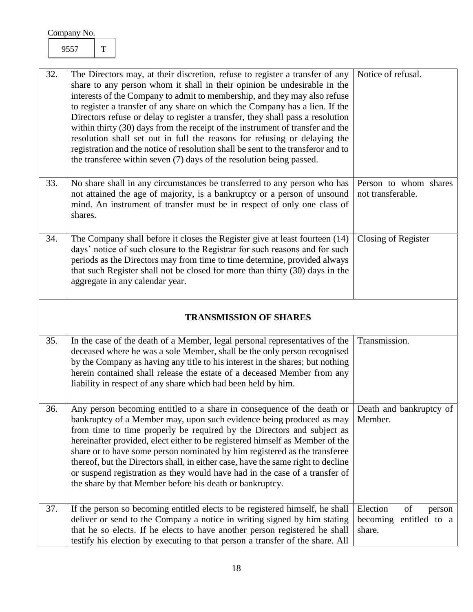<span id="page-18-2"></span><span id="page-18-1"></span><span id="page-18-0"></span>

| 32. | The Directors may, at their discretion, refuse to register a transfer of any<br>share to any person whom it shall in their opinion be undesirable in the<br>interests of the Company to admit to membership, and they may also refuse<br>to register a transfer of any share on which the Company has a lien. If the<br>Directors refuse or delay to register a transfer, they shall pass a resolution<br>within thirty (30) days from the receipt of the instrument of transfer and the<br>resolution shall set out in full the reasons for refusing or delaying the<br>registration and the notice of resolution shall be sent to the transferor and to<br>the transferee within seven (7) days of the resolution being passed. | Notice of refusal.                         |
|-----|-----------------------------------------------------------------------------------------------------------------------------------------------------------------------------------------------------------------------------------------------------------------------------------------------------------------------------------------------------------------------------------------------------------------------------------------------------------------------------------------------------------------------------------------------------------------------------------------------------------------------------------------------------------------------------------------------------------------------------------|--------------------------------------------|
| 33. | No share shall in any circumstances be transferred to any person who has<br>not attained the age of majority, is a bankruptcy or a person of unsound<br>mind. An instrument of transfer must be in respect of only one class of<br>shares.                                                                                                                                                                                                                                                                                                                                                                                                                                                                                        | Person to whom shares<br>not transferable. |
| 34. | The Company shall before it closes the Register give at least fourteen (14)<br>days' notice of such closure to the Registrar for such reasons and for such<br>periods as the Directors may from time to time determine, provided always<br>that such Register shall not be closed for more than thirty (30) days in the<br>aggregate in any calendar year.                                                                                                                                                                                                                                                                                                                                                                        | Closing of Register                        |
|     | <b>TRANSMISSION OF SHARES</b>                                                                                                                                                                                                                                                                                                                                                                                                                                                                                                                                                                                                                                                                                                     |                                            |
| 35. | In the case of the death of a Member, legal personal representatives of the<br>deceased where he was a sole Member, shall be the only person recognised<br>by the Company as having any title to his interest in the shares; but nothing<br>herein contained shall release the estate of a deceased Member from any<br>liability in respect of any share which had been held by him.                                                                                                                                                                                                                                                                                                                                              | Transmission.                              |
| 36. | Any person becoming entitled to a share in consequence of the death or<br>bankruptcy of a Member may, upon such evidence being produced as may<br>from time to time properly be required by the Directors and subject as<br>hereinafter provided, elect either to be registered himself as Member of the                                                                                                                                                                                                                                                                                                                                                                                                                          | Death and bankruptcy of<br>Member.         |

<span id="page-18-6"></span><span id="page-18-5"></span><span id="page-18-4"></span><span id="page-18-3"></span>

|     | hereinafter provided, elect either to be registered himself as Member of the     |                          |    |        |
|-----|----------------------------------------------------------------------------------|--------------------------|----|--------|
|     | share or to have some person nominated by him registered as the transferee       |                          |    |        |
|     | thereof, but the Directors shall, in either case, have the same right to decline |                          |    |        |
|     | or suspend registration as they would have had in the case of a transfer of      |                          |    |        |
|     | the share by that Member before his death or bankruptcy.                         |                          |    |        |
|     |                                                                                  |                          |    |        |
| 37. | If the person so becoming entitled elects to be registered himself, he shall     | Election                 | of | person |
|     | deliver or send to the Company a notice in writing signed by him stating         | becoming entitled to $a$ |    |        |
|     | that he so elects. If he elects to have another person registered he shall       | share.                   |    |        |
|     | testify his election by executing to that person a transfer of the share. All    |                          |    |        |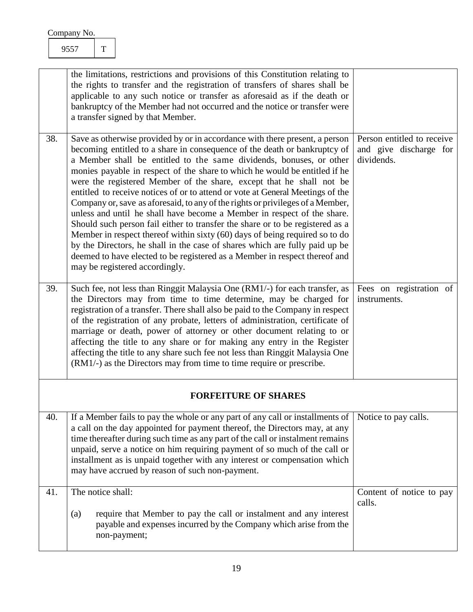<span id="page-19-4"></span><span id="page-19-3"></span><span id="page-19-2"></span><span id="page-19-1"></span><span id="page-19-0"></span>

|     | the limitations, restrictions and provisions of this Constitution relating to<br>the rights to transfer and the registration of transfers of shares shall be<br>applicable to any such notice or transfer as aforesaid as if the death or<br>bankruptcy of the Member had not occurred and the notice or transfer were<br>a transfer signed by that Member.                                                                                                                                                                                                                                                                                                                                                                                                                                                                                                                                                                                                                                         |                                                                    |
|-----|-----------------------------------------------------------------------------------------------------------------------------------------------------------------------------------------------------------------------------------------------------------------------------------------------------------------------------------------------------------------------------------------------------------------------------------------------------------------------------------------------------------------------------------------------------------------------------------------------------------------------------------------------------------------------------------------------------------------------------------------------------------------------------------------------------------------------------------------------------------------------------------------------------------------------------------------------------------------------------------------------------|--------------------------------------------------------------------|
| 38. | Save as otherwise provided by or in accordance with there present, a person<br>becoming entitled to a share in consequence of the death or bankruptcy of<br>a Member shall be entitled to the same dividends, bonuses, or other<br>monies payable in respect of the share to which he would be entitled if he<br>were the registered Member of the share, except that he shall not be<br>entitled to receive notices of or to attend or vote at General Meetings of the<br>Company or, save as aforesaid, to any of the rights or privileges of a Member,<br>unless and until he shall have become a Member in respect of the share.<br>Should such person fail either to transfer the share or to be registered as a<br>Member in respect thereof within sixty (60) days of being required so to do<br>by the Directors, he shall in the case of shares which are fully paid up be<br>deemed to have elected to be registered as a Member in respect thereof and<br>may be registered accordingly. | Person entitled to receive<br>and give discharge for<br>dividends. |
| 39. | Such fee, not less than Ringgit Malaysia One (RM1/-) for each transfer, as<br>the Directors may from time to time determine, may be charged for<br>registration of a transfer. There shall also be paid to the Company in respect<br>of the registration of any probate, letters of administration, certificate of<br>marriage or death, power of attorney or other document relating to or<br>affecting the title to any share or for making any entry in the Register<br>affecting the title to any share such fee not less than Ringgit Malaysia One<br>(RM1/-) as the Directors may from time to time require or prescribe.                                                                                                                                                                                                                                                                                                                                                                     | Fees on registration of<br>instruments.                            |
|     | <b>FORFEITURE OF SHARES</b>                                                                                                                                                                                                                                                                                                                                                                                                                                                                                                                                                                                                                                                                                                                                                                                                                                                                                                                                                                         |                                                                    |
| 40. | If a Member fails to pay the whole or any part of any call or installments of<br>a call on the day appointed for payment thereof, the Directors may, at any<br>time thereafter during such time as any part of the call or instalment remains<br>unpaid, serve a notice on him requiring payment of so much of the call or<br>installment as is unpaid together with any interest or compensation which<br>may have accrued by reason of such non-payment.                                                                                                                                                                                                                                                                                                                                                                                                                                                                                                                                          | Notice to pay calls.                                               |
| 41. | The notice shall:<br>require that Member to pay the call or instalment and any interest<br>(a)<br>payable and expenses incurred by the Company which arise from the<br>non-payment;                                                                                                                                                                                                                                                                                                                                                                                                                                                                                                                                                                                                                                                                                                                                                                                                                 | Content of notice to pay<br>calls.                                 |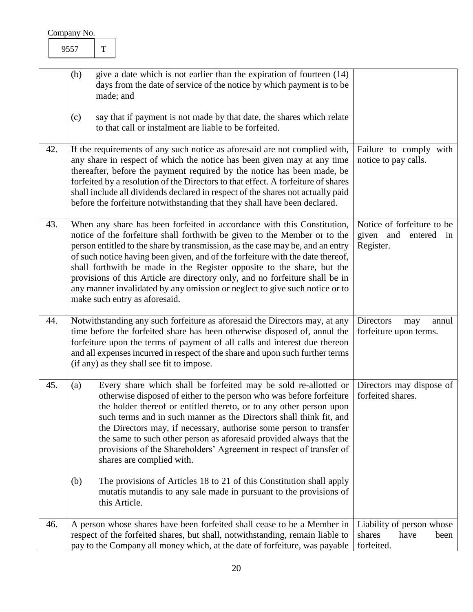<span id="page-20-4"></span><span id="page-20-3"></span><span id="page-20-2"></span><span id="page-20-1"></span><span id="page-20-0"></span>

|     | give a date which is not earlier than the expiration of fourteen (14)<br>(b)                                                                                                                                                                                                                                                                                                                                                                                                                                                                                                                       |                                                                   |
|-----|----------------------------------------------------------------------------------------------------------------------------------------------------------------------------------------------------------------------------------------------------------------------------------------------------------------------------------------------------------------------------------------------------------------------------------------------------------------------------------------------------------------------------------------------------------------------------------------------------|-------------------------------------------------------------------|
|     | days from the date of service of the notice by which payment is to be<br>made; and                                                                                                                                                                                                                                                                                                                                                                                                                                                                                                                 |                                                                   |
|     | say that if payment is not made by that date, the shares which relate<br>(c)<br>to that call or instalment are liable to be forfeited.                                                                                                                                                                                                                                                                                                                                                                                                                                                             |                                                                   |
| 42. | If the requirements of any such notice as aforesaid are not complied with,<br>any share in respect of which the notice has been given may at any time<br>thereafter, before the payment required by the notice has been made, be<br>forfeited by a resolution of the Directors to that effect. A forfeiture of shares<br>shall include all dividends declared in respect of the shares not actually paid<br>before the forfeiture notwithstanding that they shall have been declared.                                                                                                              | Failure to comply with<br>notice to pay calls.                    |
| 43. | When any share has been forfeited in accordance with this Constitution,<br>notice of the forfeiture shall forthwith be given to the Member or to the<br>person entitled to the share by transmission, as the case may be, and an entry<br>of such notice having been given, and of the forfeiture with the date thereof,<br>shall forthwith be made in the Register opposite to the share, but the<br>provisions of this Article are directory only, and no forfeiture shall be in<br>any manner invalidated by any omission or neglect to give such notice or to<br>make such entry as aforesaid. | Notice of forfeiture to be<br>given and entered in<br>Register.   |
| 44. | Notwithstanding any such forfeiture as aforesaid the Directors may, at any<br>time before the forfeited share has been otherwise disposed of, annul the<br>forfeiture upon the terms of payment of all calls and interest due thereon<br>and all expenses incurred in respect of the share and upon such further terms<br>(if any) as they shall see fit to impose.                                                                                                                                                                                                                                | Directors<br>annul<br>may<br>forfeiture upon terms.               |
| 45. | Every share which shall be forfeited may be sold re-allotted or<br>(a)<br>otherwise disposed of either to the person who was before forfeiture<br>the holder thereof or entitled thereto, or to any other person upon<br>such terms and in such manner as the Directors shall think fit, and<br>the Directors may, if necessary, authorise some person to transfer<br>the same to such other person as aforesaid provided always that the<br>provisions of the Shareholders' Agreement in respect of transfer of<br>shares are complied with.                                                      | Directors may dispose of<br>forfeited shares.                     |
|     | (b)<br>The provisions of Articles 18 to 21 of this Constitution shall apply<br>mutatis mutandis to any sale made in pursuant to the provisions of<br>this Article.                                                                                                                                                                                                                                                                                                                                                                                                                                 |                                                                   |
| 46. | A person whose shares have been forfeited shall cease to be a Member in<br>respect of the forfeited shares, but shall, notwithstanding, remain liable to<br>pay to the Company all money which, at the date of forfeiture, was payable                                                                                                                                                                                                                                                                                                                                                             | Liability of person whose<br>shares<br>have<br>been<br>forfeited. |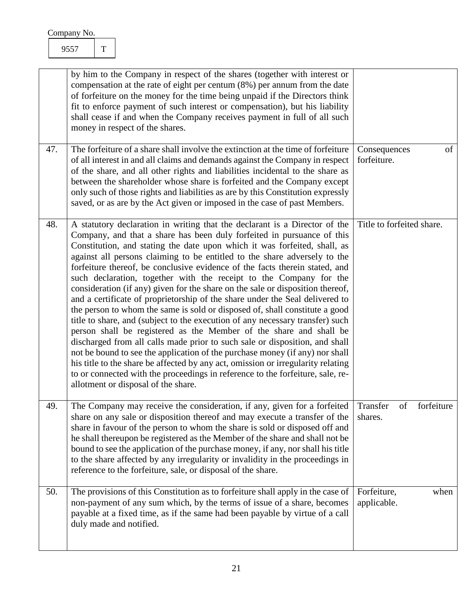<span id="page-21-1"></span><span id="page-21-0"></span>9557 T

<span id="page-21-3"></span><span id="page-21-2"></span>

|     | by him to the Company in respect of the shares (together with interest or<br>compensation at the rate of eight per centum $(8%)$ per annum from the date<br>of forfeiture on the money for the time being unpaid if the Directors think<br>fit to enforce payment of such interest or compensation), but his liability<br>shall cease if and when the Company receives payment in full of all such<br>money in respect of the shares.                                                                                                                                                                                                                                                                                                                                                                                                                                                                                                                                                                                                                                                                                                                                                                                                                   |                                         |
|-----|---------------------------------------------------------------------------------------------------------------------------------------------------------------------------------------------------------------------------------------------------------------------------------------------------------------------------------------------------------------------------------------------------------------------------------------------------------------------------------------------------------------------------------------------------------------------------------------------------------------------------------------------------------------------------------------------------------------------------------------------------------------------------------------------------------------------------------------------------------------------------------------------------------------------------------------------------------------------------------------------------------------------------------------------------------------------------------------------------------------------------------------------------------------------------------------------------------------------------------------------------------|-----------------------------------------|
| 47. | The forfeiture of a share shall involve the extinction at the time of forfeiture<br>of all interest in and all claims and demands against the Company in respect<br>of the share, and all other rights and liabilities incidental to the share as<br>between the shareholder whose share is forfeited and the Company except<br>only such of those rights and liabilities as are by this Constitution expressly<br>saved, or as are by the Act given or imposed in the case of past Members.                                                                                                                                                                                                                                                                                                                                                                                                                                                                                                                                                                                                                                                                                                                                                            | Consequences<br>of<br>forfeiture.       |
| 48. | A statutory declaration in writing that the declarant is a Director of the<br>Company, and that a share has been duly forfeited in pursuance of this<br>Constitution, and stating the date upon which it was forfeited, shall, as<br>against all persons claiming to be entitled to the share adversely to the<br>forfeiture thereof, be conclusive evidence of the facts therein stated, and<br>such declaration, together with the receipt to the Company for the<br>consideration (if any) given for the share on the sale or disposition thereof,<br>and a certificate of proprietorship of the share under the Seal delivered to<br>the person to whom the same is sold or disposed of, shall constitute a good<br>title to share, and (subject to the execution of any necessary transfer) such<br>person shall be registered as the Member of the share and shall be<br>discharged from all calls made prior to such sale or disposition, and shall<br>not be bound to see the application of the purchase money (if any) nor shall<br>his title to the share be affected by any act, omission or irregularity relating<br>to or connected with the proceedings in reference to the forfeiture, sale, re-<br>allotment or disposal of the share. | Title to forfeited share.               |
| 49. | The Company may receive the consideration, if any, given for a forfeited<br>share on any sale or disposition thereof and may execute a transfer of the<br>share in favour of the person to whom the share is sold or disposed off and<br>he shall thereupon be registered as the Member of the share and shall not be<br>bound to see the application of the purchase money, if any, nor shall his title<br>to the share affected by any irregularity or invalidity in the proceedings in<br>reference to the forfeiture, sale, or disposal of the share.                                                                                                                                                                                                                                                                                                                                                                                                                                                                                                                                                                                                                                                                                               | forfeiture<br>Transfer<br>of<br>shares. |
| 50. | The provisions of this Constitution as to forfeiture shall apply in the case of<br>non-payment of any sum which, by the terms of issue of a share, becomes<br>payable at a fixed time, as if the same had been payable by virtue of a call<br>duly made and notified.                                                                                                                                                                                                                                                                                                                                                                                                                                                                                                                                                                                                                                                                                                                                                                                                                                                                                                                                                                                   | Forfeiture,<br>when<br>applicable.      |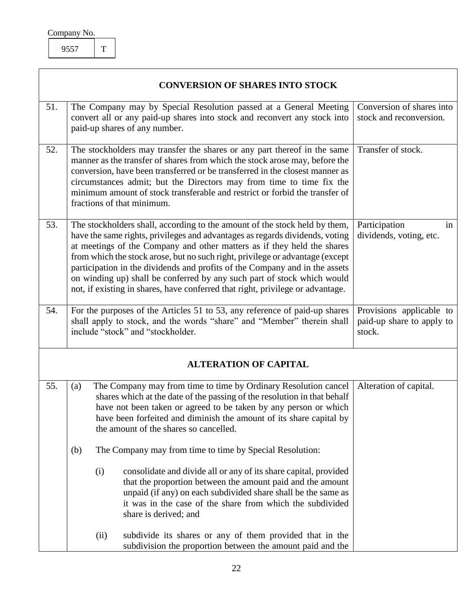| Company No. |  |
|-------------|--|
|             |  |

#### <span id="page-22-6"></span><span id="page-22-4"></span><span id="page-22-3"></span><span id="page-22-2"></span><span id="page-22-1"></span>**CONVERSION OF SHARES INTO STOCK**

<span id="page-22-5"></span><span id="page-22-0"></span>

| 51. |                                                                                                                                                                                                                                                                                                                                                                                                                                                                                                                                                                    |      | The Company may by Special Resolution passed at a General Meeting<br>convert all or any paid-up shares into stock and reconvert any stock into<br>paid-up shares of any number.                                                                                                                                                  | Conversion of shares into<br>stock and reconversion.            |
|-----|--------------------------------------------------------------------------------------------------------------------------------------------------------------------------------------------------------------------------------------------------------------------------------------------------------------------------------------------------------------------------------------------------------------------------------------------------------------------------------------------------------------------------------------------------------------------|------|----------------------------------------------------------------------------------------------------------------------------------------------------------------------------------------------------------------------------------------------------------------------------------------------------------------------------------|-----------------------------------------------------------------|
| 52. | The stockholders may transfer the shares or any part thereof in the same<br>manner as the transfer of shares from which the stock arose may, before the<br>conversion, have been transferred or be transferred in the closest manner as<br>circumstances admit; but the Directors may from time to time fix the<br>minimum amount of stock transferable and restrict or forbid the transfer of<br>fractions of that minimum.                                                                                                                                       |      |                                                                                                                                                                                                                                                                                                                                  | Transfer of stock.                                              |
| 53. | The stockholders shall, according to the amount of the stock held by them,<br>have the same rights, privileges and advantages as regards dividends, voting<br>at meetings of the Company and other matters as if they held the shares<br>from which the stock arose, but no such right, privilege or advantage (except<br>participation in the dividends and profits of the Company and in the assets<br>on winding up) shall be conferred by any such part of stock which would<br>not, if existing in shares, have conferred that right, privilege or advantage. |      |                                                                                                                                                                                                                                                                                                                                  | Participation<br>in<br>dividends, voting, etc.                  |
| 54. |                                                                                                                                                                                                                                                                                                                                                                                                                                                                                                                                                                    |      | For the purposes of the Articles 51 to 53, any reference of paid-up shares<br>shall apply to stock, and the words "share" and "Member" therein shall<br>include "stock" and "stockholder.                                                                                                                                        | Provisions applicable to<br>paid-up share to apply to<br>stock. |
|     |                                                                                                                                                                                                                                                                                                                                                                                                                                                                                                                                                                    |      | <b>ALTERATION OF CAPITAL</b>                                                                                                                                                                                                                                                                                                     |                                                                 |
| 55. | (a)                                                                                                                                                                                                                                                                                                                                                                                                                                                                                                                                                                |      | The Company may from time to time by Ordinary Resolution cancel<br>shares which at the date of the passing of the resolution in that behalf<br>have not been taken or agreed to be taken by any person or which<br>have been forfeited and diminish the amount of its share capital by<br>the amount of the shares so cancelled. | Alteration of capital.                                          |
|     | (b)                                                                                                                                                                                                                                                                                                                                                                                                                                                                                                                                                                |      | The Company may from time to time by Special Resolution:                                                                                                                                                                                                                                                                         |                                                                 |
|     |                                                                                                                                                                                                                                                                                                                                                                                                                                                                                                                                                                    | (i)  | consolidate and divide all or any of its share capital, provided<br>that the proportion between the amount paid and the amount<br>unpaid (if any) on each subdivided share shall be the same as<br>it was in the case of the share from which the subdivided<br>share is derived; and                                            |                                                                 |
|     |                                                                                                                                                                                                                                                                                                                                                                                                                                                                                                                                                                    | (ii) | subdivide its shares or any of them provided that in the<br>subdivision the proportion between the amount paid and the                                                                                                                                                                                                           |                                                                 |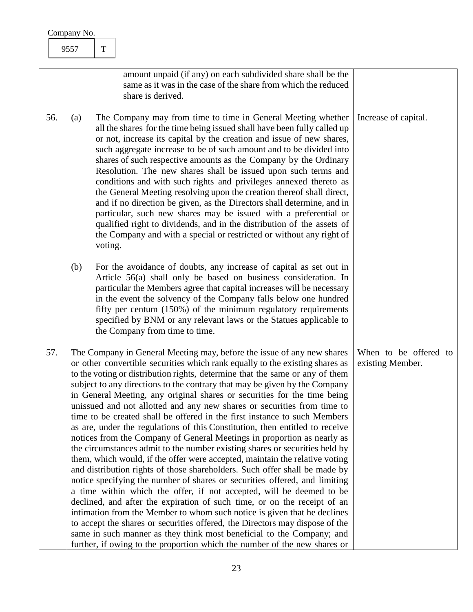<span id="page-23-1"></span><span id="page-23-0"></span>

|     | amount unpaid (if any) on each subdivided share shall be the<br>same as it was in the case of the share from which the reduced<br>share is derived.                                                                                                                                                                                                                                                                                                                                                                                                                                                                                                                                                                                                                                                                                                                                                                                                                                                                                                                                                                                                                                                                                                                                                                                                                                                                                                                                                                 |                                           |
|-----|---------------------------------------------------------------------------------------------------------------------------------------------------------------------------------------------------------------------------------------------------------------------------------------------------------------------------------------------------------------------------------------------------------------------------------------------------------------------------------------------------------------------------------------------------------------------------------------------------------------------------------------------------------------------------------------------------------------------------------------------------------------------------------------------------------------------------------------------------------------------------------------------------------------------------------------------------------------------------------------------------------------------------------------------------------------------------------------------------------------------------------------------------------------------------------------------------------------------------------------------------------------------------------------------------------------------------------------------------------------------------------------------------------------------------------------------------------------------------------------------------------------------|-------------------------------------------|
| 56. | The Company may from time to time in General Meeting whether<br>(a)<br>all the shares for the time being issued shall have been fully called up<br>or not, increase its capital by the creation and issue of new shares,<br>such aggregate increase to be of such amount and to be divided into<br>shares of such respective amounts as the Company by the Ordinary<br>Resolution. The new shares shall be issued upon such terms and<br>conditions and with such rights and privileges annexed thereto as<br>the General Meeting resolving upon the creation thereof shall direct,<br>and if no direction be given, as the Directors shall determine, and in<br>particular, such new shares may be issued with a preferential or<br>qualified right to dividends, and in the distribution of the assets of<br>the Company and with a special or restricted or without any right of<br>voting.                                                                                                                                                                                                                                                                                                                                                                                                                                                                                                                                                                                                                      | Increase of capital.                      |
|     | For the avoidance of doubts, any increase of capital as set out in<br>(b)<br>Article 56(a) shall only be based on business consideration. In<br>particular the Members agree that capital increases will be necessary<br>in the event the solvency of the Company falls below one hundred<br>fifty per centum (150%) of the minimum regulatory requirements<br>specified by BNM or any relevant laws or the Statues applicable to<br>the Company from time to time.                                                                                                                                                                                                                                                                                                                                                                                                                                                                                                                                                                                                                                                                                                                                                                                                                                                                                                                                                                                                                                                 |                                           |
| 57. | The Company in General Meeting may, before the issue of any new shares<br>or other convertible securities which rank equally to the existing shares as<br>to the voting or distribution rights, determine that the same or any of them<br>subject to any directions to the contrary that may be given by the Company<br>in General Meeting, any original shares or securities for the time being<br>unissued and not allotted and any new shares or securities from time to<br>time to be created shall be offered in the first instance to such Members<br>as are, under the regulations of this Constitution, then entitled to receive<br>notices from the Company of General Meetings in proportion as nearly as<br>the circumstances admit to the number existing shares or securities held by<br>them, which would, if the offer were accepted, maintain the relative voting<br>and distribution rights of those shareholders. Such offer shall be made by<br>notice specifying the number of shares or securities offered, and limiting<br>a time within which the offer, if not accepted, will be deemed to be<br>declined, and after the expiration of such time, or on the receipt of an<br>intimation from the Member to whom such notice is given that he declines<br>to accept the shares or securities offered, the Directors may dispose of the<br>same in such manner as they think most beneficial to the Company; and<br>further, if owing to the proportion which the number of the new shares or | When to be offered to<br>existing Member. |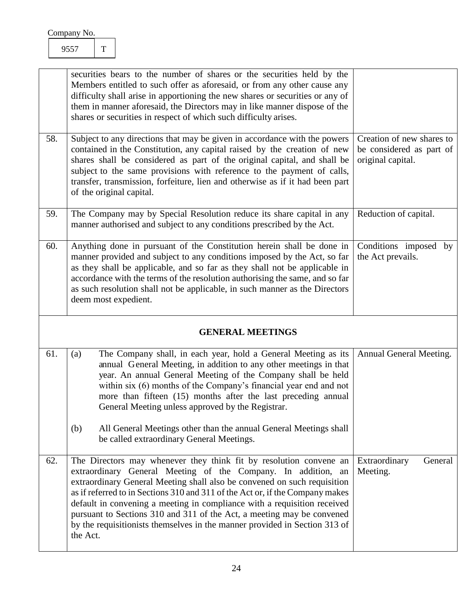<span id="page-24-5"></span><span id="page-24-4"></span><span id="page-24-3"></span><span id="page-24-2"></span><span id="page-24-1"></span><span id="page-24-0"></span>

|     | securities bears to the number of shares or the securities held by the<br>Members entitled to such offer as aforesaid, or from any other cause any<br>difficulty shall arise in apportioning the new shares or securities or any of<br>them in manner aforesaid, the Directors may in like manner dispose of the<br>shares or securities in respect of which such difficulty arises.                                                                                                                                                             |                                                                            |
|-----|--------------------------------------------------------------------------------------------------------------------------------------------------------------------------------------------------------------------------------------------------------------------------------------------------------------------------------------------------------------------------------------------------------------------------------------------------------------------------------------------------------------------------------------------------|----------------------------------------------------------------------------|
| 58. | Subject to any directions that may be given in accordance with the powers<br>contained in the Constitution, any capital raised by the creation of new<br>shares shall be considered as part of the original capital, and shall be<br>subject to the same provisions with reference to the payment of calls,<br>transfer, transmission, forfeiture, lien and otherwise as if it had been part<br>of the original capital.                                                                                                                         | Creation of new shares to<br>be considered as part of<br>original capital. |
| 59. | The Company may by Special Resolution reduce its share capital in any<br>manner authorised and subject to any conditions prescribed by the Act.                                                                                                                                                                                                                                                                                                                                                                                                  | Reduction of capital.                                                      |
| 60. | Anything done in pursuant of the Constitution herein shall be done in<br>manner provided and subject to any conditions imposed by the Act, so far<br>as they shall be applicable, and so far as they shall not be applicable in<br>accordance with the terms of the resolution authorising the same, and so far<br>as such resolution shall not be applicable, in such manner as the Directors<br>deem most expedient.                                                                                                                           | Conditions imposed by<br>the Act prevails.                                 |
|     | <b>GENERAL MEETINGS</b>                                                                                                                                                                                                                                                                                                                                                                                                                                                                                                                          |                                                                            |
| 61. | The Company shall, in each year, hold a General Meeting as its<br>(a)<br>annual General Meeting, in addition to any other meetings in that<br>year. An annual General Meeting of the Company shall be held<br>within six (6) months of the Company's financial year end and not<br>more than fifteen (15) months after the last preceding annual<br>General Meeting unless approved by the Registrar.                                                                                                                                            | Annual General Meeting.                                                    |
|     | (b)<br>All General Meetings other than the annual General Meetings shall<br>be called extraordinary General Meetings.                                                                                                                                                                                                                                                                                                                                                                                                                            |                                                                            |
| 62. | The Directors may whenever they think fit by resolution convene an<br>extraordinary General Meeting of the Company. In addition, an<br>extraordinary General Meeting shall also be convened on such requisition<br>as if referred to in Sections 310 and 311 of the Act or, if the Company makes<br>default in convening a meeting in compliance with a requisition received<br>pursuant to Sections 310 and 311 of the Act, a meeting may be convened<br>by the requisitionists themselves in the manner provided in Section 313 of<br>the Act. | Extraordinary<br>General<br>Meeting.                                       |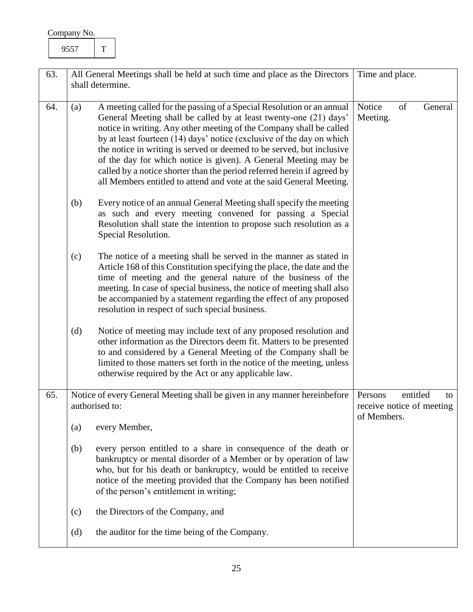<span id="page-25-2"></span><span id="page-25-1"></span><span id="page-25-0"></span>

| 63. |                                                                                             | All General Meetings shall be held at such time and place as the Directors                                                                                                                                                                                                                                                                                                                                                                                                                                                                                                                | Time and place.                                                       |
|-----|---------------------------------------------------------------------------------------------|-------------------------------------------------------------------------------------------------------------------------------------------------------------------------------------------------------------------------------------------------------------------------------------------------------------------------------------------------------------------------------------------------------------------------------------------------------------------------------------------------------------------------------------------------------------------------------------------|-----------------------------------------------------------------------|
|     |                                                                                             | shall determine.                                                                                                                                                                                                                                                                                                                                                                                                                                                                                                                                                                          |                                                                       |
| 64. | (a)                                                                                         | A meeting called for the passing of a Special Resolution or an annual<br>General Meeting shall be called by at least twenty-one (21) days'<br>notice in writing. Any other meeting of the Company shall be called<br>by at least fourteen (14) days' notice (exclusive of the day on which<br>the notice in writing is served or deemed to be served, but inclusive<br>of the day for which notice is given). A General Meeting may be<br>called by a notice shorter than the period referred herein if agreed by<br>all Members entitled to attend and vote at the said General Meeting. | Notice<br>of<br>General<br>Meeting.                                   |
|     | (b)                                                                                         | Every notice of an annual General Meeting shall specify the meeting<br>as such and every meeting convened for passing a Special<br>Resolution shall state the intention to propose such resolution as a<br>Special Resolution.                                                                                                                                                                                                                                                                                                                                                            |                                                                       |
|     | (c)                                                                                         | The notice of a meeting shall be served in the manner as stated in<br>Article 168 of this Constitution specifying the place, the date and the<br>time of meeting and the general nature of the business of the<br>meeting. In case of special business, the notice of meeting shall also<br>be accompanied by a statement regarding the effect of any proposed<br>resolution in respect of such special business.                                                                                                                                                                         |                                                                       |
|     | (d)                                                                                         | Notice of meeting may include text of any proposed resolution and<br>other information as the Directors deem fit. Matters to be presented<br>to and considered by a General Meeting of the Company shall be<br>limited to those matters set forth in the notice of the meeting, unless<br>otherwise required by the Act or any applicable law.                                                                                                                                                                                                                                            |                                                                       |
| 65. | Notice of every General Meeting shall be given in any manner hereinbefore<br>authorised to: |                                                                                                                                                                                                                                                                                                                                                                                                                                                                                                                                                                                           | entitled<br>Persons<br>to<br>receive notice of meeting<br>of Members. |
|     | (a)                                                                                         | every Member,                                                                                                                                                                                                                                                                                                                                                                                                                                                                                                                                                                             |                                                                       |
|     | (b)                                                                                         | every person entitled to a share in consequence of the death or<br>bankruptcy or mental disorder of a Member or by operation of law<br>who, but for his death or bankruptcy, would be entitled to receive<br>notice of the meeting provided that the Company has been notified<br>of the person's entitlement in writing;                                                                                                                                                                                                                                                                 |                                                                       |
|     | (c)                                                                                         | the Directors of the Company, and                                                                                                                                                                                                                                                                                                                                                                                                                                                                                                                                                         |                                                                       |
|     | (d)                                                                                         | the auditor for the time being of the Company.                                                                                                                                                                                                                                                                                                                                                                                                                                                                                                                                            |                                                                       |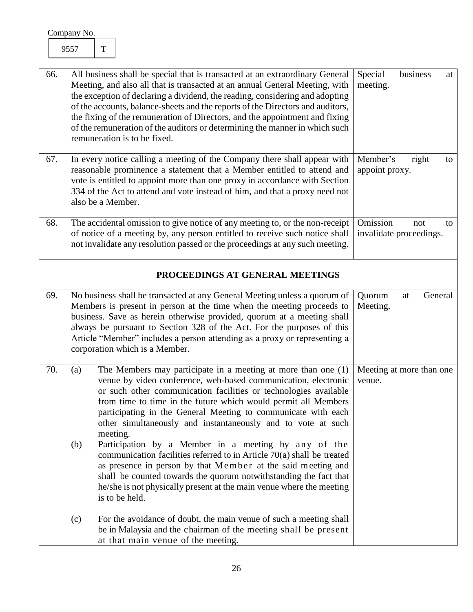<span id="page-26-5"></span><span id="page-26-4"></span><span id="page-26-3"></span><span id="page-26-2"></span><span id="page-26-1"></span><span id="page-26-0"></span>

| 66. | All business shall be special that is transacted at an extraordinary General<br>Meeting, and also all that is transacted at an annual General Meeting, with<br>the exception of declaring a dividend, the reading, considering and adopting<br>of the accounts, balance-sheets and the reports of the Directors and auditors,<br>the fixing of the remuneration of Directors, and the appointment and fixing<br>of the remuneration of the auditors or determining the manner in which such<br>remuneration is to be fixed.                                                                                                                                                                                                                                                                       | Special<br>business<br>at<br>meeting.            |
|-----|---------------------------------------------------------------------------------------------------------------------------------------------------------------------------------------------------------------------------------------------------------------------------------------------------------------------------------------------------------------------------------------------------------------------------------------------------------------------------------------------------------------------------------------------------------------------------------------------------------------------------------------------------------------------------------------------------------------------------------------------------------------------------------------------------|--------------------------------------------------|
| 67. | In every notice calling a meeting of the Company there shall appear with<br>reasonable prominence a statement that a Member entitled to attend and<br>vote is entitled to appoint more than one proxy in accordance with Section<br>334 of the Act to attend and vote instead of him, and that a proxy need not<br>also be a Member.                                                                                                                                                                                                                                                                                                                                                                                                                                                              | Member's<br>right<br>to<br>appoint proxy.        |
| 68. | The accidental omission to give notice of any meeting to, or the non-receipt<br>of notice of a meeting by, any person entitled to receive such notice shall<br>not invalidate any resolution passed or the proceedings at any such meeting.                                                                                                                                                                                                                                                                                                                                                                                                                                                                                                                                                       | Omission<br>not<br>to<br>invalidate proceedings. |
|     | PROCEEDINGS AT GENERAL MEETINGS                                                                                                                                                                                                                                                                                                                                                                                                                                                                                                                                                                                                                                                                                                                                                                   |                                                  |
| 69. | No business shall be transacted at any General Meeting unless a quorum of<br>Members is present in person at the time when the meeting proceeds to<br>business. Save as herein otherwise provided, quorum at a meeting shall<br>always be pursuant to Section 328 of the Act. For the purposes of this<br>Article "Member" includes a person attending as a proxy or representing a<br>corporation which is a Member.                                                                                                                                                                                                                                                                                                                                                                             | Quorum<br>General<br>at<br>Meeting.              |
| 70. | The Members may participate in a meeting at more than one (1)<br>(a)<br>venue by video conference, web-based communication, electronic<br>or such other communication facilities or technologies available<br>from time to time in the future which would permit all Members<br>participating in the General Meeting to communicate with each<br>other simultaneously and instantaneously and to vote at such<br>meeting.<br>Participation by a Member in a meeting by any of the<br>(b)<br>communication facilities referred to in Article 70(a) shall be treated<br>as presence in person by that Member at the said meeting and<br>shall be counted towards the quorum notwithstanding the fact that<br>he/she is not physically present at the main venue where the meeting<br>is to be held. | Meeting at more than one<br>venue.               |
|     | For the avoidance of doubt, the main venue of such a meeting shall<br>(c)<br>be in Malaysia and the chairman of the meeting shall be present<br>at that main venue of the meeting.                                                                                                                                                                                                                                                                                                                                                                                                                                                                                                                                                                                                                |                                                  |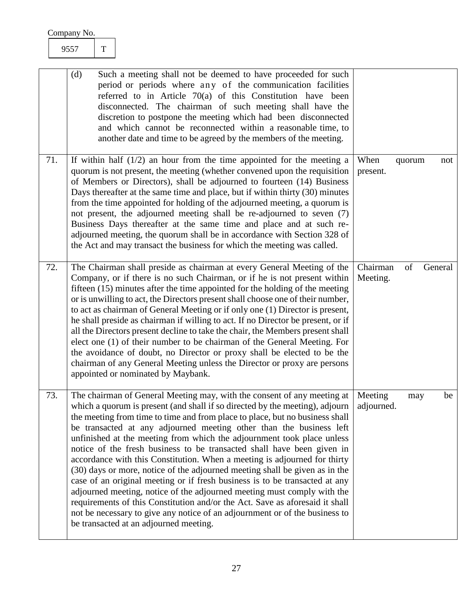## <span id="page-27-1"></span><span id="page-27-0"></span>9557 T

<span id="page-27-2"></span>

|     | (d)<br>Such a meeting shall not be deemed to have proceeded for such<br>period or periods where any of the communication facilities<br>referred to in Article $70(a)$ of this Constitution have been<br>disconnected. The chairman of such meeting shall have the<br>discretion to postpone the meeting which had been disconnected<br>and which cannot be reconnected within a reasonable time, to<br>another date and time to be agreed by the members of the meeting.                                                                                                                                                                                                                                                                                                                                                                                                                                                                                                                          |                                       |
|-----|---------------------------------------------------------------------------------------------------------------------------------------------------------------------------------------------------------------------------------------------------------------------------------------------------------------------------------------------------------------------------------------------------------------------------------------------------------------------------------------------------------------------------------------------------------------------------------------------------------------------------------------------------------------------------------------------------------------------------------------------------------------------------------------------------------------------------------------------------------------------------------------------------------------------------------------------------------------------------------------------------|---------------------------------------|
| 71. | If within half $(1/2)$ an hour from the time appointed for the meeting a<br>quorum is not present, the meeting (whether convened upon the requisition<br>of Members or Directors), shall be adjourned to fourteen (14) Business<br>Days thereafter at the same time and place, but if within thirty (30) minutes<br>from the time appointed for holding of the adjourned meeting, a quorum is<br>not present, the adjourned meeting shall be re-adjourned to seven (7)<br>Business Days thereafter at the same time and place and at such re-<br>adjourned meeting, the quorum shall be in accordance with Section 328 of<br>the Act and may transact the business for which the meeting was called.                                                                                                                                                                                                                                                                                              | When<br>quorum<br>not<br>present.     |
| 72. | The Chairman shall preside as chairman at every General Meeting of the<br>Company, or if there is no such Chairman, or if he is not present within<br>fifteen $(15)$ minutes after the time appointed for the holding of the meeting<br>or is unwilling to act, the Directors present shall choose one of their number,<br>to act as chairman of General Meeting or if only one (1) Director is present,<br>he shall preside as chairman if willing to act. If no Director be present, or if<br>all the Directors present decline to take the chair, the Members present shall<br>elect one (1) of their number to be chairman of the General Meeting. For<br>the avoidance of doubt, no Director or proxy shall be elected to be the<br>chairman of any General Meeting unless the Director or proxy are persons<br>appointed or nominated by Maybank.                                                                                                                                           | Chairman<br>of<br>General<br>Meeting. |
| 73. | The chairman of General Meeting may, with the consent of any meeting at<br>which a quorum is present (and shall if so directed by the meeting), adjourn<br>the meeting from time to time and from place to place, but no business shall<br>be transacted at any adjourned meeting other than the business left<br>unfinished at the meeting from which the adjournment took place unless<br>notice of the fresh business to be transacted shall have been given in<br>accordance with this Constitution. When a meeting is adjourned for thirty<br>(30) days or more, notice of the adjourned meeting shall be given as in the<br>case of an original meeting or if fresh business is to be transacted at any<br>adjourned meeting, notice of the adjourned meeting must comply with the<br>requirements of this Constitution and/or the Act. Save as aforesaid it shall<br>not be necessary to give any notice of an adjournment or of the business to<br>be transacted at an adjourned meeting. | Meeting<br>be<br>may<br>adjourned.    |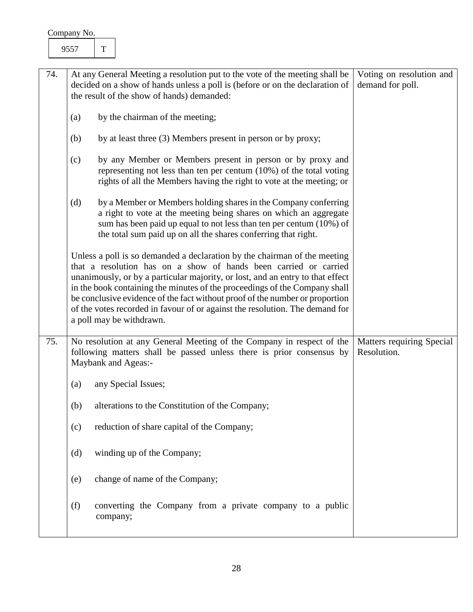<span id="page-28-1"></span><span id="page-28-0"></span>

| 74. |                                        | At any General Meeting a resolution put to the vote of the meeting shall be                                                                                                                                                                                                                                                                                                                                                                                                                               | Voting on resolution and                 |
|-----|----------------------------------------|-----------------------------------------------------------------------------------------------------------------------------------------------------------------------------------------------------------------------------------------------------------------------------------------------------------------------------------------------------------------------------------------------------------------------------------------------------------------------------------------------------------|------------------------------------------|
|     |                                        | decided on a show of hands unless a poll is (before or on the declaration of<br>the result of the show of hands) demanded:                                                                                                                                                                                                                                                                                                                                                                                | demand for poll.                         |
|     | by the chairman of the meeting;<br>(a) |                                                                                                                                                                                                                                                                                                                                                                                                                                                                                                           |                                          |
|     | (b)                                    | by at least three (3) Members present in person or by proxy;                                                                                                                                                                                                                                                                                                                                                                                                                                              |                                          |
|     | (c)                                    | by any Member or Members present in person or by proxy and<br>representing not less than ten per centum $(10\%)$ of the total voting<br>rights of all the Members having the right to vote at the meeting; or                                                                                                                                                                                                                                                                                             |                                          |
|     | (d)                                    | by a Member or Members holding shares in the Company conferring<br>a right to vote at the meeting being shares on which an aggregate<br>sum has been paid up equal to not less than ten per centum (10%) of<br>the total sum paid up on all the shares conferring that right.                                                                                                                                                                                                                             |                                          |
|     |                                        | Unless a poll is so demanded a declaration by the chairman of the meeting<br>that a resolution has on a show of hands been carried or carried<br>unanimously, or by a particular majority, or lost, and an entry to that effect<br>in the book containing the minutes of the proceedings of the Company shall<br>be conclusive evidence of the fact without proof of the number or proportion<br>of the votes recorded in favour of or against the resolution. The demand for<br>a poll may be withdrawn. |                                          |
| 75. |                                        | No resolution at any General Meeting of the Company in respect of the<br>following matters shall be passed unless there is prior consensus by<br>Maybank and Ageas:-                                                                                                                                                                                                                                                                                                                                      | Matters requiring Special<br>Resolution. |
|     | (a)                                    | any Special Issues;                                                                                                                                                                                                                                                                                                                                                                                                                                                                                       |                                          |
|     | (b)                                    | alterations to the Constitution of the Company;                                                                                                                                                                                                                                                                                                                                                                                                                                                           |                                          |
|     | (c)                                    | reduction of share capital of the Company;                                                                                                                                                                                                                                                                                                                                                                                                                                                                |                                          |
|     | (d)                                    | winding up of the Company;                                                                                                                                                                                                                                                                                                                                                                                                                                                                                |                                          |
|     | (e)                                    | change of name of the Company;                                                                                                                                                                                                                                                                                                                                                                                                                                                                            |                                          |
|     | (f)                                    | converting the Company from a private company to a public<br>company;                                                                                                                                                                                                                                                                                                                                                                                                                                     |                                          |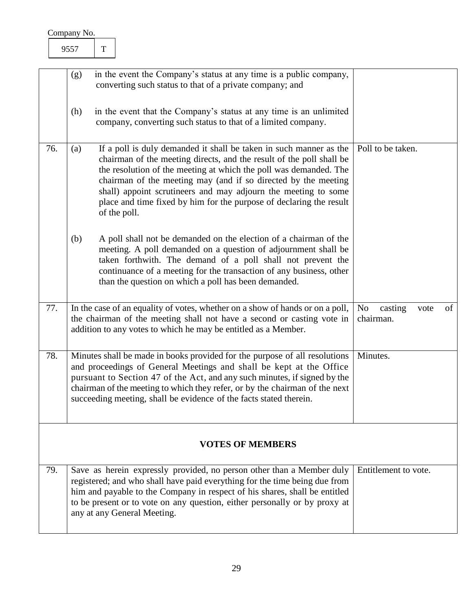<span id="page-29-4"></span><span id="page-29-3"></span><span id="page-29-2"></span><span id="page-29-1"></span><span id="page-29-0"></span>

|     | (g) | in the event the Company's status at any time is a public company,<br>converting such status to that of a private company; and                                                                                                                                                                                                                                                                                                             |                                                      |
|-----|-----|--------------------------------------------------------------------------------------------------------------------------------------------------------------------------------------------------------------------------------------------------------------------------------------------------------------------------------------------------------------------------------------------------------------------------------------------|------------------------------------------------------|
|     | (h) | in the event that the Company's status at any time is an unlimited<br>company, converting such status to that of a limited company.                                                                                                                                                                                                                                                                                                        |                                                      |
| 76. | (a) | If a poll is duly demanded it shall be taken in such manner as the<br>chairman of the meeting directs, and the result of the poll shall be<br>the resolution of the meeting at which the poll was demanded. The<br>chairman of the meeting may (and if so directed by the meeting<br>shall) appoint scrutineers and may adjourn the meeting to some<br>place and time fixed by him for the purpose of declaring the result<br>of the poll. | Poll to be taken.                                    |
|     | (b) | A poll shall not be demanded on the election of a chairman of the<br>meeting. A poll demanded on a question of adjournment shall be<br>taken forthwith. The demand of a poll shall not prevent the<br>continuance of a meeting for the transaction of any business, other<br>than the question on which a poll has been demanded.                                                                                                          |                                                      |
| 77. |     | In the case of an equality of votes, whether on a show of hands or on a poll,<br>the chairman of the meeting shall not have a second or casting vote in<br>addition to any votes to which he may be entitled as a Member.                                                                                                                                                                                                                  | N <sub>o</sub><br>of<br>casting<br>vote<br>chairman. |
| 78. |     | Minutes shall be made in books provided for the purpose of all resolutions<br>and proceedings of General Meetings and shall be kept at the Office<br>pursuant to Section 47 of the Act, and any such minutes, if signed by the<br>chairman of the meeting to which they refer, or by the chairman of the next<br>succeeding meeting, shall be evidence of the facts stated therein.                                                        | Minutes.                                             |
|     |     | <b>VOTES OF MEMBERS</b>                                                                                                                                                                                                                                                                                                                                                                                                                    |                                                      |
| 79. |     | Save as herein expressly provided, no person other than a Member duly<br>registered; and who shall have paid everything for the time being due from<br>him and payable to the Company in respect of his shares, shall be entitled<br>to be present or to vote on any question, either personally or by proxy at<br>any at any General Meeting.                                                                                             | Entitlement to vote.                                 |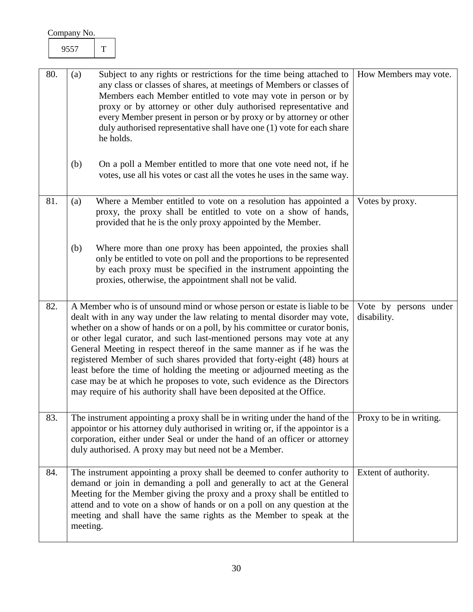<span id="page-30-4"></span><span id="page-30-3"></span><span id="page-30-2"></span><span id="page-30-1"></span><span id="page-30-0"></span>

|     | Company No. |          |             |                                                                                                                                                                                                                                                                                                                                                                                                                                                                                                                                                                                                                                                                                                         |                                      |
|-----|-------------|----------|-------------|---------------------------------------------------------------------------------------------------------------------------------------------------------------------------------------------------------------------------------------------------------------------------------------------------------------------------------------------------------------------------------------------------------------------------------------------------------------------------------------------------------------------------------------------------------------------------------------------------------------------------------------------------------------------------------------------------------|--------------------------------------|
|     |             | 9557     | $\mathbf T$ |                                                                                                                                                                                                                                                                                                                                                                                                                                                                                                                                                                                                                                                                                                         |                                      |
| 80. |             | (a)      |             | Subject to any rights or restrictions for the time being attached to<br>any class or classes of shares, at meetings of Members or classes of<br>Members each Member entitled to vote may vote in person or by<br>proxy or by attorney or other duly authorised representative and<br>every Member present in person or by proxy or by attorney or other<br>duly authorised representative shall have one (1) vote for each share<br>he holds.                                                                                                                                                                                                                                                           | How Members may vote.                |
|     |             | (b)      |             | On a poll a Member entitled to more that one vote need not, if he<br>votes, use all his votes or cast all the votes he uses in the same way.                                                                                                                                                                                                                                                                                                                                                                                                                                                                                                                                                            |                                      |
| 81. |             | (a)      |             | Where a Member entitled to vote on a resolution has appointed a<br>proxy, the proxy shall be entitled to vote on a show of hands,<br>provided that he is the only proxy appointed by the Member.                                                                                                                                                                                                                                                                                                                                                                                                                                                                                                        | Votes by proxy.                      |
|     |             | (b)      |             | Where more than one proxy has been appointed, the proxies shall<br>only be entitled to vote on poll and the proportions to be represented<br>by each proxy must be specified in the instrument appointing the<br>proxies, otherwise, the appointment shall not be valid.                                                                                                                                                                                                                                                                                                                                                                                                                                |                                      |
| 82. |             |          |             | A Member who is of unsound mind or whose person or estate is liable to be<br>dealt with in any way under the law relating to mental disorder may vote,<br>whether on a show of hands or on a poll, by his committee or curator bonis,<br>or other legal curator, and such last-mentioned persons may vote at any<br>General Meeting in respect thereof in the same manner as if he was the<br>registered Member of such shares provided that forty-eight (48) hours at<br>least before the time of holding the meeting or adjourned meeting as the<br>case may be at which he proposes to vote, such evidence as the Directors<br>may require of his authority shall have been deposited at the Office. | Vote by persons under<br>disability. |
| 83. |             |          |             | The instrument appointing a proxy shall be in writing under the hand of the<br>appoint or his attorney duly authorised in writing or, if the appoint or is a<br>corporation, either under Seal or under the hand of an officer or attorney<br>duly authorised. A proxy may but need not be a Member.                                                                                                                                                                                                                                                                                                                                                                                                    | Proxy to be in writing.              |
| 84. |             | meeting. |             | The instrument appointing a proxy shall be deemed to confer authority to<br>demand or join in demanding a poll and generally to act at the General<br>Meeting for the Member giving the proxy and a proxy shall be entitled to<br>attend and to vote on a show of hands or on a poll on any question at the<br>meeting and shall have the same rights as the Member to speak at the                                                                                                                                                                                                                                                                                                                     | Extent of authority.                 |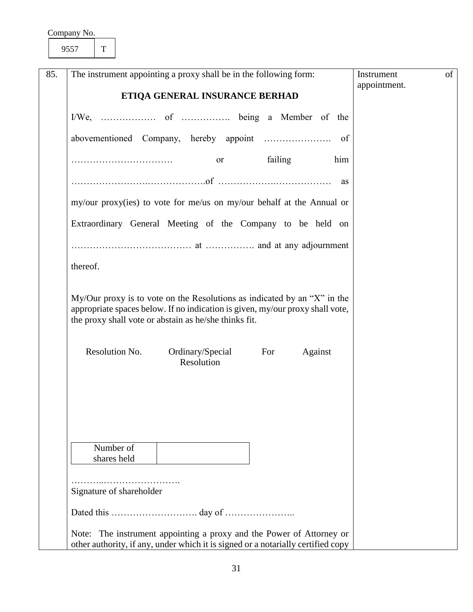<span id="page-31-0"></span>9557 T

| 85. | The instrument appointing a proxy shall be in the following form:                                                                                                                                                  | Instrument<br>appointment. | of |
|-----|--------------------------------------------------------------------------------------------------------------------------------------------------------------------------------------------------------------------|----------------------------|----|
|     | ETIQA GENERAL INSURANCE BERHAD                                                                                                                                                                                     |                            |    |
|     |                                                                                                                                                                                                                    |                            |    |
|     |                                                                                                                                                                                                                    |                            |    |
|     | failing<br>him<br>or                                                                                                                                                                                               |                            |    |
|     | as                                                                                                                                                                                                                 |                            |    |
|     | my/our proxy(ies) to vote for me/us on my/our behalf at the Annual or                                                                                                                                              |                            |    |
|     | Extraordinary General Meeting of the Company to be held on                                                                                                                                                         |                            |    |
|     |                                                                                                                                                                                                                    |                            |    |
|     | thereof.                                                                                                                                                                                                           |                            |    |
|     | My/Our proxy is to vote on the Resolutions as indicated by an "X" in the<br>appropriate spaces below. If no indication is given, my/our proxy shall vote,<br>the proxy shall vote or abstain as he/she thinks fit. |                            |    |
|     | Resolution No.<br>Ordinary/Special<br>For<br>Against<br>Resolution                                                                                                                                                 |                            |    |
|     |                                                                                                                                                                                                                    |                            |    |
|     |                                                                                                                                                                                                                    |                            |    |
|     | Number of                                                                                                                                                                                                          |                            |    |
|     | shares held                                                                                                                                                                                                        |                            |    |
|     | Signature of shareholder                                                                                                                                                                                           |                            |    |
|     |                                                                                                                                                                                                                    |                            |    |
|     | Note: The instrument appointing a proxy and the Power of Attorney or<br>other authority, if any, under which it is signed or a notarially certified copy                                                           |                            |    |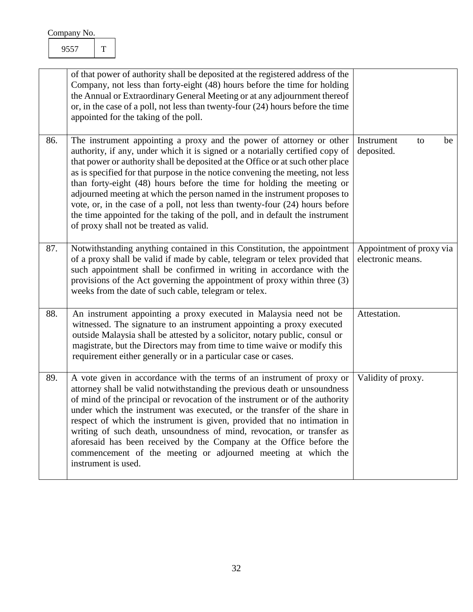<span id="page-32-3"></span><span id="page-32-2"></span><span id="page-32-1"></span><span id="page-32-0"></span>

|     | of that power of authority shall be deposited at the registered address of the<br>Company, not less than forty-eight (48) hours before the time for holding<br>the Annual or Extraordinary General Meeting or at any adjournment thereof<br>or, in the case of a poll, not less than twenty-four $(24)$ hours before the time<br>appointed for the taking of the poll.                                                                                                                                                                                                                                                                                                                       |                                               |
|-----|----------------------------------------------------------------------------------------------------------------------------------------------------------------------------------------------------------------------------------------------------------------------------------------------------------------------------------------------------------------------------------------------------------------------------------------------------------------------------------------------------------------------------------------------------------------------------------------------------------------------------------------------------------------------------------------------|-----------------------------------------------|
| 86. | The instrument appointing a proxy and the power of attorney or other<br>authority, if any, under which it is signed or a notarially certified copy of<br>that power or authority shall be deposited at the Office or at such other place<br>as is specified for that purpose in the notice convening the meeting, not less<br>than forty-eight (48) hours before the time for holding the meeting or<br>adjourned meeting at which the person named in the instrument proposes to<br>vote, or, in the case of a poll, not less than twenty-four (24) hours before<br>the time appointed for the taking of the poll, and in default the instrument<br>of proxy shall not be treated as valid. | Instrument<br>be<br>to<br>deposited.          |
| 87. | Notwithstanding anything contained in this Constitution, the appointment<br>of a proxy shall be valid if made by cable, telegram or telex provided that<br>such appointment shall be confirmed in writing in accordance with the<br>provisions of the Act governing the appointment of proxy within three (3)<br>weeks from the date of such cable, telegram or telex.                                                                                                                                                                                                                                                                                                                       | Appointment of proxy via<br>electronic means. |
| 88. | An instrument appointing a proxy executed in Malaysia need not be<br>witnessed. The signature to an instrument appointing a proxy executed<br>outside Malaysia shall be attested by a solicitor, notary public, consul or<br>magistrate, but the Directors may from time to time waive or modify this<br>requirement either generally or in a particular case or cases.                                                                                                                                                                                                                                                                                                                      | Attestation.                                  |
| 89. | A vote given in accordance with the terms of an instrument of proxy or<br>attorney shall be valid notwithstanding the previous death or unsoundness<br>of mind of the principal or revocation of the instrument or of the authority<br>under which the instrument was executed, or the transfer of the share in<br>respect of which the instrument is given, provided that no intimation in<br>writing of such death, unsoundness of mind, revocation, or transfer as<br>aforesaid has been received by the Company at the Office before the<br>commencement of the meeting or adjourned meeting at which the<br>instrument is used.                                                         | Validity of proxy.                            |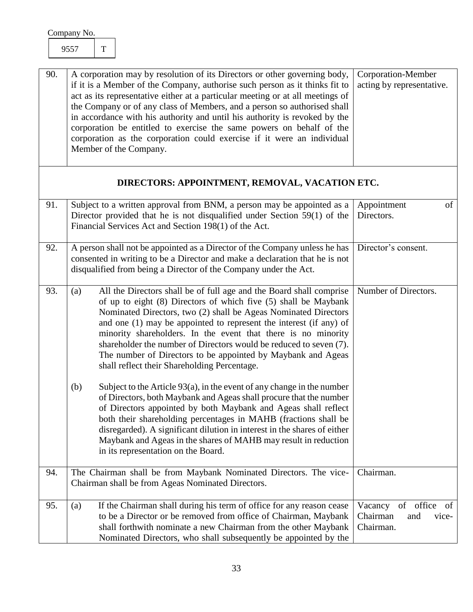<span id="page-33-6"></span><span id="page-33-5"></span><span id="page-33-4"></span><span id="page-33-3"></span><span id="page-33-2"></span><span id="page-33-1"></span><span id="page-33-0"></span>

| 90. | A corporation may by resolution of its Directors or other governing body,<br>if it is a Member of the Company, authorise such person as it thinks fit to<br>act as its representative either at a particular meeting or at all meetings of<br>the Company or of any class of Members, and a person so authorised shall<br>in accordance with his authority and until his authority is revoked by the<br>corporation be entitled to exercise the same powers on behalf of the<br>corporation as the corporation could exercise if it were an individual<br>Member of the Company. | Corporation-Member<br>acting by representative.                  |
|-----|----------------------------------------------------------------------------------------------------------------------------------------------------------------------------------------------------------------------------------------------------------------------------------------------------------------------------------------------------------------------------------------------------------------------------------------------------------------------------------------------------------------------------------------------------------------------------------|------------------------------------------------------------------|
|     | DIRECTORS: APPOINTMENT, REMOVAL, VACATION ETC.                                                                                                                                                                                                                                                                                                                                                                                                                                                                                                                                   |                                                                  |
| 91. | Subject to a written approval from BNM, a person may be appointed as a<br>Director provided that he is not disqualified under Section 59(1) of the<br>Financial Services Act and Section 198(1) of the Act.                                                                                                                                                                                                                                                                                                                                                                      | of<br>Appointment<br>Directors.                                  |
| 92. | A person shall not be appointed as a Director of the Company unless he has<br>consented in writing to be a Director and make a declaration that he is not<br>disqualified from being a Director of the Company under the Act.                                                                                                                                                                                                                                                                                                                                                    | Director's consent.                                              |
| 93. | All the Directors shall be of full age and the Board shall comprise<br>(a)<br>of up to eight (8) Directors of which five (5) shall be Maybank<br>Nominated Directors, two (2) shall be Ageas Nominated Directors<br>and one $(1)$ may be appointed to represent the interest $($ if any $)$ of<br>minority shareholders. In the event that there is no minority<br>shareholder the number of Directors would be reduced to seven (7).<br>The number of Directors to be appointed by Maybank and Ageas<br>shall reflect their Shareholding Percentage.                            | Number of Directors.                                             |
|     | Subject to the Article $93(a)$ , in the event of any change in the number<br>(b)<br>of Directors, both Maybank and Ageas shall procure that the number<br>of Directors appointed by both Maybank and Ageas shall reflect<br>both their shareholding percentages in MAHB (fractions shall be<br>disregarded). A significant dilution in interest in the shares of either<br>Maybank and Ageas in the shares of MAHB may result in reduction<br>in its representation on the Board.                                                                                                |                                                                  |
| 94. | The Chairman shall be from Maybank Nominated Directors. The vice-<br>Chairman shall be from Ageas Nominated Directors.                                                                                                                                                                                                                                                                                                                                                                                                                                                           | Chairman.                                                        |
| 95. | If the Chairman shall during his term of office for any reason cease<br>(a)<br>to be a Director or be removed from office of Chairman, Maybank<br>shall forthwith nominate a new Chairman from the other Maybank<br>Nominated Directors, who shall subsequently be appointed by the                                                                                                                                                                                                                                                                                              | Vacancy of office<br>of<br>Chairman<br>and<br>vice-<br>Chairman. |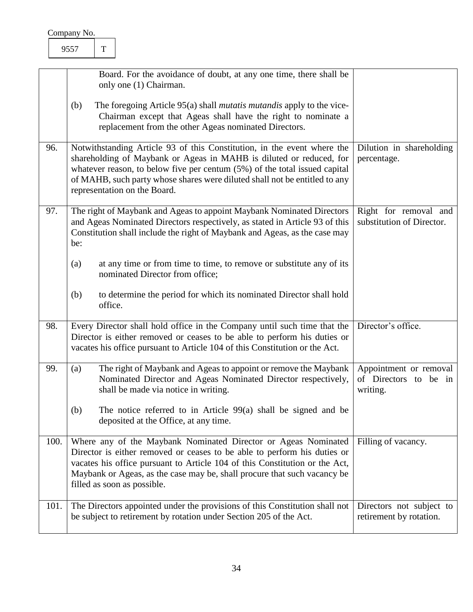<span id="page-34-5"></span><span id="page-34-4"></span><span id="page-34-3"></span><span id="page-34-2"></span><span id="page-34-1"></span><span id="page-34-0"></span>

|      | Board. For the avoidance of doubt, at any one time, there shall be<br>only one (1) Chairman.                                                                                                                                                                                                                                                 |                                                             |
|------|----------------------------------------------------------------------------------------------------------------------------------------------------------------------------------------------------------------------------------------------------------------------------------------------------------------------------------------------|-------------------------------------------------------------|
|      | The foregoing Article 95(a) shall <i>mutatis mutandis</i> apply to the vice-<br>(b)<br>Chairman except that Ageas shall have the right to nominate a<br>replacement from the other Ageas nominated Directors.                                                                                                                                |                                                             |
| 96.  | Notwithstanding Article 93 of this Constitution, in the event where the<br>shareholding of Maybank or Ageas in MAHB is diluted or reduced, for<br>whatever reason, to below five per centum $(5%)$ of the total issued capital<br>of MAHB, such party whose shares were diluted shall not be entitled to any<br>representation on the Board. | Dilution in shareholding<br>percentage.                     |
| 97.  | The right of Maybank and Ageas to appoint Maybank Nominated Directors<br>and Ageas Nominated Directors respectively, as stated in Article 93 of this<br>Constitution shall include the right of Maybank and Ageas, as the case may<br>be:                                                                                                    | Right for removal and<br>substitution of Director.          |
|      | (a)<br>at any time or from time to time, to remove or substitute any of its<br>nominated Director from office;                                                                                                                                                                                                                               |                                                             |
|      | to determine the period for which its nominated Director shall hold<br>(b)<br>office.                                                                                                                                                                                                                                                        |                                                             |
| 98.  | Every Director shall hold office in the Company until such time that the<br>Director is either removed or ceases to be able to perform his duties or<br>vacates his office pursuant to Article 104 of this Constitution or the Act.                                                                                                          | Director's office.                                          |
| 99.  | The right of Maybank and Ageas to appoint or remove the Maybank<br>(a)<br>Nominated Director and Ageas Nominated Director respectively,<br>shall be made via notice in writing.                                                                                                                                                              | Appointment or removal<br>of Directors to be in<br>writing. |
|      | The notice referred to in Article $99(a)$ shall be signed and be<br>(b)<br>deposited at the Office, at any time.                                                                                                                                                                                                                             |                                                             |
| 100. | Where any of the Maybank Nominated Director or Ageas Nominated<br>Director is either removed or ceases to be able to perform his duties or<br>vacates his office pursuant to Article 104 of this Constitution or the Act,<br>Maybank or Ageas, as the case may be, shall procure that such vacancy be<br>filled as soon as possible.         | Filling of vacancy.                                         |
| 101. | The Directors appointed under the provisions of this Constitution shall not<br>be subject to retirement by rotation under Section 205 of the Act.                                                                                                                                                                                            | Directors not subject to<br>retirement by rotation.         |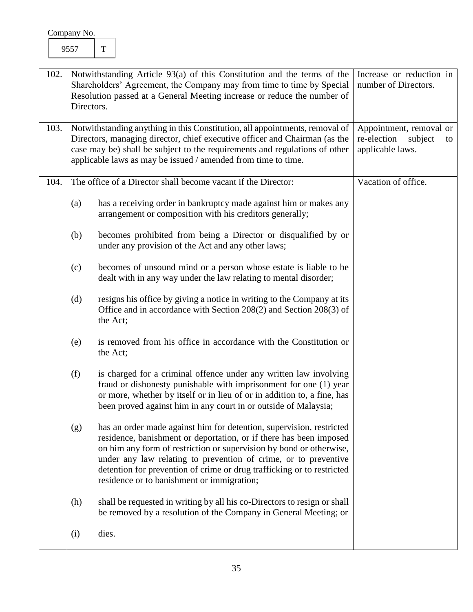<span id="page-35-2"></span><span id="page-35-1"></span><span id="page-35-0"></span>

| 102. | Directors.                                                                                                                                                                                                                                                                                  | Notwithstanding Article 93(a) of this Constitution and the terms of the<br>Shareholders' Agreement, the Company may from time to time by Special<br>Resolution passed at a General Meeting increase or reduce the number of                                                                                                                                                                                  | Increase or reduction in<br>number of Directors.                            |
|------|---------------------------------------------------------------------------------------------------------------------------------------------------------------------------------------------------------------------------------------------------------------------------------------------|--------------------------------------------------------------------------------------------------------------------------------------------------------------------------------------------------------------------------------------------------------------------------------------------------------------------------------------------------------------------------------------------------------------|-----------------------------------------------------------------------------|
| 103. |                                                                                                                                                                                                                                                                                             | Notwithstanding anything in this Constitution, all appointments, removal of<br>Directors, managing director, chief executive officer and Chairman (as the<br>case may be) shall be subject to the requirements and regulations of other<br>applicable laws as may be issued / amended from time to time.                                                                                                     | Appointment, removal or<br>re-election<br>subject<br>to<br>applicable laws. |
| 104. | The office of a Director shall become vacant if the Director:                                                                                                                                                                                                                               |                                                                                                                                                                                                                                                                                                                                                                                                              | Vacation of office.                                                         |
|      | (a)                                                                                                                                                                                                                                                                                         | has a receiving order in bankruptcy made against him or makes any<br>arrangement or composition with his creditors generally;                                                                                                                                                                                                                                                                                |                                                                             |
|      | (b)                                                                                                                                                                                                                                                                                         | becomes prohibited from being a Director or disqualified by or<br>under any provision of the Act and any other laws;                                                                                                                                                                                                                                                                                         |                                                                             |
|      | (c)                                                                                                                                                                                                                                                                                         | becomes of unsound mind or a person whose estate is liable to be<br>dealt with in any way under the law relating to mental disorder;                                                                                                                                                                                                                                                                         |                                                                             |
|      | (d)                                                                                                                                                                                                                                                                                         | resigns his office by giving a notice in writing to the Company at its<br>Office and in accordance with Section 208(2) and Section 208(3) of<br>the Act;                                                                                                                                                                                                                                                     |                                                                             |
|      | is removed from his office in accordance with the Constitution or<br>(e)<br>the Act;                                                                                                                                                                                                        |                                                                                                                                                                                                                                                                                                                                                                                                              |                                                                             |
|      | (f)<br>is charged for a criminal offence under any written law involving<br>fraud or dishonesty punishable with imprisonment for one (1) year<br>or more, whether by itself or in lieu of or in addition to, a fine, has<br>been proved against him in any court in or outside of Malaysia; |                                                                                                                                                                                                                                                                                                                                                                                                              |                                                                             |
|      | (g)                                                                                                                                                                                                                                                                                         | has an order made against him for detention, supervision, restricted<br>residence, banishment or deportation, or if there has been imposed<br>on him any form of restriction or supervision by bond or otherwise,<br>under any law relating to prevention of crime, or to preventive<br>detention for prevention of crime or drug trafficking or to restricted<br>residence or to banishment or immigration; |                                                                             |
|      | (h)                                                                                                                                                                                                                                                                                         | shall be requested in writing by all his co-Directors to resign or shall<br>be removed by a resolution of the Company in General Meeting; or                                                                                                                                                                                                                                                                 |                                                                             |
|      | (i)                                                                                                                                                                                                                                                                                         | dies.                                                                                                                                                                                                                                                                                                                                                                                                        |                                                                             |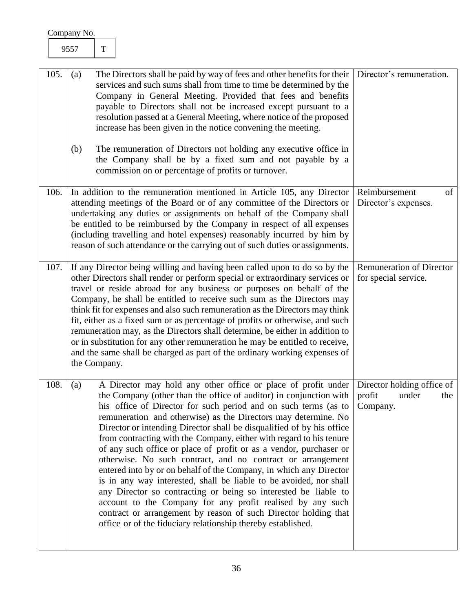<span id="page-36-3"></span><span id="page-36-2"></span><span id="page-36-1"></span><span id="page-36-0"></span>

| Company No. |            |              |                                                                                                                                                                                                                                                                                                                                                                                                                                                                                                                                                                                                                                                                                                                                                                                                                                                                                                                                                                               |                                                                  |
|-------------|------------|--------------|-------------------------------------------------------------------------------------------------------------------------------------------------------------------------------------------------------------------------------------------------------------------------------------------------------------------------------------------------------------------------------------------------------------------------------------------------------------------------------------------------------------------------------------------------------------------------------------------------------------------------------------------------------------------------------------------------------------------------------------------------------------------------------------------------------------------------------------------------------------------------------------------------------------------------------------------------------------------------------|------------------------------------------------------------------|
|             | 9557       | $\mathbf T$  |                                                                                                                                                                                                                                                                                                                                                                                                                                                                                                                                                                                                                                                                                                                                                                                                                                                                                                                                                                               |                                                                  |
| 105.        | (a)<br>(b) |              | The Directors shall be paid by way of fees and other benefits for their<br>services and such sums shall from time to time be determined by the<br>Company in General Meeting. Provided that fees and benefits<br>payable to Directors shall not be increased except pursuant to a<br>resolution passed at a General Meeting, where notice of the proposed<br>increase has been given in the notice convening the meeting.<br>The remuneration of Directors not holding any executive office in<br>the Company shall be by a fixed sum and not payable by a<br>commission on or percentage of profits or turnover.                                                                                                                                                                                                                                                                                                                                                             | Director's remuneration.                                         |
| 106.        |            |              | In addition to the remuneration mentioned in Article 105, any Director<br>attending meetings of the Board or of any committee of the Directors or<br>undertaking any duties or assignments on behalf of the Company shall<br>be entitled to be reimbursed by the Company in respect of all expenses<br>(including travelling and hotel expenses) reasonably incurred by him by<br>reason of such attendance or the carrying out of such duties or assignments.                                                                                                                                                                                                                                                                                                                                                                                                                                                                                                                | Reimbursement<br>of<br>Director's expenses.                      |
| 107.        |            | the Company. | If any Director being willing and having been called upon to do so by the<br>other Directors shall render or perform special or extraordinary services or<br>travel or reside abroad for any business or purposes on behalf of the<br>Company, he shall be entitled to receive such sum as the Directors may<br>think fit for expenses and also such remuneration as the Directors may think<br>fit, either as a fixed sum or as percentage of profits or otherwise, and such<br>remuneration may, as the Directors shall determine, be either in addition to<br>or in substitution for any other remuneration he may be entitled to receive,<br>and the same shall be charged as part of the ordinary working expenses of                                                                                                                                                                                                                                                    | <b>Remuneration of Director</b><br>for special service.          |
| 108.        | (a)        |              | A Director may hold any other office or place of profit under<br>the Company (other than the office of auditor) in conjunction with<br>his office of Director for such period and on such terms (as to<br>remuneration and otherwise) as the Directors may determine. No<br>Director or intending Director shall be disqualified of by his office<br>from contracting with the Company, either with regard to his tenure<br>of any such office or place of profit or as a vendor, purchaser or<br>otherwise. No such contract, and no contract or arrangement<br>entered into by or on behalf of the Company, in which any Director<br>is in any way interested, shall be liable to be avoided, nor shall<br>any Director so contracting or being so interested be liable to<br>account to the Company for any profit realised by any such<br>contract or arrangement by reason of such Director holding that<br>office or of the fiduciary relationship thereby established. | Director holding office of<br>profit<br>under<br>the<br>Company. |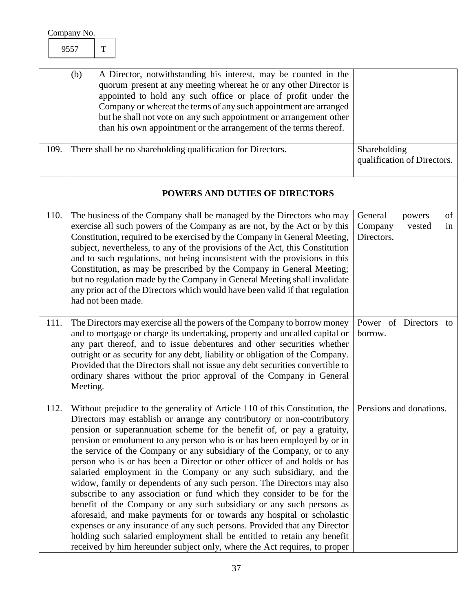| Company No. |  |
|-------------|--|
|             |  |

<span id="page-37-4"></span><span id="page-37-3"></span><span id="page-37-2"></span><span id="page-37-1"></span><span id="page-37-0"></span>

|      | (b)<br>A Director, notwithstanding his interest, may be counted in the<br>quorum present at any meeting whereat he or any other Director is<br>appointed to hold any such office or place of profit under the<br>Company or whereat the terms of any such appointment are arranged<br>but he shall not vote on any such appointment or arrangement other<br>than his own appointment or the arrangement of the terms thereof.                                                                                                                                                                                                                                                                                                                                                                                                                                                                                                                                                                                                                                                                                    |                                                                  |
|------|------------------------------------------------------------------------------------------------------------------------------------------------------------------------------------------------------------------------------------------------------------------------------------------------------------------------------------------------------------------------------------------------------------------------------------------------------------------------------------------------------------------------------------------------------------------------------------------------------------------------------------------------------------------------------------------------------------------------------------------------------------------------------------------------------------------------------------------------------------------------------------------------------------------------------------------------------------------------------------------------------------------------------------------------------------------------------------------------------------------|------------------------------------------------------------------|
| 109. | There shall be no shareholding qualification for Directors.                                                                                                                                                                                                                                                                                                                                                                                                                                                                                                                                                                                                                                                                                                                                                                                                                                                                                                                                                                                                                                                      | Shareholding<br>qualification of Directors.                      |
|      | POWERS AND DUTIES OF DIRECTORS                                                                                                                                                                                                                                                                                                                                                                                                                                                                                                                                                                                                                                                                                                                                                                                                                                                                                                                                                                                                                                                                                   |                                                                  |
| 110. | The business of the Company shall be managed by the Directors who may<br>exercise all such powers of the Company as are not, by the Act or by this<br>Constitution, required to be exercised by the Company in General Meeting,<br>subject, nevertheless, to any of the provisions of the Act, this Constitution<br>and to such regulations, not being inconsistent with the provisions in this<br>Constitution, as may be prescribed by the Company in General Meeting;<br>but no regulation made by the Company in General Meeting shall invalidate<br>any prior act of the Directors which would have been valid if that regulation<br>had not been made.                                                                                                                                                                                                                                                                                                                                                                                                                                                     | General<br>of<br>powers<br>Company<br>in<br>vested<br>Directors. |
| 111. | The Directors may exercise all the powers of the Company to borrow money<br>and to mortgage or charge its undertaking, property and uncalled capital or<br>any part thereof, and to issue debentures and other securities whether<br>outright or as security for any debt, liability or obligation of the Company.<br>Provided that the Directors shall not issue any debt securities convertible to<br>ordinary shares without the prior approval of the Company in General<br>Meeting.                                                                                                                                                                                                                                                                                                                                                                                                                                                                                                                                                                                                                         | Power of Directors<br>to<br>borrow.                              |
| 112. | Without prejudice to the generality of Article 110 of this Constitution, the   Pensions and donations.<br>Directors may establish or arrange any contributory or non-contributory<br>pension or superannuation scheme for the benefit of, or pay a gratuity,<br>pension or emolument to any person who is or has been employed by or in<br>the service of the Company or any subsidiary of the Company, or to any<br>person who is or has been a Director or other officer of and holds or has<br>salaried employment in the Company or any such subsidiary, and the<br>widow, family or dependents of any such person. The Directors may also<br>subscribe to any association or fund which they consider to be for the<br>benefit of the Company or any such subsidiary or any such persons as<br>aforesaid, and make payments for or towards any hospital or scholastic<br>expenses or any insurance of any such persons. Provided that any Director<br>holding such salaried employment shall be entitled to retain any benefit<br>received by him hereunder subject only, where the Act requires, to proper |                                                                  |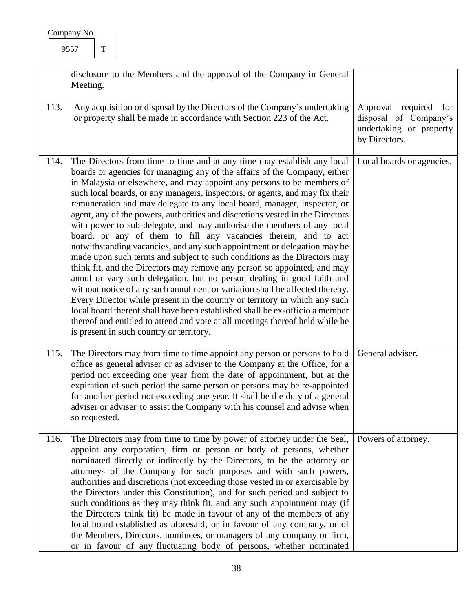<span id="page-38-3"></span><span id="page-38-2"></span><span id="page-38-1"></span><span id="page-38-0"></span>

|      | disclosure to the Members and the approval of the Company in General<br>Meeting.                                                                                                                                                                                                                                                                                                                                                                                                                                                                                                                                                                                                                                                                                                                                                                                                                                                                                                                                                                                                                                                                                                                                                                                                                                  |                                                                                            |
|------|-------------------------------------------------------------------------------------------------------------------------------------------------------------------------------------------------------------------------------------------------------------------------------------------------------------------------------------------------------------------------------------------------------------------------------------------------------------------------------------------------------------------------------------------------------------------------------------------------------------------------------------------------------------------------------------------------------------------------------------------------------------------------------------------------------------------------------------------------------------------------------------------------------------------------------------------------------------------------------------------------------------------------------------------------------------------------------------------------------------------------------------------------------------------------------------------------------------------------------------------------------------------------------------------------------------------|--------------------------------------------------------------------------------------------|
| 113. | Any acquisition or disposal by the Directors of the Company's undertaking<br>or property shall be made in accordance with Section 223 of the Act.                                                                                                                                                                                                                                                                                                                                                                                                                                                                                                                                                                                                                                                                                                                                                                                                                                                                                                                                                                                                                                                                                                                                                                 | Approval required for<br>disposal of Company's<br>undertaking or property<br>by Directors. |
| 114. | The Directors from time to time and at any time may establish any local<br>boards or agencies for managing any of the affairs of the Company, either<br>in Malaysia or elsewhere, and may appoint any persons to be members of<br>such local boards, or any managers, inspectors, or agents, and may fix their<br>remuneration and may delegate to any local board, manager, inspector, or<br>agent, any of the powers, authorities and discretions vested in the Directors<br>with power to sub-delegate, and may authorise the members of any local<br>board, or any of them to fill any vacancies therein, and to act<br>notwithstanding vacancies, and any such appointment or delegation may be<br>made upon such terms and subject to such conditions as the Directors may<br>think fit, and the Directors may remove any person so appointed, and may<br>annul or vary such delegation, but no person dealing in good faith and<br>without notice of any such annulment or variation shall be affected thereby.<br>Every Director while present in the country or territory in which any such<br>local board thereof shall have been established shall be ex-officio a member<br>thereof and entitled to attend and vote at all meetings thereof held while he<br>is present in such country or territory. | Local boards or agencies.                                                                  |
| 115. | The Directors may from time to time appoint any person or persons to hold<br>office as general adviser or as adviser to the Company at the Office, for a<br>period not exceeding one year from the date of appointment, but at the<br>expiration of such period the same person or persons may be re-appointed<br>for another period not exceeding one year. It shall be the duty of a general<br>adviser or adviser to assist the Company with his counsel and advise when<br>so requested.                                                                                                                                                                                                                                                                                                                                                                                                                                                                                                                                                                                                                                                                                                                                                                                                                      | General adviser.                                                                           |
| 116. | The Directors may from time to time by power of attorney under the Seal,<br>appoint any corporation, firm or person or body of persons, whether<br>nominated directly or indirectly by the Directors, to be the attorney or<br>attorneys of the Company for such purposes and with such powers,<br>authorities and discretions (not exceeding those vested in or exercisable by<br>the Directors under this Constitution), and for such period and subject to<br>such conditions as they may think fit, and any such appointment may (if<br>the Directors think fit) be made in favour of any of the members of any<br>local board established as aforesaid, or in favour of any company, or of<br>the Members, Directors, nominees, or managers of any company or firm,<br>or in favour of any fluctuating body of persons, whether nominated                                                                                                                                                                                                                                                                                                                                                                                                                                                                    | Powers of attorney.                                                                        |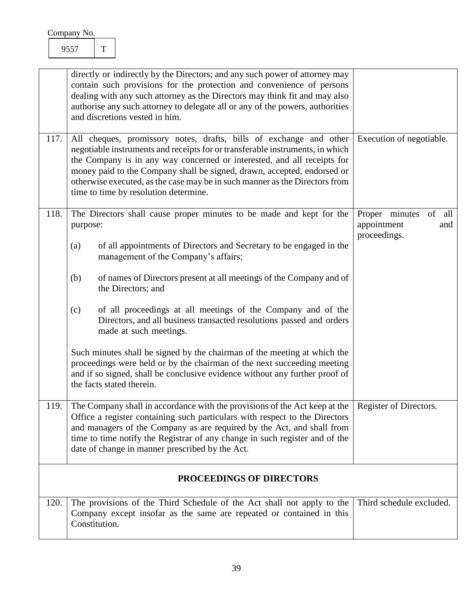<span id="page-39-4"></span><span id="page-39-3"></span><span id="page-39-2"></span><span id="page-39-1"></span><span id="page-39-0"></span>

| 117. | directly or indirectly by the Directors; and any such power of attorney may<br>contain such provisions for the protection and convenience of persons<br>dealing with any such attorney as the Directors may think fit and may also<br>authorise any such attorney to delegate all or any of the powers, authorities<br>and discretions vested in him.<br>All cheques, promissory notes, drafts, bills of exchange and other |                                                                |
|------|-----------------------------------------------------------------------------------------------------------------------------------------------------------------------------------------------------------------------------------------------------------------------------------------------------------------------------------------------------------------------------------------------------------------------------|----------------------------------------------------------------|
|      | negotiable instruments and receipts for or transferable instruments, in which<br>the Company is in any way concerned or interested, and all receipts for<br>money paid to the Company shall be signed, drawn, accepted, endorsed or<br>otherwise executed, as the case may be in such manner as the Directors from<br>time to time by resolution determine.                                                                 | Execution of negotiable.                                       |
| 118. | The Directors shall cause proper minutes to be made and kept for the<br>purpose:<br>of all appointments of Directors and Secretary to be engaged in the<br>(a)<br>management of the Company's affairs;                                                                                                                                                                                                                      | Proper minutes<br>of all<br>appointment<br>and<br>proceedings. |
|      | of names of Directors present at all meetings of the Company and of<br>(b)<br>the Directors; and                                                                                                                                                                                                                                                                                                                            |                                                                |
|      | of all proceedings at all meetings of the Company and of the<br>(c)<br>Directors, and all business transacted resolutions passed and orders<br>made at such meetings.                                                                                                                                                                                                                                                       |                                                                |
|      | Such minutes shall be signed by the chairman of the meeting at which the<br>proceedings were held or by the chairman of the next succeeding meeting<br>and if so signed, shall be conclusive evidence without any further proof of<br>the facts stated therein.                                                                                                                                                             |                                                                |
| 119. | The Company shall in accordance with the provisions of the Act keep at the<br>Office a register containing such particulars with respect to the Directors<br>and managers of the Company as are required by the Act, and shall from<br>time to time notify the Registrar of any change in such register and of the<br>date of change in manner prescribed by the Act.                                                       | Register of Directors.                                         |
|      | PROCEEDINGS OF DIRECTORS                                                                                                                                                                                                                                                                                                                                                                                                    |                                                                |
| 120. | The provisions of the Third Schedule of the Act shall not apply to the<br>Company except insofar as the same are repeated or contained in this<br>Constitution.                                                                                                                                                                                                                                                             | Third schedule excluded.                                       |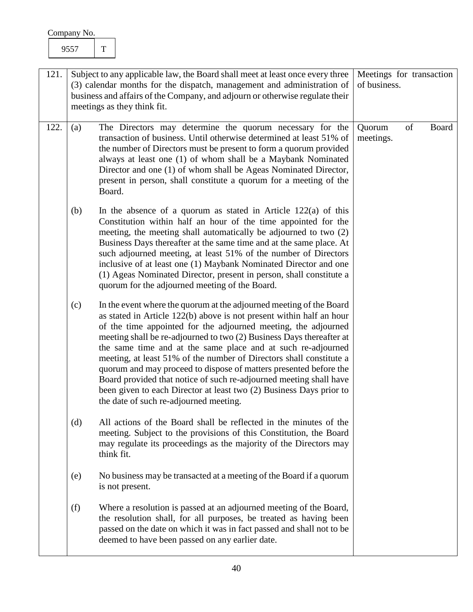<span id="page-40-1"></span><span id="page-40-0"></span>

| 121. | Subject to any applicable law, the Board shall meet at least once every three<br>(3) calendar months for the dispatch, management and administration of<br>business and affairs of the Company, and adjourn or otherwise regulate their<br>meetings as they think fit. |                                                                                                                                                                                                                                                                                                                                                                                                                                                                                                                                                                                                                                                                                          | Meetings for transaction<br>of business. |
|------|------------------------------------------------------------------------------------------------------------------------------------------------------------------------------------------------------------------------------------------------------------------------|------------------------------------------------------------------------------------------------------------------------------------------------------------------------------------------------------------------------------------------------------------------------------------------------------------------------------------------------------------------------------------------------------------------------------------------------------------------------------------------------------------------------------------------------------------------------------------------------------------------------------------------------------------------------------------------|------------------------------------------|
| 122. | (a)                                                                                                                                                                                                                                                                    | The Directors may determine the quorum necessary for the<br>transaction of business. Until otherwise determined at least 51% of<br>the number of Directors must be present to form a quorum provided<br>always at least one (1) of whom shall be a Maybank Nominated<br>Director and one (1) of whom shall be Ageas Nominated Director,<br>present in person, shall constitute a quorum for a meeting of the<br>Board.                                                                                                                                                                                                                                                                   | of<br>Board<br>Quorum<br>meetings.       |
|      | (b)                                                                                                                                                                                                                                                                    | In the absence of a quorum as stated in Article $122(a)$ of this<br>Constitution within half an hour of the time appointed for the<br>meeting, the meeting shall automatically be adjourned to two (2)<br>Business Days thereafter at the same time and at the same place. At<br>such adjourned meeting, at least 51% of the number of Directors<br>inclusive of at least one (1) Maybank Nominated Director and one<br>(1) Ageas Nominated Director, present in person, shall constitute a<br>quorum for the adjourned meeting of the Board.                                                                                                                                            |                                          |
|      | (c)                                                                                                                                                                                                                                                                    | In the event where the quorum at the adjourned meeting of the Board<br>as stated in Article 122(b) above is not present within half an hour<br>of the time appointed for the adjourned meeting, the adjourned<br>meeting shall be re-adjourned to two (2) Business Days thereafter at<br>the same time and at the same place and at such re-adjourned<br>meeting, at least 51% of the number of Directors shall constitute a<br>quorum and may proceed to dispose of matters presented before the<br>Board provided that notice of such re-adjourned meeting shall have<br>been given to each Director at least two (2) Business Days prior to<br>the date of such re-adjourned meeting. |                                          |
|      | (d)                                                                                                                                                                                                                                                                    | All actions of the Board shall be reflected in the minutes of the<br>meeting. Subject to the provisions of this Constitution, the Board<br>may regulate its proceedings as the majority of the Directors may<br>think fit.                                                                                                                                                                                                                                                                                                                                                                                                                                                               |                                          |
|      | (e)                                                                                                                                                                                                                                                                    | No business may be transacted at a meeting of the Board if a quorum<br>is not present.                                                                                                                                                                                                                                                                                                                                                                                                                                                                                                                                                                                                   |                                          |
|      | (f)                                                                                                                                                                                                                                                                    | Where a resolution is passed at an adjourned meeting of the Board,<br>the resolution shall, for all purposes, be treated as having been<br>passed on the date on which it was in fact passed and shall not to be<br>deemed to have been passed on any earlier date.                                                                                                                                                                                                                                                                                                                                                                                                                      |                                          |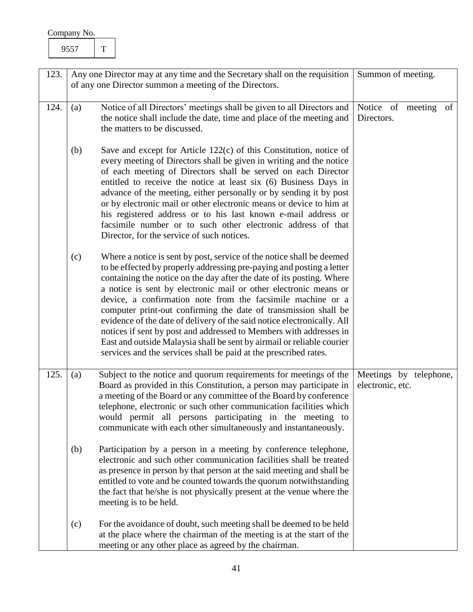<span id="page-41-2"></span><span id="page-41-1"></span><span id="page-41-0"></span>

| 123. | Any one Director may at any time and the Secretary shall on the requisition                                                                                                                                                                                                                                                                                                                                                                                                                                                                                                                                                                                                                                                         | Summon of meeting.                         |
|------|-------------------------------------------------------------------------------------------------------------------------------------------------------------------------------------------------------------------------------------------------------------------------------------------------------------------------------------------------------------------------------------------------------------------------------------------------------------------------------------------------------------------------------------------------------------------------------------------------------------------------------------------------------------------------------------------------------------------------------------|--------------------------------------------|
|      | of any one Director summon a meeting of the Directors.                                                                                                                                                                                                                                                                                                                                                                                                                                                                                                                                                                                                                                                                              |                                            |
|      |                                                                                                                                                                                                                                                                                                                                                                                                                                                                                                                                                                                                                                                                                                                                     |                                            |
| 124. | Notice of all Directors' meetings shall be given to all Directors and<br>(a)<br>the notice shall include the date, time and place of the meeting and<br>the matters to be discussed.                                                                                                                                                                                                                                                                                                                                                                                                                                                                                                                                                | Notice of meeting<br>of<br>Directors.      |
|      | (b)<br>Save and except for Article $122(c)$ of this Constitution, notice of<br>every meeting of Directors shall be given in writing and the notice<br>of each meeting of Directors shall be served on each Director<br>entitled to receive the notice at least six (6) Business Days in<br>advance of the meeting, either personally or by sending it by post<br>or by electronic mail or other electronic means or device to him at<br>his registered address or to his last known e-mail address or<br>facsimile number or to such other electronic address of that<br>Director, for the service of such notices.                                                                                                                 |                                            |
|      | (c)<br>Where a notice is sent by post, service of the notice shall be deemed<br>to be effected by properly addressing pre-paying and posting a letter<br>containing the notice on the day after the date of its posting. Where<br>a notice is sent by electronic mail or other electronic means or<br>device, a confirmation note from the facsimile machine or a<br>computer print-out confirming the date of transmission shall be<br>evidence of the date of delivery of the said notice electronically. All<br>notices if sent by post and addressed to Members with addresses in<br>East and outside Malaysia shall be sent by airmail or reliable courier<br>services and the services shall be paid at the prescribed rates. |                                            |
| 125. | Subject to the notice and quorum requirements for meetings of the<br>(a)<br>Board as provided in this Constitution, a person may participate in<br>a meeting of the Board or any committee of the Board by conference<br>telephone, electronic or such other communication facilities which<br>would permit all persons participating in the meeting to<br>communicate with each other simultaneously and instantaneously.                                                                                                                                                                                                                                                                                                          | Meetings by telephone,<br>electronic, etc. |
|      | Participation by a person in a meeting by conference telephone,<br>(b)<br>electronic and such other communication facilities shall be treated<br>as presence in person by that person at the said meeting and shall be<br>entitled to vote and be counted towards the quorum notwithstanding<br>the fact that he/she is not physically present at the venue where the<br>meeting is to be held.                                                                                                                                                                                                                                                                                                                                     |                                            |
|      | For the avoidance of doubt, such meeting shall be deemed to be held<br>(c)<br>at the place where the chairman of the meeting is at the start of the<br>meeting or any other place as agreed by the chairman.                                                                                                                                                                                                                                                                                                                                                                                                                                                                                                                        |                                            |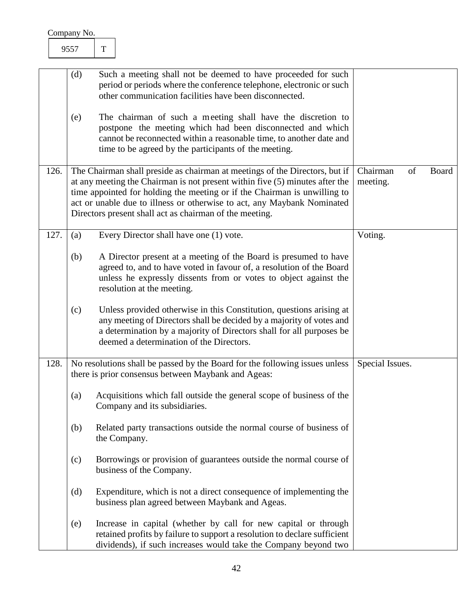<span id="page-42-2"></span><span id="page-42-1"></span><span id="page-42-0"></span>

|      | (d) | Such a meeting shall not be deemed to have proceeded for such<br>period or periods where the conference telephone, electronic or such<br>other communication facilities have been disconnected.                                                                                                                                                                                |                            |       |
|------|-----|--------------------------------------------------------------------------------------------------------------------------------------------------------------------------------------------------------------------------------------------------------------------------------------------------------------------------------------------------------------------------------|----------------------------|-------|
|      | (e) | The chairman of such a meeting shall have the discretion to<br>postpone the meeting which had been disconnected and which<br>cannot be reconnected within a reasonable time, to another date and<br>time to be agreed by the participants of the meeting.                                                                                                                      |                            |       |
| 126. |     | The Chairman shall preside as chairman at meetings of the Directors, but if<br>at any meeting the Chairman is not present within five (5) minutes after the<br>time appointed for holding the meeting or if the Chairman is unwilling to<br>act or unable due to illness or otherwise to act, any Maybank Nominated<br>Directors present shall act as chairman of the meeting. | Chairman<br>of<br>meeting. | Board |
| 127. | (a) | Every Director shall have one (1) vote.                                                                                                                                                                                                                                                                                                                                        | Voting.                    |       |
|      | (b) | A Director present at a meeting of the Board is presumed to have<br>agreed to, and to have voted in favour of, a resolution of the Board<br>unless he expressly dissents from or votes to object against the<br>resolution at the meeting.                                                                                                                                     |                            |       |
|      | (c) | Unless provided otherwise in this Constitution, questions arising at<br>any meeting of Directors shall be decided by a majority of votes and<br>a determination by a majority of Directors shall for all purposes be<br>deemed a determination of the Directors.                                                                                                               |                            |       |
| 128. |     | No resolutions shall be passed by the Board for the following issues unless<br>there is prior consensus between Maybank and Ageas:                                                                                                                                                                                                                                             | Special Issues.            |       |
|      | (a) | Acquisitions which fall outside the general scope of business of the<br>Company and its subsidiaries.                                                                                                                                                                                                                                                                          |                            |       |
|      | (b) | Related party transactions outside the normal course of business of<br>the Company.                                                                                                                                                                                                                                                                                            |                            |       |
|      | (c) | Borrowings or provision of guarantees outside the normal course of<br>business of the Company.                                                                                                                                                                                                                                                                                 |                            |       |
|      | (d) | Expenditure, which is not a direct consequence of implementing the<br>business plan agreed between Maybank and Ageas.                                                                                                                                                                                                                                                          |                            |       |
|      | (e) | Increase in capital (whether by call for new capital or through<br>retained profits by failure to support a resolution to declare sufficient<br>dividends), if such increases would take the Company beyond two                                                                                                                                                                |                            |       |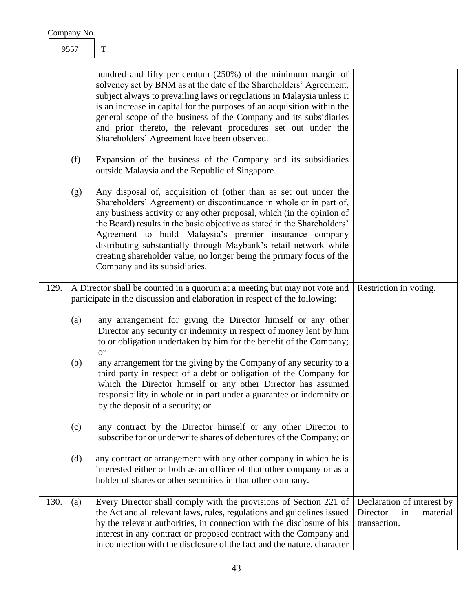| Company No. |  |
|-------------|--|
|             |  |

<span id="page-43-1"></span><span id="page-43-0"></span>

|      |     | hundred and fifty per centum (250%) of the minimum margin of<br>solvency set by BNM as at the date of the Shareholders' Agreement,<br>subject always to prevailing laws or regulations in Malaysia unless it<br>is an increase in capital for the purposes of an acquisition within the<br>general scope of the business of the Company and its subsidiaries<br>and prior thereto, the relevant procedures set out under the<br>Shareholders' Agreement have been observed.                                                          |                                                                          |
|------|-----|--------------------------------------------------------------------------------------------------------------------------------------------------------------------------------------------------------------------------------------------------------------------------------------------------------------------------------------------------------------------------------------------------------------------------------------------------------------------------------------------------------------------------------------|--------------------------------------------------------------------------|
|      | (f) | Expansion of the business of the Company and its subsidiaries<br>outside Malaysia and the Republic of Singapore.                                                                                                                                                                                                                                                                                                                                                                                                                     |                                                                          |
|      | (g) | Any disposal of, acquisition of (other than as set out under the<br>Shareholders' Agreement) or discontinuance in whole or in part of,<br>any business activity or any other proposal, which (in the opinion of<br>the Board) results in the basic objective as stated in the Shareholders'<br>Agreement to build Malaysia's premier insurance company<br>distributing substantially through Maybank's retail network while<br>creating shareholder value, no longer being the primary focus of the<br>Company and its subsidiaries. |                                                                          |
| 129. |     | A Director shall be counted in a quorum at a meeting but may not vote and<br>participate in the discussion and elaboration in respect of the following:                                                                                                                                                                                                                                                                                                                                                                              | Restriction in voting.                                                   |
|      | (a) | any arrangement for giving the Director himself or any other<br>Director any security or indemnity in respect of money lent by him<br>to or obligation undertaken by him for the benefit of the Company;<br><sub>or</sub>                                                                                                                                                                                                                                                                                                            |                                                                          |
|      | (b) | any arrangement for the giving by the Company of any security to a<br>third party in respect of a debt or obligation of the Company for<br>which the Director himself or any other Director has assumed<br>responsibility in whole or in part under a guarantee or indemnity or<br>by the deposit of a security; or                                                                                                                                                                                                                  |                                                                          |
|      | (c) | any contract by the Director himself or any other Director to<br>subscribe for or underwrite shares of debentures of the Company; or                                                                                                                                                                                                                                                                                                                                                                                                 |                                                                          |
|      | (d) | any contract or arrangement with any other company in which he is<br>interested either or both as an officer of that other company or as a<br>holder of shares or other securities in that other company.                                                                                                                                                                                                                                                                                                                            |                                                                          |
| 130. | (a) | Every Director shall comply with the provisions of Section 221 of<br>the Act and all relevant laws, rules, regulations and guidelines issued<br>by the relevant authorities, in connection with the disclosure of his<br>interest in any contract or proposed contract with the Company and<br>in connection with the disclosure of the fact and the nature, character                                                                                                                                                               | Declaration of interest by<br>Director<br>in<br>material<br>transaction. |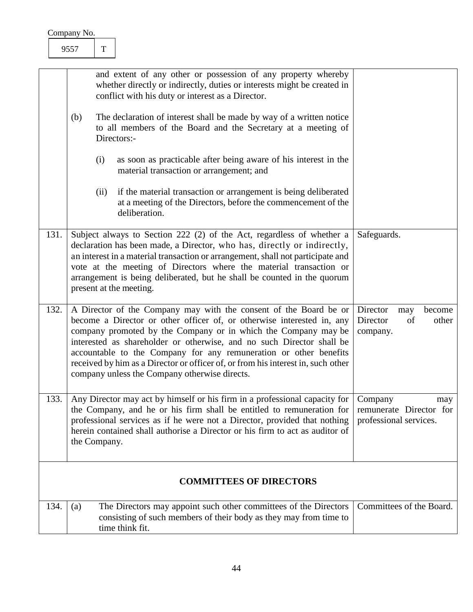| Company No. |  |
|-------------|--|
|             |  |

<span id="page-44-4"></span><span id="page-44-3"></span><span id="page-44-2"></span><span id="page-44-1"></span><span id="page-44-0"></span>

|      | and extent of any other or possession of any property whereby<br>whether directly or indirectly, duties or interests might be created in<br>conflict with his duty or interest as a Director.<br>(b)<br>The declaration of interest shall be made by way of a written notice<br>to all members of the Board and the Secretary at a meeting of<br>Directors:-<br>(i)<br>as soon as practicable after being aware of his interest in the<br>material transaction or arrangement; and               |                                                                     |
|------|--------------------------------------------------------------------------------------------------------------------------------------------------------------------------------------------------------------------------------------------------------------------------------------------------------------------------------------------------------------------------------------------------------------------------------------------------------------------------------------------------|---------------------------------------------------------------------|
|      | if the material transaction or arrangement is being deliberated<br>(ii)<br>at a meeting of the Directors, before the commencement of the<br>deliberation.                                                                                                                                                                                                                                                                                                                                        |                                                                     |
| 131. | Subject always to Section 222 (2) of the Act, regardless of whether a<br>declaration has been made, a Director, who has, directly or indirectly,<br>an interest in a material transaction or arrangement, shall not participate and<br>vote at the meeting of Directors where the material transaction or<br>arrangement is being deliberated, but he shall be counted in the quorum<br>present at the meeting.                                                                                  | Safeguards.                                                         |
| 132. | A Director of the Company may with the consent of the Board be or<br>become a Director or other officer of, or otherwise interested in, any<br>company promoted by the Company or in which the Company may be<br>interested as shareholder or otherwise, and no such Director shall be<br>accountable to the Company for any remuneration or other benefits<br>received by him as a Director or officer of, or from his interest in, such other<br>company unless the Company otherwise directs. | Director<br>become<br>may<br>Director<br>of<br>other<br>company.    |
| 133. | Any Director may act by himself or his firm in a professional capacity for  <br>the Company, and he or his firm shall be entitled to remuneration for<br>professional services as if he were not a Director, provided that nothing<br>herein contained shall authorise a Director or his firm to act as auditor of<br>the Company.                                                                                                                                                               | Company<br>may<br>remunerate Director for<br>professional services. |
|      | <b>COMMITTEES OF DIRECTORS</b>                                                                                                                                                                                                                                                                                                                                                                                                                                                                   |                                                                     |
| 134. | The Directors may appoint such other committees of the Directors<br>(a)<br>consisting of such members of their body as they may from time to<br>time think fit.                                                                                                                                                                                                                                                                                                                                  | Committees of the Board.                                            |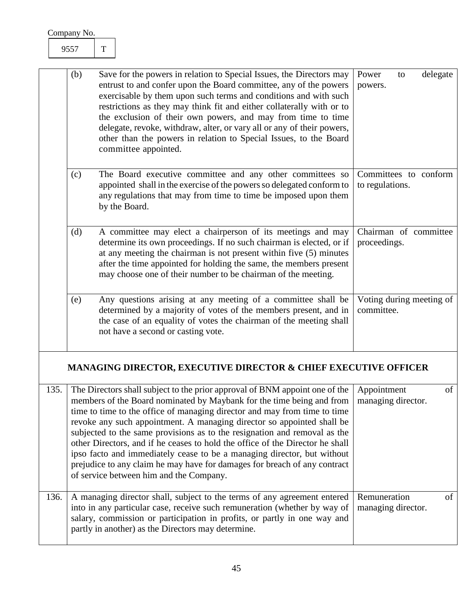<span id="page-45-1"></span><span id="page-45-0"></span>

| (b) | Save for the powers in relation to Special Issues, the Directors may<br>entrust to and confer upon the Board committee, any of the powers<br>exercisable by them upon such terms and conditions and with such<br>restrictions as they may think fit and either collaterally with or to<br>the exclusion of their own powers, and may from time to time<br>delegate, revoke, withdraw, alter, or vary all or any of their powers,<br>other than the powers in relation to Special Issues, to the Board<br>committee appointed. | Power<br>delegate<br>to<br>powers.       |
|-----|-------------------------------------------------------------------------------------------------------------------------------------------------------------------------------------------------------------------------------------------------------------------------------------------------------------------------------------------------------------------------------------------------------------------------------------------------------------------------------------------------------------------------------|------------------------------------------|
| (c) | The Board executive committee and any other committees so<br>appointed shall in the exercise of the powers so delegated conform to<br>any regulations that may from time to time be imposed upon them<br>by the Board.                                                                                                                                                                                                                                                                                                        | Committees to conform<br>to regulations. |
| (d) | A committee may elect a chairperson of its meetings and may<br>determine its own proceedings. If no such chairman is elected, or if<br>at any meeting the chairman is not present within five (5) minutes<br>after the time appointed for holding the same, the members present<br>may choose one of their number to be chairman of the meeting.                                                                                                                                                                              | Chairman of committee<br>proceedings.    |
| (e) | Any questions arising at any meeting of a committee shall be<br>determined by a majority of votes of the members present, and in<br>the case of an equality of votes the chairman of the meeting shall<br>not have a second or casting vote.                                                                                                                                                                                                                                                                                  | Voting during meeting of<br>committee.   |

## <span id="page-45-6"></span><span id="page-45-5"></span><span id="page-45-3"></span><span id="page-45-2"></span>**MANAGING DIRECTOR, EXECUTIVE DIRECTOR & CHIEF EXECUTIVE OFFICER**

<span id="page-45-4"></span>

| 135. | The Directors shall subject to the prior approval of BNM appoint one of the<br>members of the Board nominated by Maybank for the time being and from<br>time to time to the office of managing director and may from time to time<br>revoke any such appointment. A managing director so appointed shall be<br>subjected to the same provisions as to the resignation and removal as the<br>other Directors, and if he ceases to hold the office of the Director he shall<br>ipso facto and immediately cease to be a managing director, but without<br>prejudice to any claim he may have for damages for breach of any contract<br>of service between him and the Company. | Appointment<br>managing director.  | of |
|------|------------------------------------------------------------------------------------------------------------------------------------------------------------------------------------------------------------------------------------------------------------------------------------------------------------------------------------------------------------------------------------------------------------------------------------------------------------------------------------------------------------------------------------------------------------------------------------------------------------------------------------------------------------------------------|------------------------------------|----|
| 136. | A managing director shall, subject to the terms of any agreement entered<br>into in any particular case, receive such remuneration (whether by way of<br>salary, commission or participation in profits, or partly in one way and<br>partly in another) as the Directors may determine.                                                                                                                                                                                                                                                                                                                                                                                      | Remuneration<br>managing director. | of |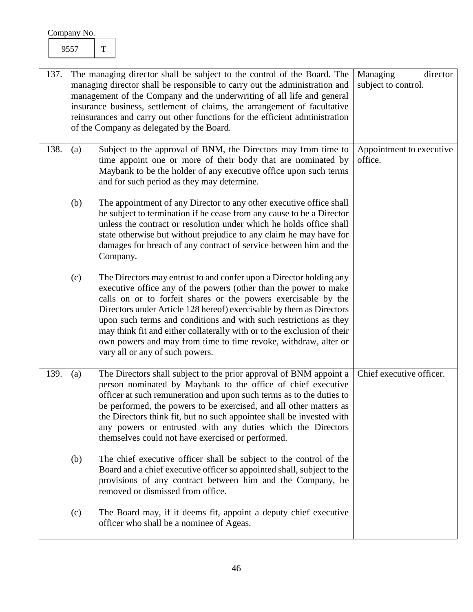<span id="page-46-2"></span><span id="page-46-1"></span><span id="page-46-0"></span>

| 137. |     | The managing director shall be subject to the control of the Board. The                                                                                                                                                                                                                                                                                                                                                                                                                                                                 | Managing<br>director                |
|------|-----|-----------------------------------------------------------------------------------------------------------------------------------------------------------------------------------------------------------------------------------------------------------------------------------------------------------------------------------------------------------------------------------------------------------------------------------------------------------------------------------------------------------------------------------------|-------------------------------------|
|      |     | managing director shall be responsible to carry out the administration and<br>management of the Company and the underwriting of all life and general<br>insurance business, settlement of claims, the arrangement of facultative<br>reinsurances and carry out other functions for the efficient administration<br>of the Company as delegated by the Board.                                                                                                                                                                            | subject to control.                 |
| 138. | (a) | Subject to the approval of BNM, the Directors may from time to<br>time appoint one or more of their body that are nominated by<br>Maybank to be the holder of any executive office upon such terms<br>and for such period as they may determine.                                                                                                                                                                                                                                                                                        | Appointment to executive<br>office. |
|      | (b) | The appointment of any Director to any other executive office shall<br>be subject to termination if he cease from any cause to be a Director<br>unless the contract or resolution under which he holds office shall<br>state otherwise but without prejudice to any claim he may have for<br>damages for breach of any contract of service between him and the<br>Company.                                                                                                                                                              |                                     |
|      | (c) | The Directors may entrust to and confer upon a Director holding any<br>executive office any of the powers (other than the power to make<br>calls on or to forfeit shares or the powers exercisable by the<br>Directors under Article 128 hereof) exercisable by them as Directors<br>upon such terms and conditions and with such restrictions as they<br>may think fit and either collaterally with or to the exclusion of their<br>own powers and may from time to time revoke, withdraw, alter or<br>vary all or any of such powers. |                                     |
| 139. | (a) | The Directors shall subject to the prior approval of BNM appoint a<br>person nominated by Maybank to the office of chief executive<br>officer at such remuneration and upon such terms as to the duties to<br>be performed, the powers to be exercised, and all other matters as<br>the Directors think fit, but no such appointee shall be invested with<br>any powers or entrusted with any duties which the Directors<br>themselves could not have exercised or performed.                                                           | Chief executive officer.            |
|      | (b) | The chief executive officer shall be subject to the control of the<br>Board and a chief executive officer so appointed shall, subject to the<br>provisions of any contract between him and the Company, be<br>removed or dismissed from office.                                                                                                                                                                                                                                                                                         |                                     |
|      | (c) | The Board may, if it deems fit, appoint a deputy chief executive<br>officer who shall be a nominee of Ageas.                                                                                                                                                                                                                                                                                                                                                                                                                            |                                     |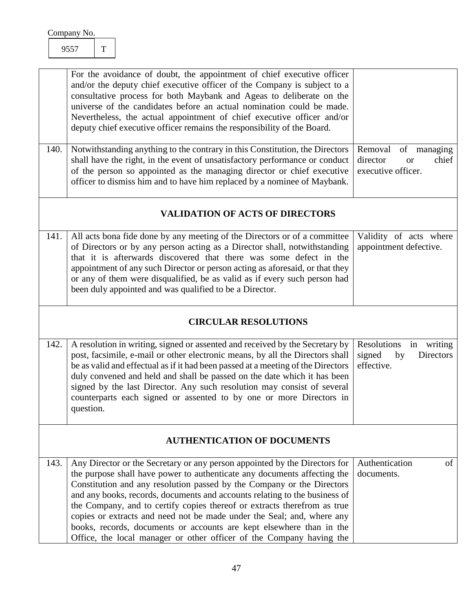<span id="page-47-6"></span><span id="page-47-5"></span><span id="page-47-4"></span><span id="page-47-3"></span><span id="page-47-2"></span><span id="page-47-1"></span><span id="page-47-0"></span>

| 140. | For the avoidance of doubt, the appointment of chief executive officer<br>and/or the deputy chief executive officer of the Company is subject to a<br>consultative process for both Maybank and Ageas to deliberate on the<br>universe of the candidates before an actual nomination could be made.<br>Nevertheless, the actual appointment of chief executive officer and/or<br>deputy chief executive officer remains the responsibility of the Board.<br>Notwithstanding anything to the contrary in this Constitution, the Directors<br>shall have the right, in the event of unsatisfactory performance or conduct<br>of the person so appointed as the managing director or chief executive | of managing<br>Removal<br>director<br>chief<br><b>or</b><br>executive officer. |  |  |  |
|------|---------------------------------------------------------------------------------------------------------------------------------------------------------------------------------------------------------------------------------------------------------------------------------------------------------------------------------------------------------------------------------------------------------------------------------------------------------------------------------------------------------------------------------------------------------------------------------------------------------------------------------------------------------------------------------------------------|--------------------------------------------------------------------------------|--|--|--|
|      | officer to dismiss him and to have him replaced by a nominee of Maybank.                                                                                                                                                                                                                                                                                                                                                                                                                                                                                                                                                                                                                          |                                                                                |  |  |  |
|      | <b>VALIDATION OF ACTS OF DIRECTORS</b>                                                                                                                                                                                                                                                                                                                                                                                                                                                                                                                                                                                                                                                            |                                                                                |  |  |  |
| 141. | All acts bona fide done by any meeting of the Directors or of a committee<br>of Directors or by any person acting as a Director shall, notwithstanding<br>that it is afterwards discovered that there was some defect in the<br>appointment of any such Director or person acting as aforesaid, or that they<br>or any of them were disqualified, be as valid as if every such person had<br>been duly appointed and was qualified to be a Director.                                                                                                                                                                                                                                              | Validity of acts where<br>appointment defective.                               |  |  |  |
|      | <b>CIRCULAR RESOLUTIONS</b>                                                                                                                                                                                                                                                                                                                                                                                                                                                                                                                                                                                                                                                                       |                                                                                |  |  |  |
| 142. | A resolution in writing, signed or assented and received by the Secretary by<br>post, facsimile, e-mail or other electronic means, by all the Directors shall<br>be as valid and effectual as if it had been passed at a meeting of the Directors<br>duly convened and held and shall be passed on the date which it has been<br>signed by the last Director. Any such resolution may consist of several<br>counterparts each signed or assented to by one or more Directors in<br>question.                                                                                                                                                                                                      | Resolutions<br>in writing<br>signed<br>by<br>Directors<br>effective.           |  |  |  |
|      | <b>AUTHENTICATION OF DOCUMENTS</b>                                                                                                                                                                                                                                                                                                                                                                                                                                                                                                                                                                                                                                                                |                                                                                |  |  |  |
| 143. | Any Director or the Secretary or any person appointed by the Directors for<br>the purpose shall have power to authenticate any documents affecting the<br>Constitution and any resolution passed by the Company or the Directors<br>and any books, records, documents and accounts relating to the business of<br>the Company, and to certify copies thereof or extracts therefrom as true<br>copies or extracts and need not be made under the Seal; and, where any<br>books, records, documents or accounts are kept elsewhere than in the<br>Office, the local manager or other officer of the Company having the                                                                              | Authentication<br>of<br>documents.                                             |  |  |  |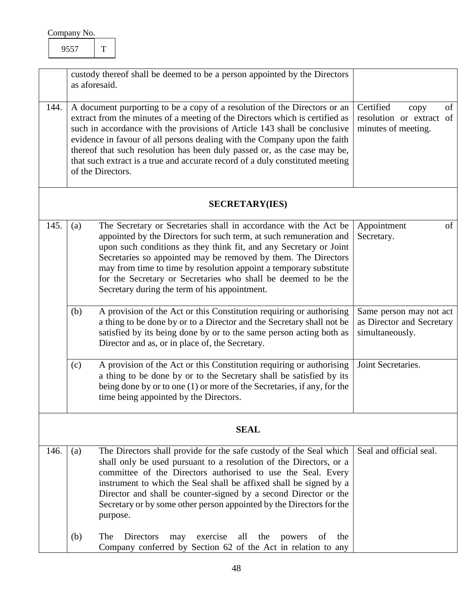<span id="page-48-6"></span><span id="page-48-5"></span><span id="page-48-4"></span><span id="page-48-3"></span><span id="page-48-2"></span><span id="page-48-1"></span><span id="page-48-0"></span>

|      |             | custody thereof shall be deemed to be a person appointed by the Directors<br>as aforesaid.                                                                                                                                                                                                                                                                                                                                                                                                             |                                                                            |  |
|------|-------------|--------------------------------------------------------------------------------------------------------------------------------------------------------------------------------------------------------------------------------------------------------------------------------------------------------------------------------------------------------------------------------------------------------------------------------------------------------------------------------------------------------|----------------------------------------------------------------------------|--|
| 144. |             | A document purporting to be a copy of a resolution of the Directors or an<br>extract from the minutes of a meeting of the Directors which is certified as<br>such in accordance with the provisions of Article 143 shall be conclusive<br>evidence in favour of all persons dealing with the Company upon the faith<br>thereof that such resolution has been duly passed or, as the case may be,<br>that such extract is a true and accurate record of a duly constituted meeting<br>of the Directors. | Certified<br>of<br>copy<br>resolution or extract of<br>minutes of meeting. |  |
|      |             | <b>SECRETARY(IES)</b>                                                                                                                                                                                                                                                                                                                                                                                                                                                                                  |                                                                            |  |
| 145. | (a)         | The Secretary or Secretaries shall in accordance with the Act be<br>appointed by the Directors for such term, at such remuneration and<br>upon such conditions as they think fit, and any Secretary or Joint<br>Secretaries so appointed may be removed by them. The Directors<br>may from time to time by resolution appoint a temporary substitute<br>for the Secretary or Secretaries who shall be deemed to be the<br>Secretary during the term of his appointment.                                | Appointment<br>of<br>Secretary.                                            |  |
|      | (b)         | A provision of the Act or this Constitution requiring or authorising<br>a thing to be done by or to a Director and the Secretary shall not be<br>satisfied by its being done by or to the same person acting both as<br>Director and as, or in place of, the Secretary.                                                                                                                                                                                                                                | Same person may not act<br>as Director and Secretary<br>simultaneously.    |  |
|      | (c)         | A provision of the Act or this Constitution requiring or authorising<br>a thing to be done by or to the Secretary shall be satisfied by its<br>being done by or to one (1) or more of the Secretaries, if any, for the<br>time being appointed by the Directors.                                                                                                                                                                                                                                       | Joint Secretaries.                                                         |  |
|      | <b>SEAL</b> |                                                                                                                                                                                                                                                                                                                                                                                                                                                                                                        |                                                                            |  |
| 146. | (a)         | The Directors shall provide for the safe custody of the Seal which<br>shall only be used pursuant to a resolution of the Directors, or a<br>committee of the Directors authorised to use the Seal. Every<br>instrument to which the Seal shall be affixed shall be signed by a<br>Director and shall be counter-signed by a second Director or the<br>Secretary or by some other person appointed by the Directors for the<br>purpose.                                                                 | Seal and official seal.                                                    |  |
|      | (b)         | The<br>Directors<br>exercise<br>all<br>the<br>powers<br>the<br>may<br>of<br>Company conferred by Section 62 of the Act in relation to any                                                                                                                                                                                                                                                                                                                                                              |                                                                            |  |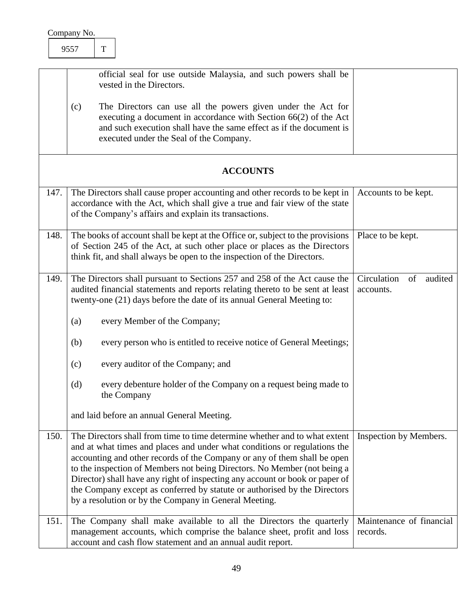<span id="page-49-5"></span><span id="page-49-4"></span><span id="page-49-3"></span><span id="page-49-2"></span><span id="page-49-1"></span><span id="page-49-0"></span>

|      | official seal for use outside Malaysia, and such powers shall be<br>vested in the Directors.                                                                                                                                                                                                                                                                                                                                                                                                                                          |                                        |
|------|---------------------------------------------------------------------------------------------------------------------------------------------------------------------------------------------------------------------------------------------------------------------------------------------------------------------------------------------------------------------------------------------------------------------------------------------------------------------------------------------------------------------------------------|----------------------------------------|
|      | The Directors can use all the powers given under the Act for<br>(c)<br>executing a document in accordance with Section 66(2) of the Act<br>and such execution shall have the same effect as if the document is<br>executed under the Seal of the Company.                                                                                                                                                                                                                                                                             |                                        |
|      | <b>ACCOUNTS</b>                                                                                                                                                                                                                                                                                                                                                                                                                                                                                                                       |                                        |
| 147. | The Directors shall cause proper accounting and other records to be kept in<br>accordance with the Act, which shall give a true and fair view of the state<br>of the Company's affairs and explain its transactions.                                                                                                                                                                                                                                                                                                                  | Accounts to be kept.                   |
| 148. | The books of account shall be kept at the Office or, subject to the provisions<br>of Section 245 of the Act, at such other place or places as the Directors<br>think fit, and shall always be open to the inspection of the Directors.                                                                                                                                                                                                                                                                                                | Place to be kept.                      |
| 149. | The Directors shall pursuant to Sections 257 and 258 of the Act cause the<br>audited financial statements and reports relating thereto to be sent at least<br>twenty-one (21) days before the date of its annual General Meeting to:                                                                                                                                                                                                                                                                                                  | Circulation<br>of audited<br>accounts. |
|      | every Member of the Company;<br>(a)                                                                                                                                                                                                                                                                                                                                                                                                                                                                                                   |                                        |
|      | (b)<br>every person who is entitled to receive notice of General Meetings;                                                                                                                                                                                                                                                                                                                                                                                                                                                            |                                        |
|      | every auditor of the Company; and<br>(c)                                                                                                                                                                                                                                                                                                                                                                                                                                                                                              |                                        |
|      | every debenture holder of the Company on a request being made to<br>(d)<br>the Company                                                                                                                                                                                                                                                                                                                                                                                                                                                |                                        |
|      | and laid before an annual General Meeting.                                                                                                                                                                                                                                                                                                                                                                                                                                                                                            |                                        |
| 150. | The Directors shall from time to time determine whether and to what extent<br>and at what times and places and under what conditions or regulations the<br>accounting and other records of the Company or any of them shall be open<br>to the inspection of Members not being Directors. No Member (not being a<br>Director) shall have any right of inspecting any account or book or paper of<br>the Company except as conferred by statute or authorised by the Directors<br>by a resolution or by the Company in General Meeting. | Inspection by Members.                 |
| 151. | The Company shall make available to all the Directors the quarterly<br>management accounts, which comprise the balance sheet, profit and loss<br>account and cash flow statement and an annual audit report.                                                                                                                                                                                                                                                                                                                          | Maintenance of financial<br>records.   |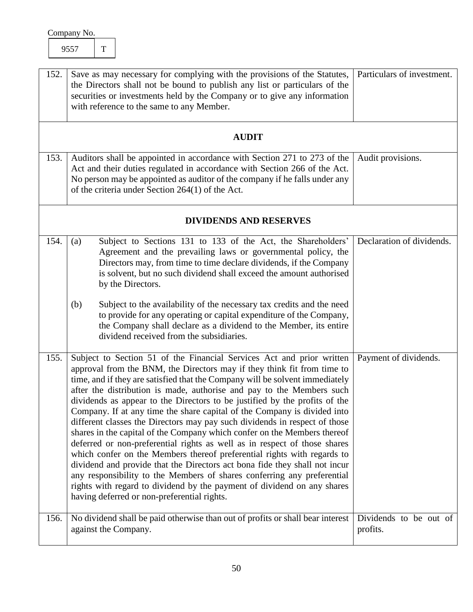<span id="page-50-6"></span><span id="page-50-5"></span><span id="page-50-4"></span><span id="page-50-3"></span><span id="page-50-2"></span><span id="page-50-1"></span><span id="page-50-0"></span>

| 152. | Save as may necessary for complying with the provisions of the Statutes,<br>the Directors shall not be bound to publish any list or particulars of the<br>securities or investments held by the Company or to give any information<br>with reference to the same to any Member.                                                                                                                                                                                                                                                                                                                                                                                                                                                                                                                                                                                                                                                                                                                                                                                          | Particulars of investment.         |
|------|--------------------------------------------------------------------------------------------------------------------------------------------------------------------------------------------------------------------------------------------------------------------------------------------------------------------------------------------------------------------------------------------------------------------------------------------------------------------------------------------------------------------------------------------------------------------------------------------------------------------------------------------------------------------------------------------------------------------------------------------------------------------------------------------------------------------------------------------------------------------------------------------------------------------------------------------------------------------------------------------------------------------------------------------------------------------------|------------------------------------|
|      | <b>AUDIT</b>                                                                                                                                                                                                                                                                                                                                                                                                                                                                                                                                                                                                                                                                                                                                                                                                                                                                                                                                                                                                                                                             |                                    |
| 153. | Auditors shall be appointed in accordance with Section 271 to 273 of the<br>Act and their duties regulated in accordance with Section 266 of the Act.<br>No person may be appointed as auditor of the company if he falls under any<br>of the criteria under Section 264(1) of the Act.                                                                                                                                                                                                                                                                                                                                                                                                                                                                                                                                                                                                                                                                                                                                                                                  | Audit provisions.                  |
|      | <b>DIVIDENDS AND RESERVES</b>                                                                                                                                                                                                                                                                                                                                                                                                                                                                                                                                                                                                                                                                                                                                                                                                                                                                                                                                                                                                                                            |                                    |
| 154. | Subject to Sections 131 to 133 of the Act, the Shareholders'<br>(a)<br>Agreement and the prevailing laws or governmental policy, the<br>Directors may, from time to time declare dividends, if the Company<br>is solvent, but no such dividend shall exceed the amount authorised<br>by the Directors.<br>Subject to the availability of the necessary tax credits and the need<br>(b)<br>to provide for any operating or capital expenditure of the Company,<br>the Company shall declare as a dividend to the Member, its entire<br>dividend received from the subsidiaries.                                                                                                                                                                                                                                                                                                                                                                                                                                                                                           | Declaration of dividends.          |
| 155. | Subject to Section 51 of the Financial Services Act and prior written<br>approval from the BNM, the Directors may if they think fit from time to<br>time, and if they are satisfied that the Company will be solvent immediately<br>after the distribution is made, authorise and pay to the Members such<br>dividends as appear to the Directors to be justified by the profits of the<br>Company. If at any time the share capital of the Company is divided into<br>different classes the Directors may pay such dividends in respect of those<br>shares in the capital of the Company which confer on the Members thereof<br>deferred or non-preferential rights as well as in respect of those shares<br>which confer on the Members thereof preferential rights with regards to<br>dividend and provide that the Directors act bona fide they shall not incur<br>any responsibility to the Members of shares conferring any preferential<br>rights with regard to dividend by the payment of dividend on any shares<br>having deferred or non-preferential rights. | Payment of dividends.              |
| 156. | No dividend shall be paid otherwise than out of profits or shall bear interest<br>against the Company.                                                                                                                                                                                                                                                                                                                                                                                                                                                                                                                                                                                                                                                                                                                                                                                                                                                                                                                                                                   | Dividends to be out of<br>profits. |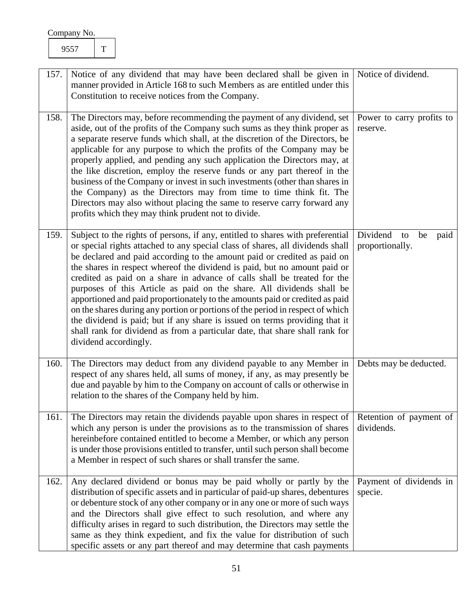<span id="page-51-5"></span><span id="page-51-4"></span><span id="page-51-3"></span><span id="page-51-2"></span><span id="page-51-1"></span><span id="page-51-0"></span>

| 157. | Notice of any dividend that may have been declared shall be given in<br>manner provided in Article 168 to such Members as are entitled under this<br>Constitution to receive notices from the Company.                                                                                                                                                                                                                                                                                                                                                                                                                                                                                                                                                                                                                                   | Notice of dividend.                             |
|------|------------------------------------------------------------------------------------------------------------------------------------------------------------------------------------------------------------------------------------------------------------------------------------------------------------------------------------------------------------------------------------------------------------------------------------------------------------------------------------------------------------------------------------------------------------------------------------------------------------------------------------------------------------------------------------------------------------------------------------------------------------------------------------------------------------------------------------------|-------------------------------------------------|
| 158. | The Directors may, before recommending the payment of any dividend, set<br>aside, out of the profits of the Company such sums as they think proper as<br>a separate reserve funds which shall, at the discretion of the Directors, be<br>applicable for any purpose to which the profits of the Company may be<br>properly applied, and pending any such application the Directors may, at<br>the like discretion, employ the reserve funds or any part thereof in the<br>business of the Company or invest in such investments (other than shares in<br>the Company) as the Directors may from time to time think fit. The<br>Directors may also without placing the same to reserve carry forward any<br>profits which they may think prudent not to divide.                                                                           | Power to carry profits to<br>reserve.           |
| 159. | Subject to the rights of persons, if any, entitled to shares with preferential<br>or special rights attached to any special class of shares, all dividends shall<br>be declared and paid according to the amount paid or credited as paid on<br>the shares in respect whereof the dividend is paid, but no amount paid or<br>credited as paid on a share in advance of calls shall be treated for the<br>purposes of this Article as paid on the share. All dividends shall be<br>apportioned and paid proportionately to the amounts paid or credited as paid<br>on the shares during any portion or portions of the period in respect of which<br>the dividend is paid; but if any share is issued on terms providing that it<br>shall rank for dividend as from a particular date, that share shall rank for<br>dividend accordingly. | Dividend<br>be<br>to<br>paid<br>proportionally. |
| 160. | The Directors may deduct from any dividend payable to any Member in<br>respect of any shares held, all sums of money, if any, as may presently be<br>due and payable by him to the Company on account of calls or otherwise in<br>relation to the shares of the Company held by him.                                                                                                                                                                                                                                                                                                                                                                                                                                                                                                                                                     | Debts may be deducted.                          |
| 161. | The Directors may retain the dividends payable upon shares in respect of<br>which any person is under the provisions as to the transmission of shares<br>hereinbefore contained entitled to become a Member, or which any person<br>is under those provisions entitled to transfer, until such person shall become<br>a Member in respect of such shares or shall transfer the same.                                                                                                                                                                                                                                                                                                                                                                                                                                                     | Retention of payment of<br>dividends.           |
| 162. | Any declared dividend or bonus may be paid wholly or partly by the<br>distribution of specific assets and in particular of paid-up shares, debentures<br>or debenture stock of any other company or in any one or more of such ways<br>and the Directors shall give effect to such resolution, and where any<br>difficulty arises in regard to such distribution, the Directors may settle the<br>same as they think expedient, and fix the value for distribution of such<br>specific assets or any part thereof and may determine that cash payments                                                                                                                                                                                                                                                                                   | Payment of dividends in<br>specie.              |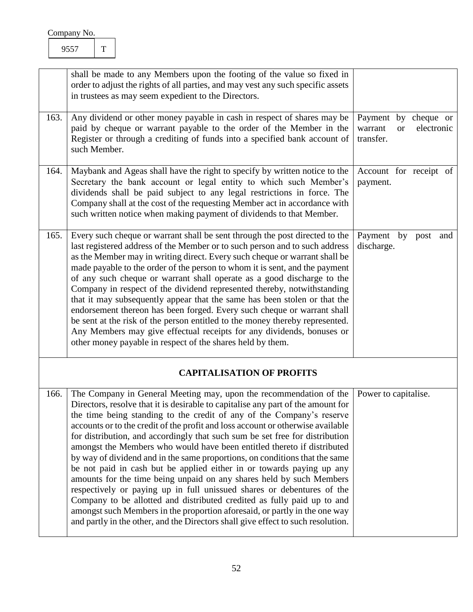<span id="page-52-4"></span><span id="page-52-3"></span><span id="page-52-2"></span><span id="page-52-1"></span><span id="page-52-0"></span>

|      | shall be made to any Members upon the footing of the value so fixed in<br>order to adjust the rights of all parties, and may vest any such specific assets<br>in trustees as may seem expedient to the Directors.                                                                                                                                                                                                                                                                                                                                                                                                                                                                                                                                                                                                                                                                                                                                                                                                                    |                                                                         |
|------|--------------------------------------------------------------------------------------------------------------------------------------------------------------------------------------------------------------------------------------------------------------------------------------------------------------------------------------------------------------------------------------------------------------------------------------------------------------------------------------------------------------------------------------------------------------------------------------------------------------------------------------------------------------------------------------------------------------------------------------------------------------------------------------------------------------------------------------------------------------------------------------------------------------------------------------------------------------------------------------------------------------------------------------|-------------------------------------------------------------------------|
| 163. | Any dividend or other money payable in cash in respect of shares may be<br>paid by cheque or warrant payable to the order of the Member in the<br>Register or through a crediting of funds into a specified bank account of<br>such Member.                                                                                                                                                                                                                                                                                                                                                                                                                                                                                                                                                                                                                                                                                                                                                                                          | Payment by cheque or<br>electronic<br>warrant<br><b>or</b><br>transfer. |
| 164. | Maybank and Ageas shall have the right to specify by written notice to the<br>Secretary the bank account or legal entity to which such Member's<br>dividends shall be paid subject to any legal restrictions in force. The<br>Company shall at the cost of the requesting Member act in accordance with<br>such written notice when making payment of dividends to that Member.                                                                                                                                                                                                                                                                                                                                                                                                                                                                                                                                                                                                                                                      | Account for receipt of<br>payment.                                      |
| 165. | Every such cheque or warrant shall be sent through the post directed to the<br>last registered address of the Member or to such person and to such address<br>as the Member may in writing direct. Every such cheque or warrant shall be<br>made payable to the order of the person to whom it is sent, and the payment<br>of any such cheque or warrant shall operate as a good discharge to the<br>Company in respect of the dividend represented thereby, notwithstanding<br>that it may subsequently appear that the same has been stolen or that the<br>endorsement thereon has been forged. Every such cheque or warrant shall<br>be sent at the risk of the person entitled to the money thereby represented.<br>Any Members may give effectual receipts for any dividends, bonuses or<br>other money payable in respect of the shares held by them.                                                                                                                                                                          | Payment by post<br>and<br>discharge.                                    |
|      | <b>CAPITALISATION OF PROFITS</b>                                                                                                                                                                                                                                                                                                                                                                                                                                                                                                                                                                                                                                                                                                                                                                                                                                                                                                                                                                                                     |                                                                         |
| 166. | The Company in General Meeting may, upon the recommendation of the<br>Directors, resolve that it is desirable to capitalise any part of the amount for<br>the time being standing to the credit of any of the Company's reserve<br>accounts or to the credit of the profit and loss account or otherwise available<br>for distribution, and accordingly that such sum be set free for distribution<br>amongst the Members who would have been entitled thereto if distributed<br>by way of dividend and in the same proportions, on conditions that the same<br>be not paid in cash but be applied either in or towards paying up any<br>amounts for the time being unpaid on any shares held by such Members<br>respectively or paying up in full unissued shares or debentures of the<br>Company to be allotted and distributed credited as fully paid up to and<br>amongst such Members in the proportion aforesaid, or partly in the one way<br>and partly in the other, and the Directors shall give effect to such resolution. | Power to capitalise.                                                    |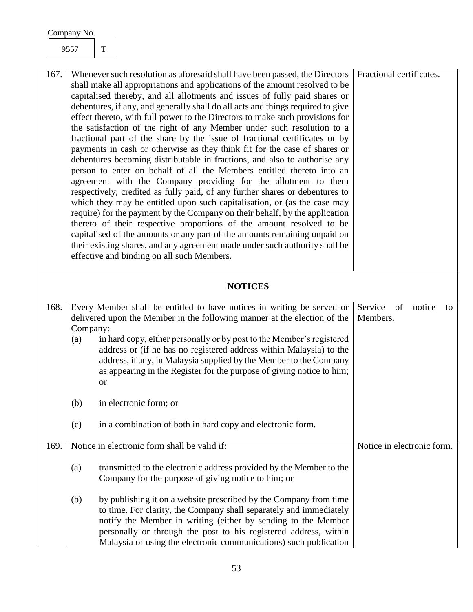<span id="page-53-3"></span><span id="page-53-2"></span><span id="page-53-1"></span><span id="page-53-0"></span>

| 167.           |          | Whenever such resolution as aforesaid shall have been passed, the Directors<br>shall make all appropriations and applications of the amount resolved to be<br>capitalised thereby, and all allotments and issues of fully paid shares or<br>debentures, if any, and generally shall do all acts and things required to give<br>effect thereto, with full power to the Directors to make such provisions for<br>the satisfaction of the right of any Member under such resolution to a<br>fractional part of the share by the issue of fractional certificates or by<br>payments in cash or otherwise as they think fit for the case of shares or<br>debentures becoming distributable in fractions, and also to authorise any<br>person to enter on behalf of all the Members entitled thereto into an<br>agreement with the Company providing for the allotment to them<br>respectively, credited as fully paid, of any further shares or debentures to<br>which they may be entitled upon such capitalisation, or (as the case may<br>require) for the payment by the Company on their behalf, by the application<br>thereto of their respective proportions of the amount resolved to be<br>capitalised of the amounts or any part of the amounts remaining unpaid on<br>their existing shares, and any agreement made under such authority shall be<br>effective and binding on all such Members. | Fractional certificates.      |
|----------------|----------|-------------------------------------------------------------------------------------------------------------------------------------------------------------------------------------------------------------------------------------------------------------------------------------------------------------------------------------------------------------------------------------------------------------------------------------------------------------------------------------------------------------------------------------------------------------------------------------------------------------------------------------------------------------------------------------------------------------------------------------------------------------------------------------------------------------------------------------------------------------------------------------------------------------------------------------------------------------------------------------------------------------------------------------------------------------------------------------------------------------------------------------------------------------------------------------------------------------------------------------------------------------------------------------------------------------------------------------------------------------------------------------------------------|-------------------------------|
| <b>NOTICES</b> |          |                                                                                                                                                                                                                                                                                                                                                                                                                                                                                                                                                                                                                                                                                                                                                                                                                                                                                                                                                                                                                                                                                                                                                                                                                                                                                                                                                                                                       |                               |
|                |          |                                                                                                                                                                                                                                                                                                                                                                                                                                                                                                                                                                                                                                                                                                                                                                                                                                                                                                                                                                                                                                                                                                                                                                                                                                                                                                                                                                                                       |                               |
| 168.           |          | Every Member shall be entitled to have notices in writing be served or                                                                                                                                                                                                                                                                                                                                                                                                                                                                                                                                                                                                                                                                                                                                                                                                                                                                                                                                                                                                                                                                                                                                                                                                                                                                                                                                | Service<br>of<br>notice<br>to |
|                |          | delivered upon the Member in the following manner at the election of the                                                                                                                                                                                                                                                                                                                                                                                                                                                                                                                                                                                                                                                                                                                                                                                                                                                                                                                                                                                                                                                                                                                                                                                                                                                                                                                              | Members.                      |
|                | Company: |                                                                                                                                                                                                                                                                                                                                                                                                                                                                                                                                                                                                                                                                                                                                                                                                                                                                                                                                                                                                                                                                                                                                                                                                                                                                                                                                                                                                       |                               |
|                | (a)      | in hard copy, either personally or by post to the Member's registered                                                                                                                                                                                                                                                                                                                                                                                                                                                                                                                                                                                                                                                                                                                                                                                                                                                                                                                                                                                                                                                                                                                                                                                                                                                                                                                                 |                               |
|                |          | address or (if he has no registered address within Malaysia) to the<br>address, if any, in Malaysia supplied by the Member to the Company                                                                                                                                                                                                                                                                                                                                                                                                                                                                                                                                                                                                                                                                                                                                                                                                                                                                                                                                                                                                                                                                                                                                                                                                                                                             |                               |
|                |          | as appearing in the Register for the purpose of giving notice to him;                                                                                                                                                                                                                                                                                                                                                                                                                                                                                                                                                                                                                                                                                                                                                                                                                                                                                                                                                                                                                                                                                                                                                                                                                                                                                                                                 |                               |
|                |          | <b>or</b>                                                                                                                                                                                                                                                                                                                                                                                                                                                                                                                                                                                                                                                                                                                                                                                                                                                                                                                                                                                                                                                                                                                                                                                                                                                                                                                                                                                             |                               |
|                |          |                                                                                                                                                                                                                                                                                                                                                                                                                                                                                                                                                                                                                                                                                                                                                                                                                                                                                                                                                                                                                                                                                                                                                                                                                                                                                                                                                                                                       |                               |
|                | (b)      | in electronic form; or                                                                                                                                                                                                                                                                                                                                                                                                                                                                                                                                                                                                                                                                                                                                                                                                                                                                                                                                                                                                                                                                                                                                                                                                                                                                                                                                                                                |                               |
|                | (c)      | in a combination of both in hard copy and electronic form.                                                                                                                                                                                                                                                                                                                                                                                                                                                                                                                                                                                                                                                                                                                                                                                                                                                                                                                                                                                                                                                                                                                                                                                                                                                                                                                                            |                               |
| 169.           |          | Notice in electronic form shall be valid if:                                                                                                                                                                                                                                                                                                                                                                                                                                                                                                                                                                                                                                                                                                                                                                                                                                                                                                                                                                                                                                                                                                                                                                                                                                                                                                                                                          | Notice in electronic form.    |
|                |          |                                                                                                                                                                                                                                                                                                                                                                                                                                                                                                                                                                                                                                                                                                                                                                                                                                                                                                                                                                                                                                                                                                                                                                                                                                                                                                                                                                                                       |                               |
|                | (a)      | transmitted to the electronic address provided by the Member to the<br>Company for the purpose of giving notice to him; or                                                                                                                                                                                                                                                                                                                                                                                                                                                                                                                                                                                                                                                                                                                                                                                                                                                                                                                                                                                                                                                                                                                                                                                                                                                                            |                               |
|                |          |                                                                                                                                                                                                                                                                                                                                                                                                                                                                                                                                                                                                                                                                                                                                                                                                                                                                                                                                                                                                                                                                                                                                                                                                                                                                                                                                                                                                       |                               |
|                | (b)      | by publishing it on a website prescribed by the Company from time                                                                                                                                                                                                                                                                                                                                                                                                                                                                                                                                                                                                                                                                                                                                                                                                                                                                                                                                                                                                                                                                                                                                                                                                                                                                                                                                     |                               |
|                |          | to time. For clarity, the Company shall separately and immediately                                                                                                                                                                                                                                                                                                                                                                                                                                                                                                                                                                                                                                                                                                                                                                                                                                                                                                                                                                                                                                                                                                                                                                                                                                                                                                                                    |                               |
|                |          | notify the Member in writing (either by sending to the Member                                                                                                                                                                                                                                                                                                                                                                                                                                                                                                                                                                                                                                                                                                                                                                                                                                                                                                                                                                                                                                                                                                                                                                                                                                                                                                                                         |                               |
|                |          | personally or through the post to his registered address, within                                                                                                                                                                                                                                                                                                                                                                                                                                                                                                                                                                                                                                                                                                                                                                                                                                                                                                                                                                                                                                                                                                                                                                                                                                                                                                                                      |                               |
|                |          | Malaysia or using the electronic communications) such publication                                                                                                                                                                                                                                                                                                                                                                                                                                                                                                                                                                                                                                                                                                                                                                                                                                                                                                                                                                                                                                                                                                                                                                                                                                                                                                                                     |                               |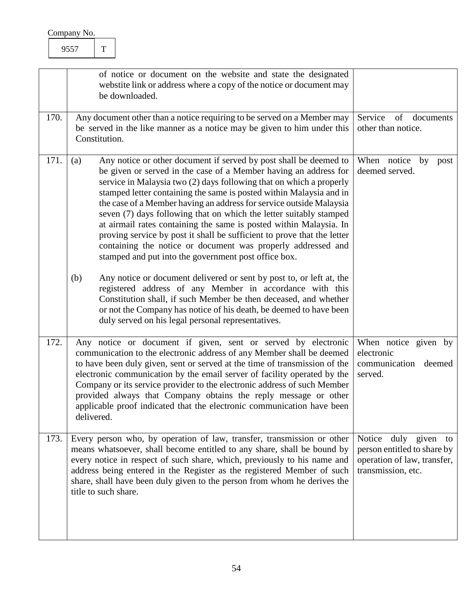<span id="page-54-3"></span><span id="page-54-2"></span><span id="page-54-1"></span><span id="page-54-0"></span>

|      | of notice or document on the website and state the designated<br>webstite link or address where a copy of the notice or document may<br>be downloaded.                                                                                                                                                                                                                                                                                                                                                                                                                                                                                                                                                                                                                                                                                                                                                                                                                                                                                                      |                                                                                                          |
|------|-------------------------------------------------------------------------------------------------------------------------------------------------------------------------------------------------------------------------------------------------------------------------------------------------------------------------------------------------------------------------------------------------------------------------------------------------------------------------------------------------------------------------------------------------------------------------------------------------------------------------------------------------------------------------------------------------------------------------------------------------------------------------------------------------------------------------------------------------------------------------------------------------------------------------------------------------------------------------------------------------------------------------------------------------------------|----------------------------------------------------------------------------------------------------------|
| 170. | Any document other than a notice requiring to be served on a Member may<br>be served in the like manner as a notice may be given to him under this<br>Constitution.                                                                                                                                                                                                                                                                                                                                                                                                                                                                                                                                                                                                                                                                                                                                                                                                                                                                                         | Service<br>of documents<br>other than notice.                                                            |
| 171. | Any notice or other document if served by post shall be deemed to<br>(a)<br>be given or served in the case of a Member having an address for<br>service in Malaysia two (2) days following that on which a properly<br>stamped letter containing the same is posted within Malaysia and in<br>the case of a Member having an address for service outside Malaysia<br>seven (7) days following that on which the letter suitably stamped<br>at airmail rates containing the same is posted within Malaysia. In<br>proving service by post it shall be sufficient to prove that the letter<br>containing the notice or document was properly addressed and<br>stamped and put into the government post office box.<br>(b)<br>Any notice or document delivered or sent by post to, or left at, the<br>registered address of any Member in accordance with this<br>Constitution shall, if such Member be then deceased, and whether<br>or not the Company has notice of his death, be deemed to have been<br>duly served on his legal personal representatives. | When notice<br>by<br>post<br>deemed served.                                                              |
| 172. | Any notice or document if given, sent or served by electronic<br>communication to the electronic address of any Member shall be deemed<br>to have been duly given, sent or served at the time of transmission of the<br>electronic communication by the email server of facility operated by the<br>Company or its service provider to the electronic address of such Member<br>provided always that Company obtains the reply message or other<br>applicable proof indicated that the electronic communication have been<br>delivered.                                                                                                                                                                                                                                                                                                                                                                                                                                                                                                                     | When notice given by<br>electronic<br>communication<br>deemed<br>served.                                 |
| 173. | Every person who, by operation of law, transfer, transmission or other<br>means whatsoever, shall become entitled to any share, shall be bound by<br>every notice in respect of such share, which, previously to his name and<br>address being entered in the Register as the registered Member of such<br>share, shall have been duly given to the person from whom he derives the<br>title to such share.                                                                                                                                                                                                                                                                                                                                                                                                                                                                                                                                                                                                                                                 | Notice duly given to<br>person entitled to share by<br>operation of law, transfer,<br>transmission, etc. |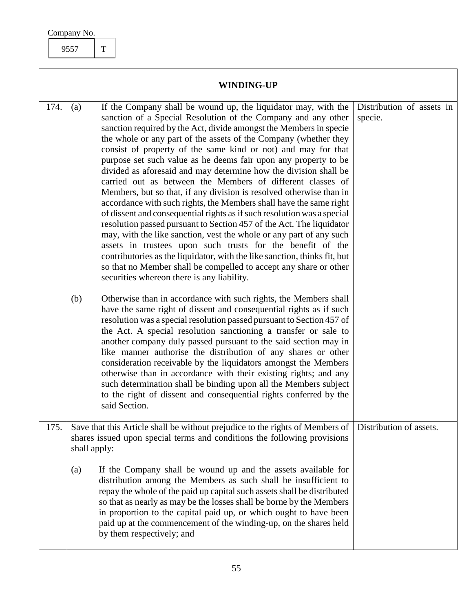<span id="page-55-1"></span>9557 T

<span id="page-55-2"></span><span id="page-55-0"></span>

| <b>WINDING-UP</b> |                                                                                                                                                                           |                                                                                                                                                                                                                                                                                                                                                                                                                                                                                                                                                                                                                                                                                                                                                                                                                                                                                                                                                                                                                                                                                                                                                                                      |                                      |  |
|-------------------|---------------------------------------------------------------------------------------------------------------------------------------------------------------------------|--------------------------------------------------------------------------------------------------------------------------------------------------------------------------------------------------------------------------------------------------------------------------------------------------------------------------------------------------------------------------------------------------------------------------------------------------------------------------------------------------------------------------------------------------------------------------------------------------------------------------------------------------------------------------------------------------------------------------------------------------------------------------------------------------------------------------------------------------------------------------------------------------------------------------------------------------------------------------------------------------------------------------------------------------------------------------------------------------------------------------------------------------------------------------------------|--------------------------------------|--|
| 174.              | (a)                                                                                                                                                                       | If the Company shall be wound up, the liquidator may, with the<br>sanction of a Special Resolution of the Company and any other<br>sanction required by the Act, divide amongst the Members in specie<br>the whole or any part of the assets of the Company (whether they<br>consist of property of the same kind or not) and may for that<br>purpose set such value as he deems fair upon any property to be<br>divided as aforesaid and may determine how the division shall be<br>carried out as between the Members of different classes of<br>Members, but so that, if any division is resolved otherwise than in<br>accordance with such rights, the Members shall have the same right<br>of dissent and consequential rights as if such resolution was a special<br>resolution passed pursuant to Section 457 of the Act. The liquidator<br>may, with the like sanction, vest the whole or any part of any such<br>assets in trustees upon such trusts for the benefit of the<br>contributories as the liquidator, with the like sanction, thinks fit, but<br>so that no Member shall be compelled to accept any share or other<br>securities whereon there is any liability. | Distribution of assets in<br>specie. |  |
|                   | (b)                                                                                                                                                                       | Otherwise than in accordance with such rights, the Members shall<br>have the same right of dissent and consequential rights as if such<br>resolution was a special resolution passed pursuant to Section 457 of<br>the Act. A special resolution sanctioning a transfer or sale to<br>another company duly passed pursuant to the said section may in<br>like manner authorise the distribution of any shares or other<br>consideration receivable by the liquidators amongst the Members<br>otherwise than in accordance with their existing rights; and any<br>such determination shall be binding upon all the Members subject<br>to the right of dissent and consequential rights conferred by the<br>said Section.                                                                                                                                                                                                                                                                                                                                                                                                                                                              |                                      |  |
| 175.              | Save that this Article shall be without prejudice to the rights of Members of<br>shares issued upon special terms and conditions the following provisions<br>shall apply: |                                                                                                                                                                                                                                                                                                                                                                                                                                                                                                                                                                                                                                                                                                                                                                                                                                                                                                                                                                                                                                                                                                                                                                                      | Distribution of assets.              |  |
|                   | (a)                                                                                                                                                                       | If the Company shall be wound up and the assets available for<br>distribution among the Members as such shall be insufficient to<br>repay the whole of the paid up capital such assets shall be distributed<br>so that as nearly as may be the losses shall be borne by the Members<br>in proportion to the capital paid up, or which ought to have been<br>paid up at the commencement of the winding-up, on the shares held<br>by them respectively; and                                                                                                                                                                                                                                                                                                                                                                                                                                                                                                                                                                                                                                                                                                                           |                                      |  |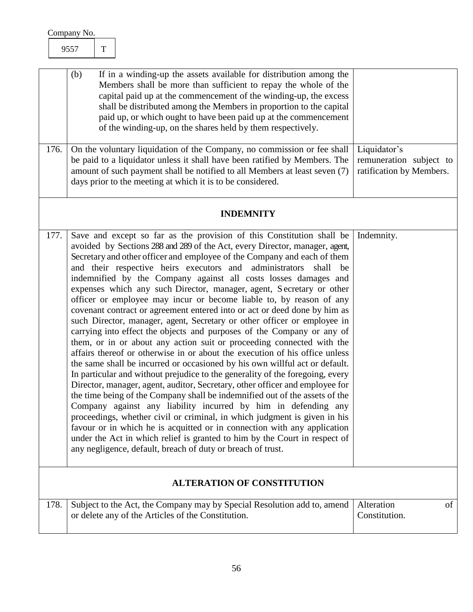<span id="page-56-4"></span><span id="page-56-3"></span><span id="page-56-2"></span><span id="page-56-1"></span><span id="page-56-0"></span>

| 9557                                                                                                                                                                                                                                                                                                                                                                                                                                                                                                                                                                                                                                                                                                                                                                                                                                                                                                                                                                                                                                                                                                                                                                                                                                                                                                                                                                                                                                                                                                                                                                                                                                              | $\mathbf T$ |                                                                                                                                                                                                                                                                                                                                                                                                                      |                                   |
|---------------------------------------------------------------------------------------------------------------------------------------------------------------------------------------------------------------------------------------------------------------------------------------------------------------------------------------------------------------------------------------------------------------------------------------------------------------------------------------------------------------------------------------------------------------------------------------------------------------------------------------------------------------------------------------------------------------------------------------------------------------------------------------------------------------------------------------------------------------------------------------------------------------------------------------------------------------------------------------------------------------------------------------------------------------------------------------------------------------------------------------------------------------------------------------------------------------------------------------------------------------------------------------------------------------------------------------------------------------------------------------------------------------------------------------------------------------------------------------------------------------------------------------------------------------------------------------------------------------------------------------------------|-------------|----------------------------------------------------------------------------------------------------------------------------------------------------------------------------------------------------------------------------------------------------------------------------------------------------------------------------------------------------------------------------------------------------------------------|-----------------------------------|
| (b)                                                                                                                                                                                                                                                                                                                                                                                                                                                                                                                                                                                                                                                                                                                                                                                                                                                                                                                                                                                                                                                                                                                                                                                                                                                                                                                                                                                                                                                                                                                                                                                                                                               |             | If in a winding-up the assets available for distribution among the<br>Members shall be more than sufficient to repay the whole of the<br>capital paid up at the commencement of the winding-up, the excess<br>shall be distributed among the Members in proportion to the capital<br>paid up, or which ought to have been paid up at the commencement<br>of the winding-up, on the shares held by them respectively. |                                   |
| 176.<br>On the voluntary liquidation of the Company, no commission or fee shall<br>be paid to a liquidator unless it shall have been ratified by Members. The<br>amount of such payment shall be notified to all Members at least seven (7)<br>days prior to the meeting at which it is to be considered.                                                                                                                                                                                                                                                                                                                                                                                                                                                                                                                                                                                                                                                                                                                                                                                                                                                                                                                                                                                                                                                                                                                                                                                                                                                                                                                                         |             | Liquidator's<br>remuneration subject to<br>ratification by Members.                                                                                                                                                                                                                                                                                                                                                  |                                   |
|                                                                                                                                                                                                                                                                                                                                                                                                                                                                                                                                                                                                                                                                                                                                                                                                                                                                                                                                                                                                                                                                                                                                                                                                                                                                                                                                                                                                                                                                                                                                                                                                                                                   |             | <b>INDEMNITY</b>                                                                                                                                                                                                                                                                                                                                                                                                     |                                   |
| Save and except so far as the provision of this Constitution shall be<br>177.<br>Indemnity.<br>avoided by Sections 288 and 289 of the Act, every Director, manager, agent,<br>Secretary and other officer and employee of the Company and each of them<br>and their respective heirs executors and administrators<br>shall be<br>indemnified by the Company against all costs losses damages and<br>expenses which any such Director, manager, agent, Secretary or other<br>officer or employee may incur or become liable to, by reason of any<br>covenant contract or agreement entered into or act or deed done by him as<br>such Director, manager, agent, Secretary or other officer or employee in<br>carrying into effect the objects and purposes of the Company or any of<br>them, or in or about any action suit or proceeding connected with the<br>affairs thereof or otherwise in or about the execution of his office unless<br>the same shall be incurred or occasioned by his own willful act or default.<br>In particular and without prejudice to the generality of the foregoing, every<br>Director, manager, agent, auditor, Secretary, other officer and employee for<br>the time being of the Company shall be indemnified out of the assets of the<br>Company against any liability incurred by him in defending any<br>proceedings, whether civil or criminal, in which judgment is given in his<br>favour or in which he is acquitted or in connection with any application<br>under the Act in which relief is granted to him by the Court in respect of<br>any negligence, default, breach of duty or breach of trust. |             |                                                                                                                                                                                                                                                                                                                                                                                                                      |                                   |
|                                                                                                                                                                                                                                                                                                                                                                                                                                                                                                                                                                                                                                                                                                                                                                                                                                                                                                                                                                                                                                                                                                                                                                                                                                                                                                                                                                                                                                                                                                                                                                                                                                                   |             | <b>ALTERATION OF CONSTITUTION</b>                                                                                                                                                                                                                                                                                                                                                                                    |                                   |
| 178.                                                                                                                                                                                                                                                                                                                                                                                                                                                                                                                                                                                                                                                                                                                                                                                                                                                                                                                                                                                                                                                                                                                                                                                                                                                                                                                                                                                                                                                                                                                                                                                                                                              |             | Subject to the Act, the Company may by Special Resolution add to, amend<br>or delete any of the Articles of the Constitution.                                                                                                                                                                                                                                                                                        | Alteration<br>of<br>Constitution. |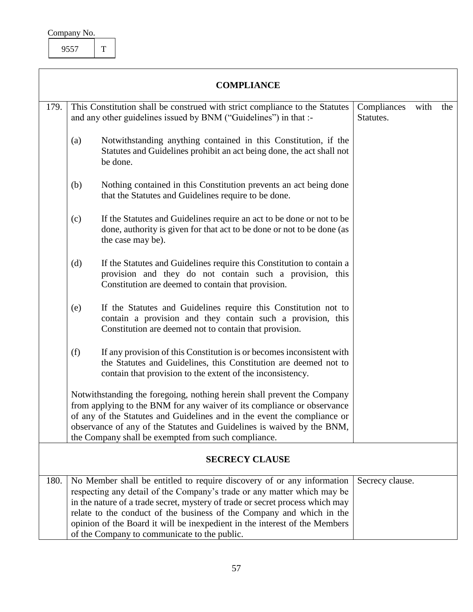| Company No. |  |
|-------------|--|
|             |  |

<span id="page-57-1"></span>9557 T

<span id="page-57-0"></span>

| <b>COMPLIANCE</b>                                                                                                                                                                                                                                                                                                                                               |                                                                                                                                                                                                                                                                                                                                |                                                                                                                                                                                                         |                          |      |     |
|-----------------------------------------------------------------------------------------------------------------------------------------------------------------------------------------------------------------------------------------------------------------------------------------------------------------------------------------------------------------|--------------------------------------------------------------------------------------------------------------------------------------------------------------------------------------------------------------------------------------------------------------------------------------------------------------------------------|---------------------------------------------------------------------------------------------------------------------------------------------------------------------------------------------------------|--------------------------|------|-----|
| 179.                                                                                                                                                                                                                                                                                                                                                            |                                                                                                                                                                                                                                                                                                                                | This Constitution shall be construed with strict compliance to the Statutes<br>and any other guidelines issued by BNM ("Guidelines") in that :-                                                         | Compliances<br>Statutes. | with | the |
|                                                                                                                                                                                                                                                                                                                                                                 | (a)                                                                                                                                                                                                                                                                                                                            | Notwithstanding anything contained in this Constitution, if the<br>Statutes and Guidelines prohibit an act being done, the act shall not<br>be done.                                                    |                          |      |     |
|                                                                                                                                                                                                                                                                                                                                                                 | (b)                                                                                                                                                                                                                                                                                                                            | Nothing contained in this Constitution prevents an act being done<br>that the Statutes and Guidelines require to be done.                                                                               |                          |      |     |
|                                                                                                                                                                                                                                                                                                                                                                 | (c)                                                                                                                                                                                                                                                                                                                            | If the Statutes and Guidelines require an act to be done or not to be<br>done, authority is given for that act to be done or not to be done (as<br>the case may be).                                    |                          |      |     |
|                                                                                                                                                                                                                                                                                                                                                                 | (d)                                                                                                                                                                                                                                                                                                                            | If the Statutes and Guidelines require this Constitution to contain a<br>provision and they do not contain such a provision, this<br>Constitution are deemed to contain that provision.                 |                          |      |     |
|                                                                                                                                                                                                                                                                                                                                                                 | (e)                                                                                                                                                                                                                                                                                                                            | If the Statutes and Guidelines require this Constitution not to<br>contain a provision and they contain such a provision, this<br>Constitution are deemed not to contain that provision.                |                          |      |     |
|                                                                                                                                                                                                                                                                                                                                                                 | (f)                                                                                                                                                                                                                                                                                                                            | If any provision of this Constitution is or becomes inconsistent with<br>the Statutes and Guidelines, this Constitution are deemed not to<br>contain that provision to the extent of the inconsistency. |                          |      |     |
| Notwithstanding the foregoing, nothing herein shall prevent the Company<br>from applying to the BNM for any waiver of its compliance or observance<br>of any of the Statutes and Guidelines and in the event the compliance or<br>observance of any of the Statutes and Guidelines is waived by the BNM,<br>the Company shall be exempted from such compliance. |                                                                                                                                                                                                                                                                                                                                |                                                                                                                                                                                                         |                          |      |     |
| <b>SECRECY CLAUSE</b>                                                                                                                                                                                                                                                                                                                                           |                                                                                                                                                                                                                                                                                                                                |                                                                                                                                                                                                         |                          |      |     |
| 180.                                                                                                                                                                                                                                                                                                                                                            | No Member shall be entitled to require discovery of or any information<br>Secrecy clause.<br>respecting any detail of the Company's trade or any matter which may be<br>in the nature of a trade secret, mystery of trade or secret process which may<br>relate to the conduct of the business of the Company and which in the |                                                                                                                                                                                                         |                          |      |     |

<span id="page-57-3"></span><span id="page-57-2"></span>opinion of the Board it will be inexpedient in the interest of the Members

of the Company to communicate to the public.